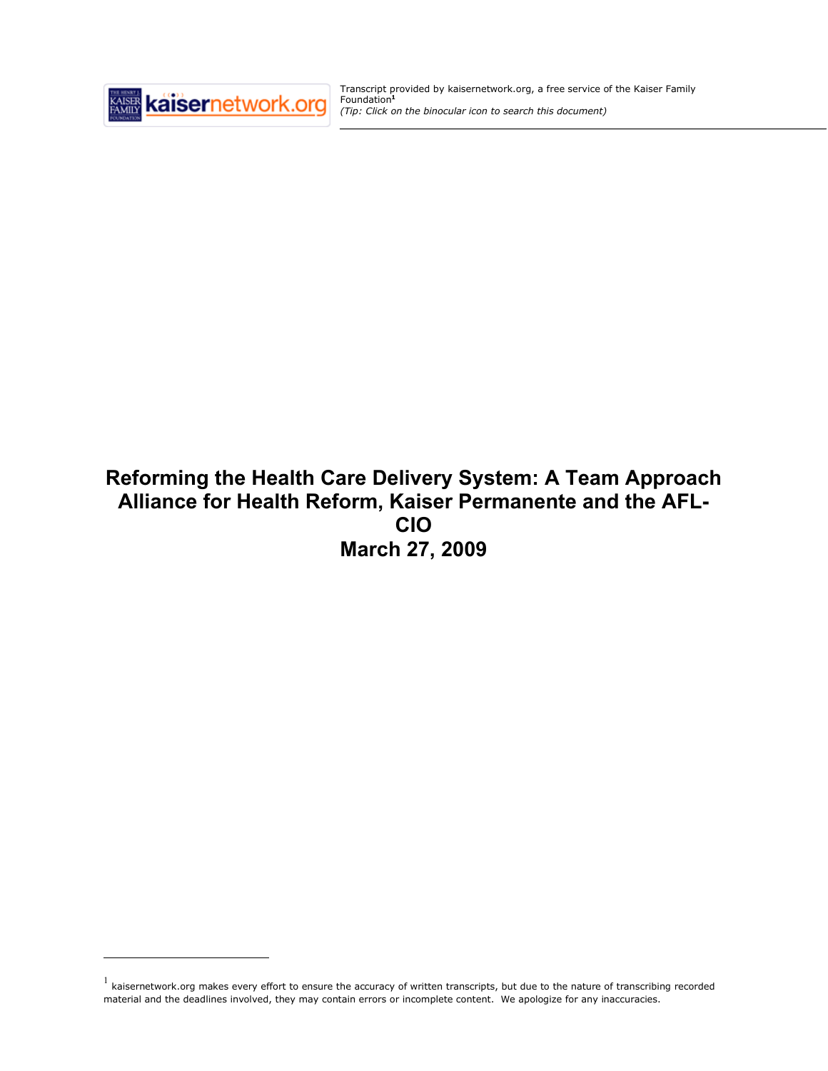

 $\overline{a}$ 

Transcript provided by kaisernetwork.org, a free service of the Kaiser Family Foundation**<sup>1</sup>** *(Tip: Click on the binocular icon to search this document)*

# **Reforming the Health Care Delivery System: A Team Approach Alliance for Health Reform, Kaiser Permanente and the AFL-CIO March 27, 2009**

 $1$  kaisernetwork.org makes every effort to ensure the accuracy of written transcripts, but due to the nature of transcribing recorded material and the deadlines involved, they may contain errors or incomplete content. We apologize for any inaccuracies.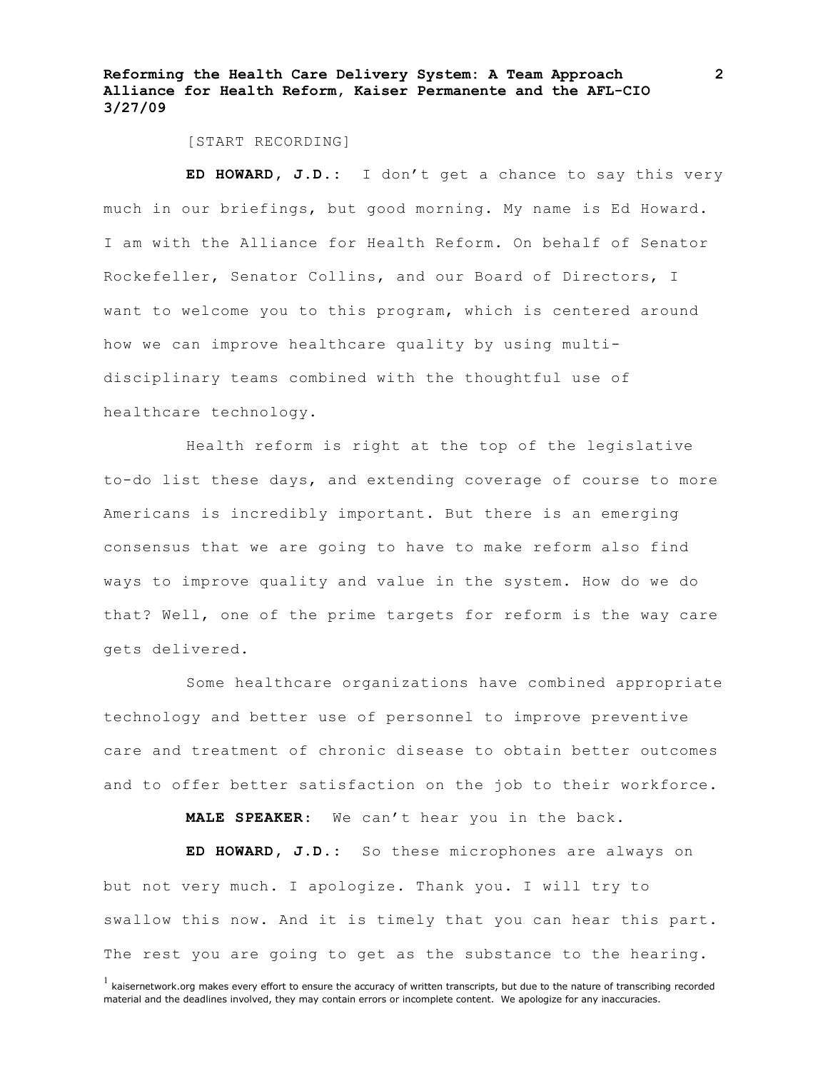[START RECORDING]

**ED HOWARD, J.D.:** I don't get a chance to say this very much in our briefings, but good morning. My name is Ed Howard. I am with the Alliance for Health Reform. On behalf of Senator Rockefeller, Senator Collins, and our Board of Directors, I want to welcome you to this program, which is centered around how we can improve healthcare quality by using multidisciplinary teams combined with the thoughtful use of healthcare technology.

Health reform is right at the top of the legislative to-do list these days, and extending coverage of course to more Americans is incredibly important. But there is an emerging consensus that we are going to have to make reform also find ways to improve quality and value in the system. How do we do that? Well, one of the prime targets for reform is the way care gets delivered.

Some healthcare organizations have combined appropriate technology and better use of personnel to improve preventive care and treatment of chronic disease to obtain better outcomes and to offer better satisfaction on the job to their workforce.

**MALE SPEAKER**: We can't hear you in the back.

**ED HOWARD, J.D.:** So these microphones are always on but not very much. I apologize. Thank you. I will try to swallow this now. And it is timely that you can hear this part. The rest you are going to get as the substance to the hearing.

 $<sup>1</sup>$  kaisernetwork.org makes every effort to ensure the accuracy of written transcripts, but due to the nature of transcribing recorded</sup> material and the deadlines involved, they may contain errors or incomplete content. We apologize for any inaccuracies.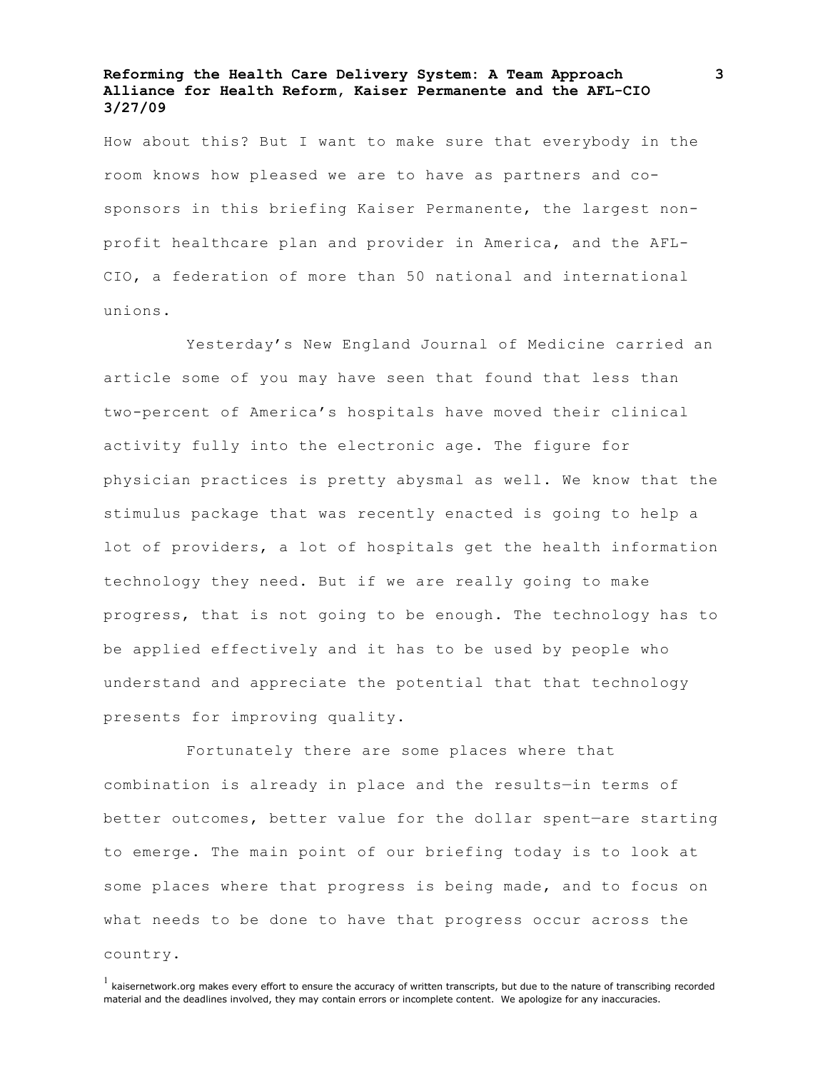How about this? But I want to make sure that everybody in the room knows how pleased we are to have as partners and cosponsors in this briefing Kaiser Permanente, the largest nonprofit healthcare plan and provider in America, and the AFL-CIO, a federation of more than 50 national and international unions.

Yesterday's New England Journal of Medicine carried an article some of you may have seen that found that less than two-percent of America's hospitals have moved their clinical activity fully into the electronic age. The figure for physician practices is pretty abysmal as well. We know that the stimulus package that was recently enacted is going to help a lot of providers, a lot of hospitals get the health information technology they need. But if we are really going to make progress, that is not going to be enough. The technology has to be applied effectively and it has to be used by people who understand and appreciate the potential that that technology presents for improving quality.

Fortunately there are some places where that combination is already in place and the results—in terms of better outcomes, better value for the dollar spent—are starting to emerge. The main point of our briefing today is to look at some places where that progress is being made, and to focus on what needs to be done to have that progress occur across the country.

 $<sup>1</sup>$  kaisernetwork.org makes every effort to ensure the accuracy of written transcripts, but due to the nature of transcribing recorded</sup> material and the deadlines involved, they may contain errors or incomplete content. We apologize for any inaccuracies.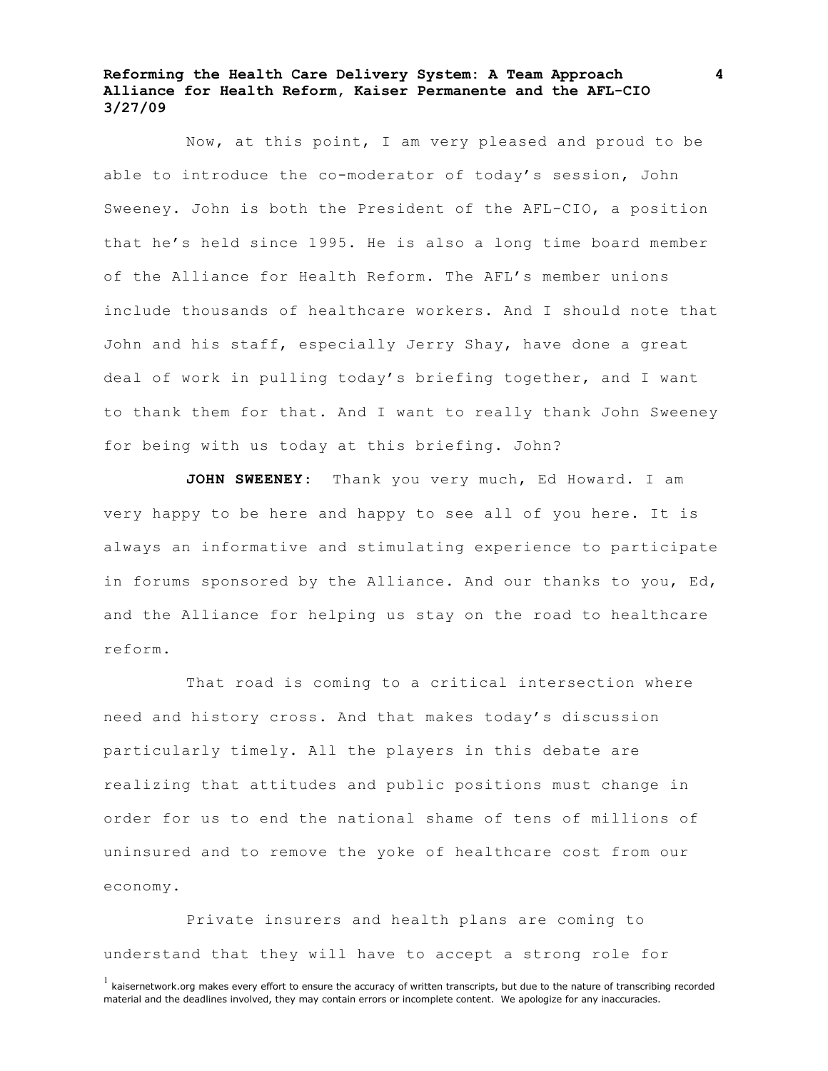Now, at this point, I am very pleased and proud to be able to introduce the co-moderator of today's session, John Sweeney. John is both the President of the AFL-CIO, a position that he's held since 1995. He is also a long time board member of the Alliance for Health Reform. The AFL's member unions include thousands of healthcare workers. And I should note that John and his staff, especially Jerry Shay, have done a great deal of work in pulling today's briefing together, and I want to thank them for that. And I want to really thank John Sweeney for being with us today at this briefing. John?

**JOHN SWEENEY**: Thank you very much, Ed Howard. I am very happy to be here and happy to see all of you here. It is always an informative and stimulating experience to participate in forums sponsored by the Alliance. And our thanks to you, Ed, and the Alliance for helping us stay on the road to healthcare reform.

That road is coming to a critical intersection where need and history cross. And that makes today's discussion particularly timely. All the players in this debate are realizing that attitudes and public positions must change in order for us to end the national shame of tens of millions of uninsured and to remove the yoke of healthcare cost from our economy.

Private insurers and health plans are coming to understand that they will have to accept a strong role for

 $<sup>1</sup>$  kaisernetwork.org makes every effort to ensure the accuracy of written transcripts, but due to the nature of transcribing recorded</sup> material and the deadlines involved, they may contain errors or incomplete content. We apologize for any inaccuracies.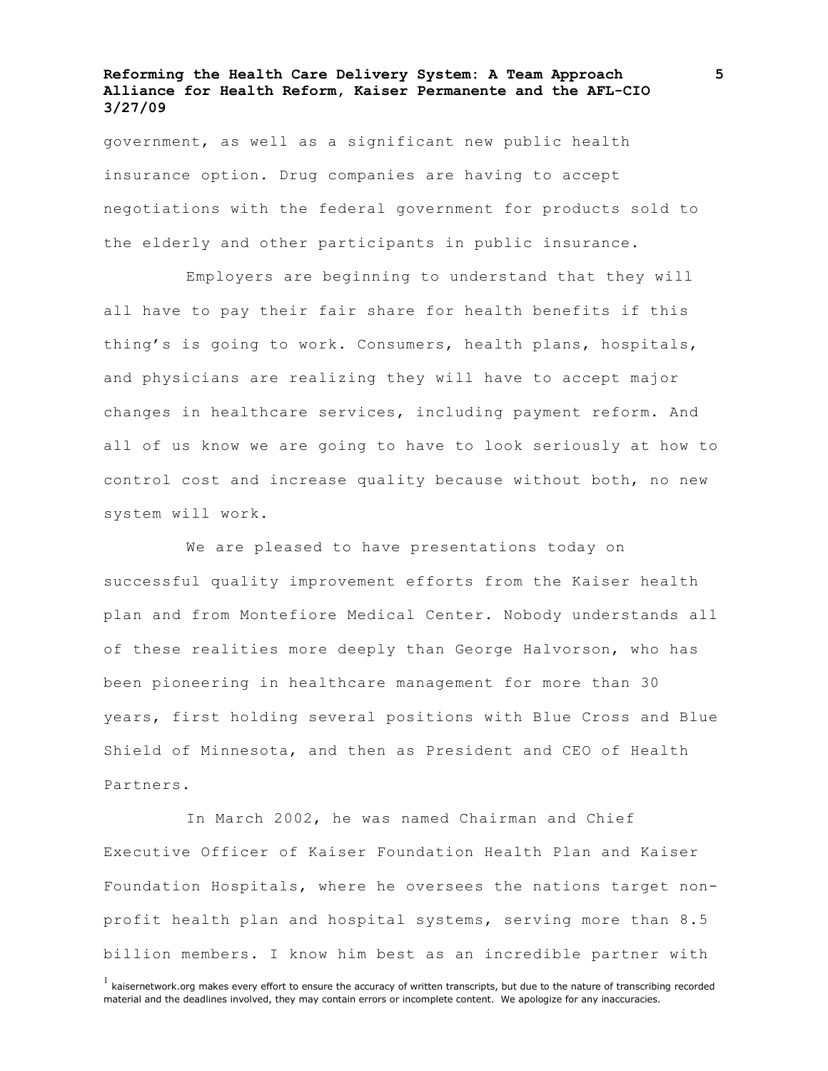government, as well as a significant new public health insurance option. Drug companies are having to accept negotiations with the federal government for products sold to the elderly and other participants in public insurance.

Employers are beginning to understand that they will all have to pay their fair share for health benefits if this thing's is going to work. Consumers, health plans, hospitals, and physicians are realizing they will have to accept major changes in healthcare services, including payment reform. And all of us know we are going to have to look seriously at how to control cost and increase quality because without both, no new system will work.

We are pleased to have presentations today on successful quality improvement efforts from the Kaiser health plan and from Montefiore Medical Center. Nobody understands all of these realities more deeply than George Halvorson, who has been pioneering in healthcare management for more than 30 years, first holding several positions with Blue Cross and Blue Shield of Minnesota, and then as President and CEO of Health Partners.

In March 2002, he was named Chairman and Chief Executive Officer of Kaiser Foundation Health Plan and Kaiser Foundation Hospitals, where he oversees the nations target nonprofit health plan and hospital systems, serving more than 8.5 billion members. I know him best as an incredible partner with

 $<sup>1</sup>$  kaisernetwork.org makes every effort to ensure the accuracy of written transcripts, but due to the nature of transcribing recorded</sup> material and the deadlines involved, they may contain errors or incomplete content. We apologize for any inaccuracies.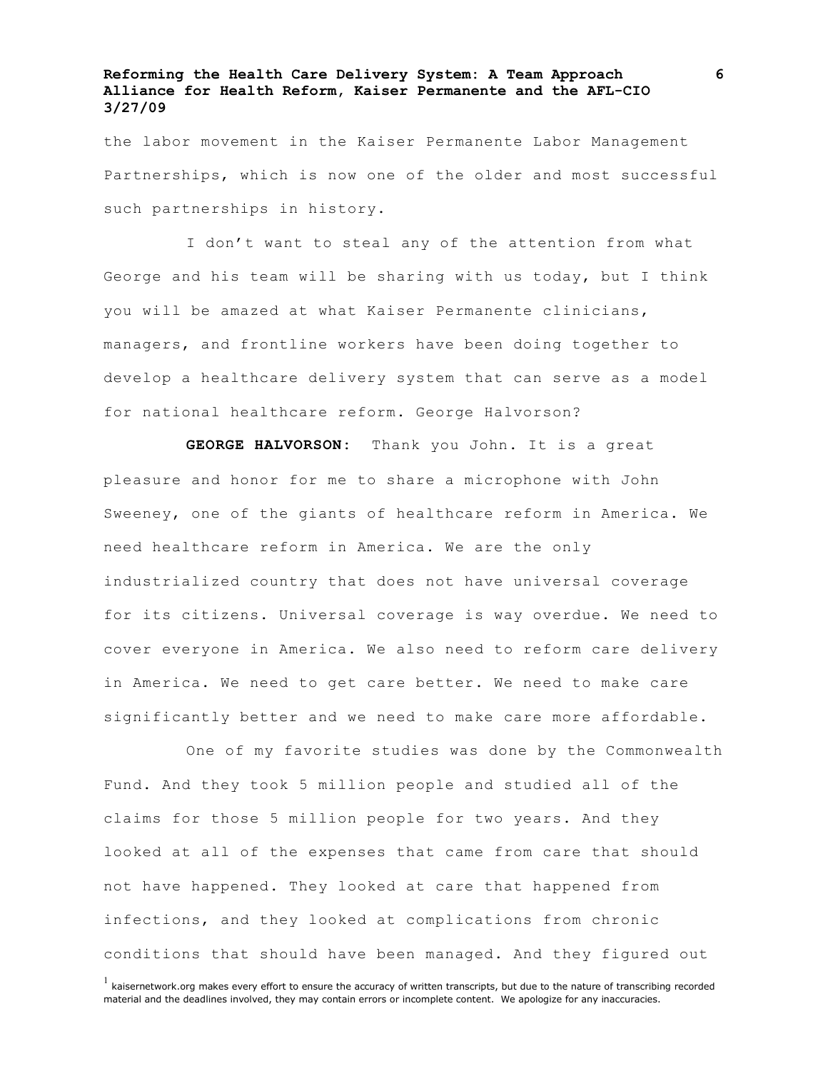the labor movement in the Kaiser Permanente Labor Management Partnerships, which is now one of the older and most successful such partnerships in history.

I don't want to steal any of the attention from what George and his team will be sharing with us today, but I think you will be amazed at what Kaiser Permanente clinicians, managers, and frontline workers have been doing together to develop a healthcare delivery system that can serve as a model for national healthcare reform. George Halvorson?

**GEORGE HALVORSON:** Thank you John. It is a great pleasure and honor for me to share a microphone with John Sweeney, one of the giants of healthcare reform in America. We need healthcare reform in America. We are the only industrialized country that does not have universal coverage for its citizens. Universal coverage is way overdue. We need to cover everyone in America. We also need to reform care delivery in America. We need to get care better. We need to make care significantly better and we need to make care more affordable.

One of my favorite studies was done by the Commonwealth Fund. And they took 5 million people and studied all of the claims for those 5 million people for two years. And they looked at all of the expenses that came from care that should not have happened. They looked at care that happened from infections, and they looked at complications from chronic conditions that should have been managed. And they figured out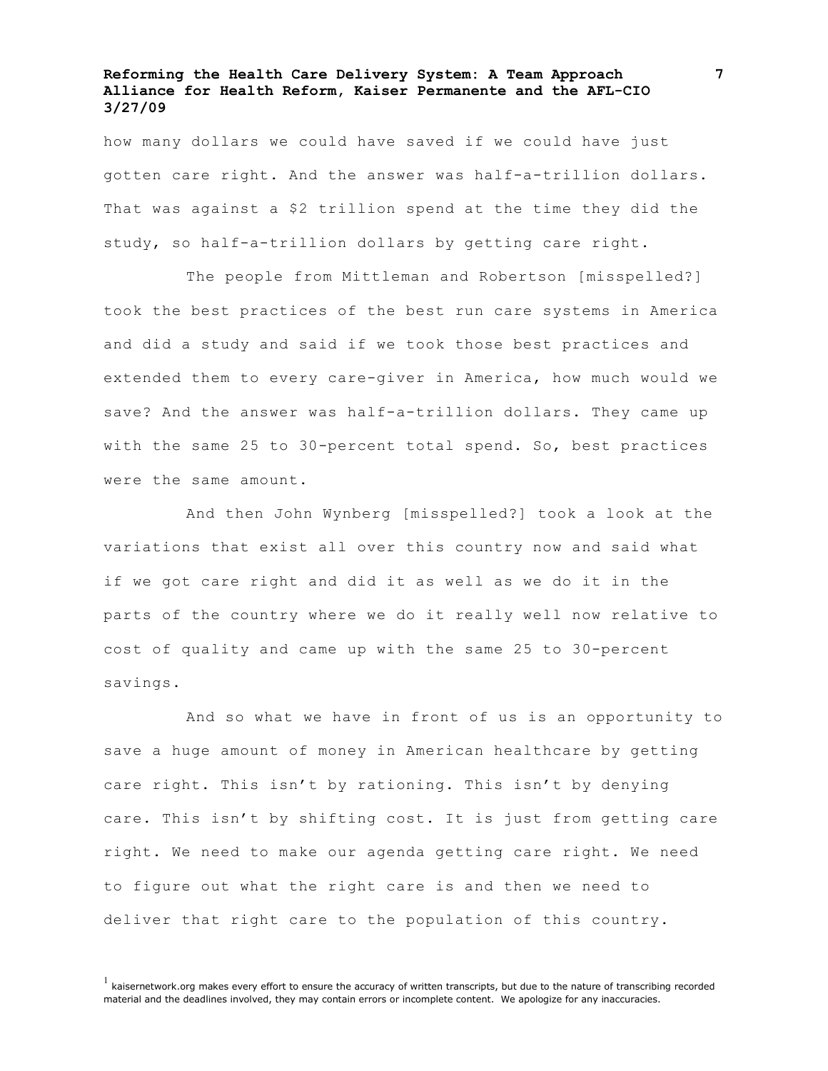how many dollars we could have saved if we could have just gotten care right. And the answer was half-a-trillion dollars. That was against a \$2 trillion spend at the time they did the study, so half-a-trillion dollars by getting care right.

The people from Mittleman and Robertson [misspelled?] took the best practices of the best run care systems in America and did a study and said if we took those best practices and extended them to every care-giver in America, how much would we save? And the answer was half-a-trillion dollars. They came up with the same 25 to 30-percent total spend. So, best practices were the same amount.

And then John Wynberg [misspelled?] took a look at the variations that exist all over this country now and said what if we got care right and did it as well as we do it in the parts of the country where we do it really well now relative to cost of quality and came up with the same 25 to 30-percent savings.

And so what we have in front of us is an opportunity to save a huge amount of money in American healthcare by getting care right. This isn't by rationing. This isn't by denying care. This isn't by shifting cost. It is just from getting care right. We need to make our agenda getting care right. We need to figure out what the right care is and then we need to deliver that right care to the population of this country.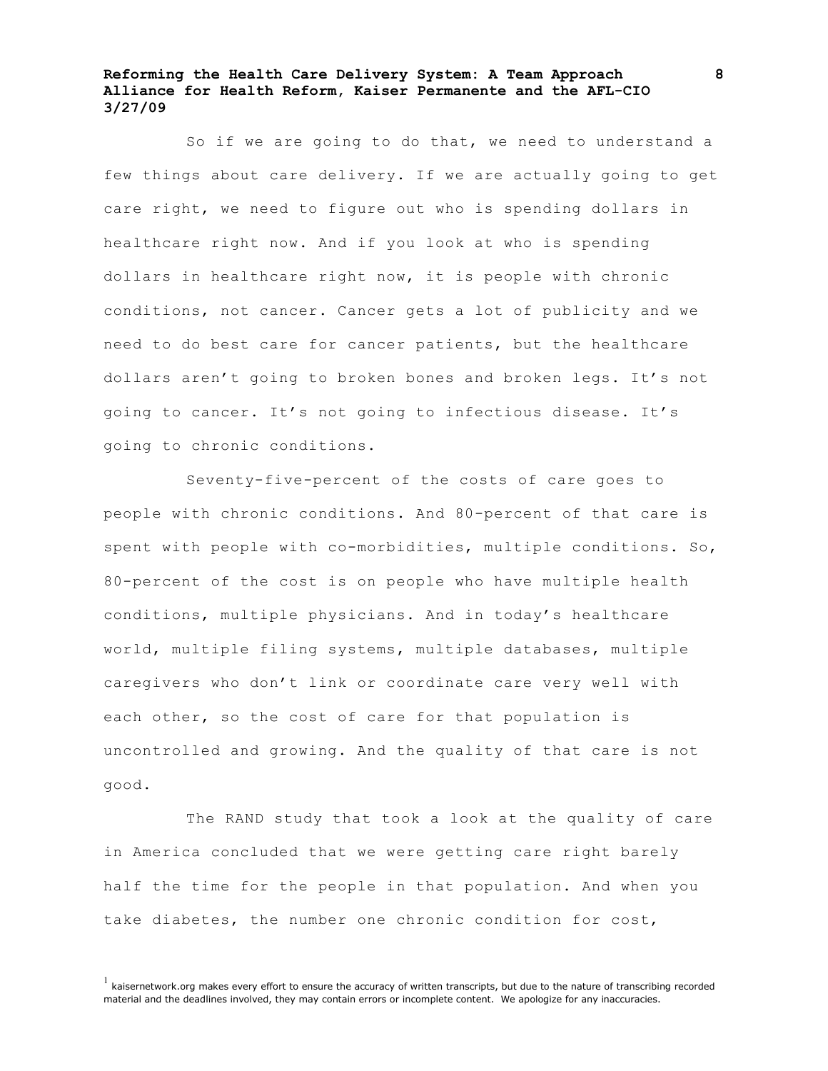So if we are going to do that, we need to understand a few things about care delivery. If we are actually going to get care right, we need to figure out who is spending dollars in healthcare right now. And if you look at who is spending dollars in healthcare right now, it is people with chronic conditions, not cancer. Cancer gets a lot of publicity and we need to do best care for cancer patients, but the healthcare dollars aren't going to broken bones and broken legs. It's not going to cancer. It's not going to infectious disease. It's going to chronic conditions.

Seventy-five-percent of the costs of care goes to people with chronic conditions. And 80-percent of that care is spent with people with co-morbidities, multiple conditions. So, 80-percent of the cost is on people who have multiple health conditions, multiple physicians. And in today's healthcare world, multiple filing systems, multiple databases, multiple caregivers who don't link or coordinate care very well with each other, so the cost of care for that population is uncontrolled and growing. And the quality of that care is not good.

The RAND study that took a look at the quality of care in America concluded that we were getting care right barely half the time for the people in that population. And when you take diabetes, the number one chronic condition for cost,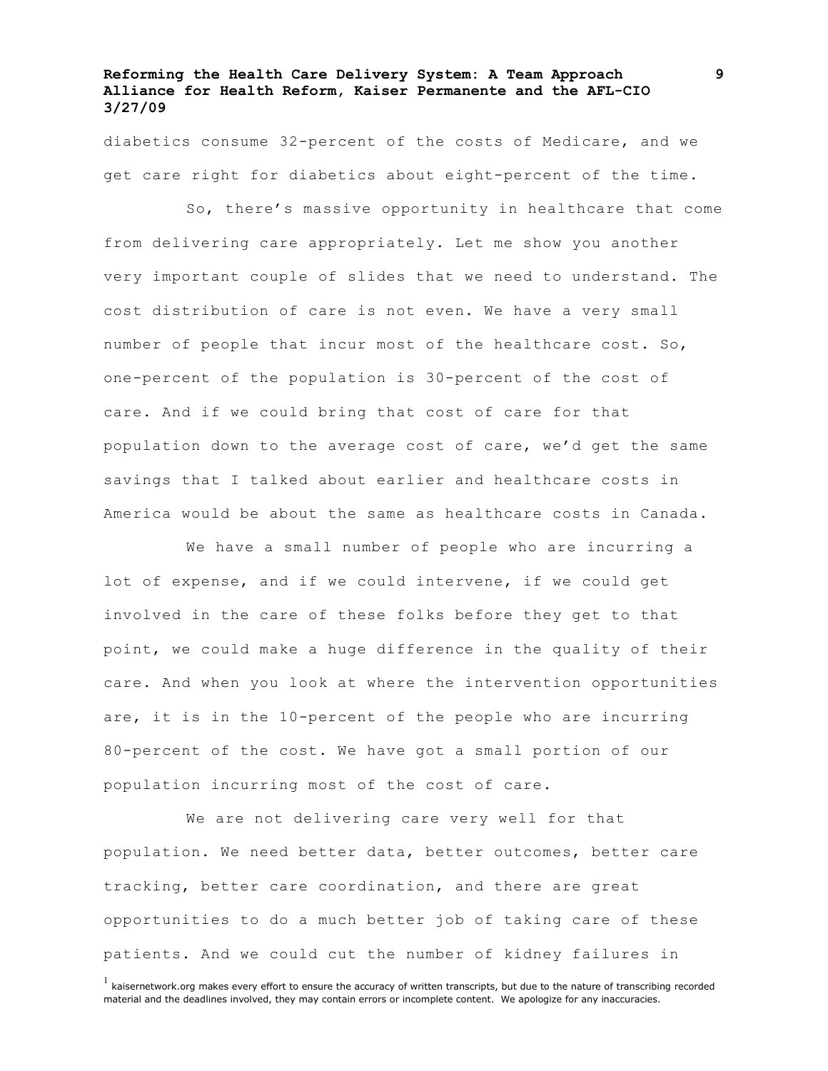diabetics consume 32-percent of the costs of Medicare, and we get care right for diabetics about eight-percent of the time.

So, there's massive opportunity in healthcare that come from delivering care appropriately. Let me show you another very important couple of slides that we need to understand. The cost distribution of care is not even. We have a very small number of people that incur most of the healthcare cost. So, one-percent of the population is 30-percent of the cost of care. And if we could bring that cost of care for that population down to the average cost of care, we'd get the same savings that I talked about earlier and healthcare costs in America would be about the same as healthcare costs in Canada.

We have a small number of people who are incurring a lot of expense, and if we could intervene, if we could get involved in the care of these folks before they get to that point, we could make a huge difference in the quality of their care. And when you look at where the intervention opportunities are, it is in the 10-percent of the people who are incurring 80-percent of the cost. We have got a small portion of our population incurring most of the cost of care.

We are not delivering care very well for that population. We need better data, better outcomes, better care tracking, better care coordination, and there are great opportunities to do a much better job of taking care of these patients. And we could cut the number of kidney failures in

 $<sup>1</sup>$  kaisernetwork.org makes every effort to ensure the accuracy of written transcripts, but due to the nature of transcribing recorded</sup> material and the deadlines involved, they may contain errors or incomplete content. We apologize for any inaccuracies.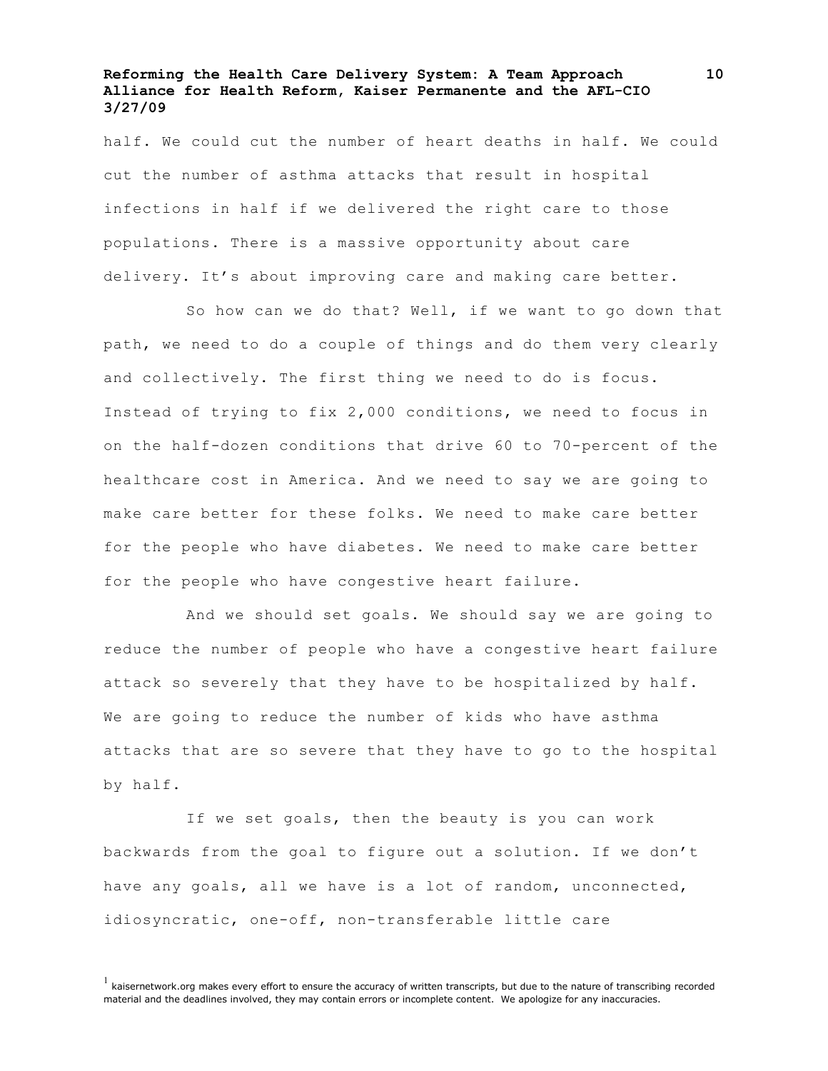half. We could cut the number of heart deaths in half. We could cut the number of asthma attacks that result in hospital infections in half if we delivered the right care to those populations. There is a massive opportunity about care delivery. It's about improving care and making care better.

So how can we do that? Well, if we want to go down that path, we need to do a couple of things and do them very clearly and collectively. The first thing we need to do is focus. Instead of trying to fix 2,000 conditions, we need to focus in on the half-dozen conditions that drive 60 to 70-percent of the healthcare cost in America. And we need to say we are going to make care better for these folks. We need to make care better for the people who have diabetes. We need to make care better for the people who have congestive heart failure.

And we should set goals. We should say we are going to reduce the number of people who have a congestive heart failure attack so severely that they have to be hospitalized by half. We are going to reduce the number of kids who have asthma attacks that are so severe that they have to go to the hospital by half.

If we set goals, then the beauty is you can work backwards from the goal to figure out a solution. If we don't have any goals, all we have is a lot of random, unconnected, idiosyncratic, one-off, non-transferable little care

 $<sup>1</sup>$  kaisernetwork.org makes every effort to ensure the accuracy of written transcripts, but due to the nature of transcribing recorded</sup> material and the deadlines involved, they may contain errors or incomplete content. We apologize for any inaccuracies.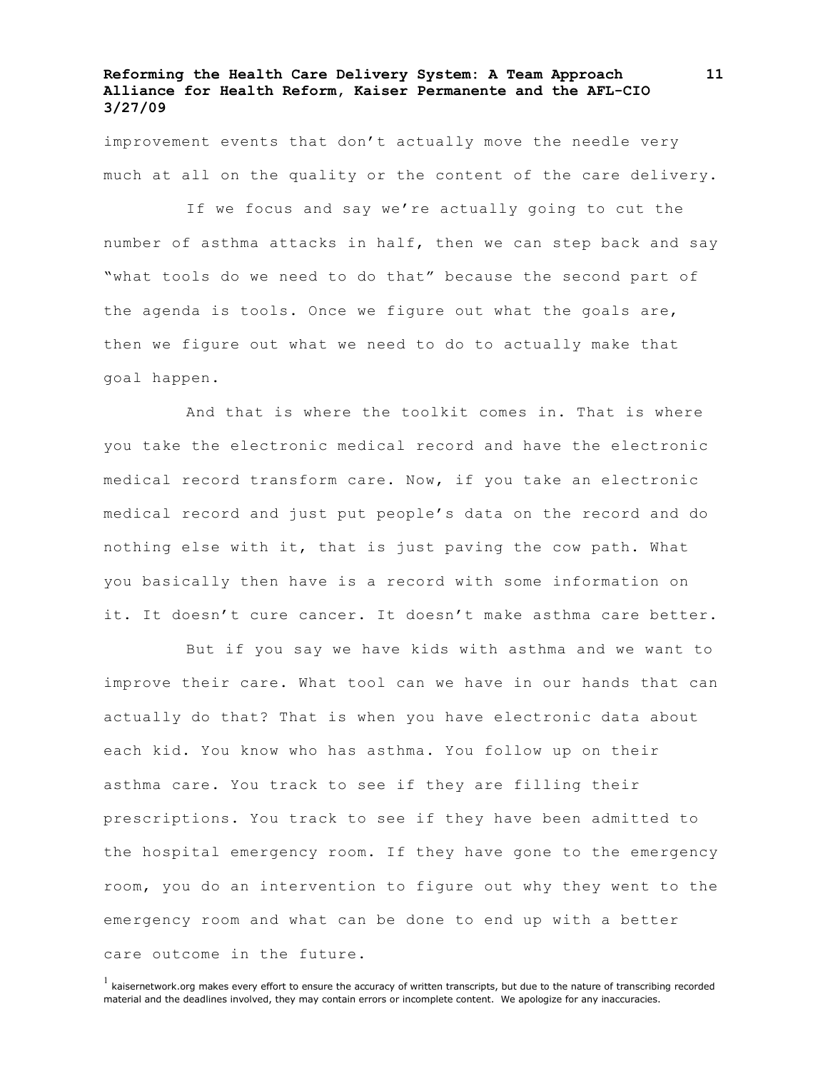improvement events that don't actually move the needle very much at all on the quality or the content of the care delivery.

If we focus and say we're actually going to cut the number of asthma attacks in half, then we can step back and say "what tools do we need to do that" because the second part of the agenda is tools. Once we figure out what the goals are, then we figure out what we need to do to actually make that goal happen.

And that is where the toolkit comes in. That is where you take the electronic medical record and have the electronic medical record transform care. Now, if you take an electronic medical record and just put people's data on the record and do nothing else with it, that is just paving the cow path. What you basically then have is a record with some information on it. It doesn't cure cancer. It doesn't make asthma care better.

But if you say we have kids with asthma and we want to improve their care. What tool can we have in our hands that can actually do that? That is when you have electronic data about each kid. You know who has asthma. You follow up on their asthma care. You track to see if they are filling their prescriptions. You track to see if they have been admitted to the hospital emergency room. If they have gone to the emergency room, you do an intervention to figure out why they went to the emergency room and what can be done to end up with a better care outcome in the future.

 $<sup>1</sup>$  kaisernetwork.org makes every effort to ensure the accuracy of written transcripts, but due to the nature of transcribing recorded</sup> material and the deadlines involved, they may contain errors or incomplete content. We apologize for any inaccuracies.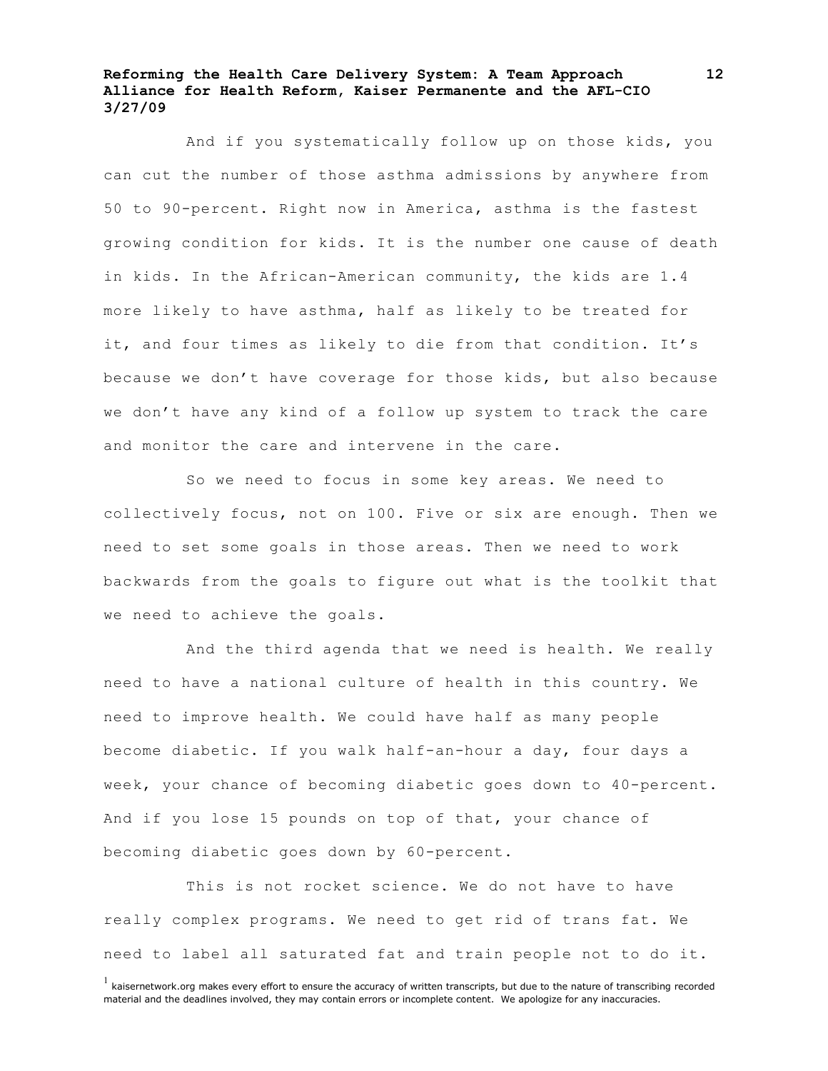And if you systematically follow up on those kids, you can cut the number of those asthma admissions by anywhere from 50 to 90-percent. Right now in America, asthma is the fastest growing condition for kids. It is the number one cause of death in kids. In the African-American community, the kids are 1.4 more likely to have asthma, half as likely to be treated for it, and four times as likely to die from that condition. It's because we don't have coverage for those kids, but also because we don't have any kind of a follow up system to track the care and monitor the care and intervene in the care.

So we need to focus in some key areas. We need to collectively focus, not on 100. Five or six are enough. Then we need to set some goals in those areas. Then we need to work backwards from the goals to figure out what is the toolkit that we need to achieve the goals.

And the third agenda that we need is health. We really need to have a national culture of health in this country. We need to improve health. We could have half as many people become diabetic. If you walk half-an-hour a day, four days a week, your chance of becoming diabetic goes down to 40-percent. And if you lose 15 pounds on top of that, your chance of becoming diabetic goes down by 60-percent.

This is not rocket science. We do not have to have really complex programs. We need to get rid of trans fat. We need to label all saturated fat and train people not to do it.

 $<sup>1</sup>$  kaisernetwork.org makes every effort to ensure the accuracy of written transcripts, but due to the nature of transcribing recorded</sup> material and the deadlines involved, they may contain errors or incomplete content. We apologize for any inaccuracies.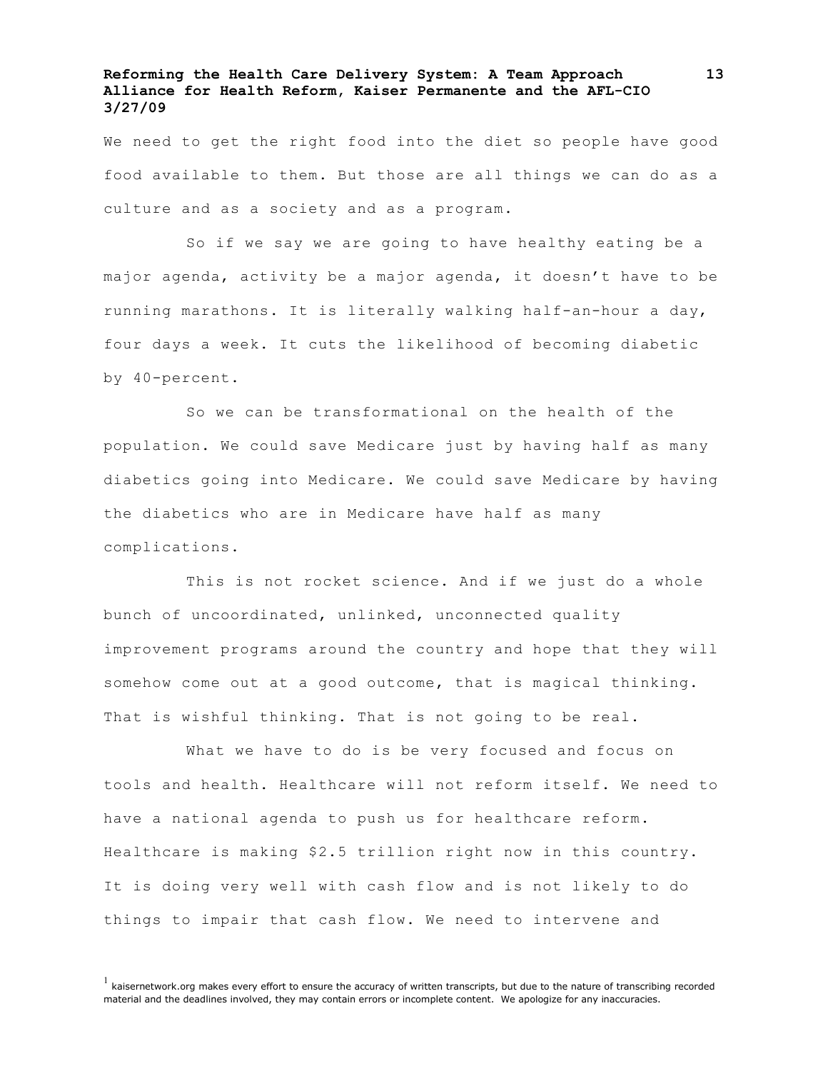We need to get the right food into the diet so people have good food available to them. But those are all things we can do as a culture and as a society and as a program.

So if we say we are going to have healthy eating be a major agenda, activity be a major agenda, it doesn't have to be running marathons. It is literally walking half-an-hour a day, four days a week. It cuts the likelihood of becoming diabetic by 40-percent.

So we can be transformational on the health of the population. We could save Medicare just by having half as many diabetics going into Medicare. We could save Medicare by having the diabetics who are in Medicare have half as many complications.

This is not rocket science. And if we just do a whole bunch of uncoordinated, unlinked, unconnected quality improvement programs around the country and hope that they will somehow come out at a good outcome, that is magical thinking. That is wishful thinking. That is not going to be real.

What we have to do is be very focused and focus on tools and health. Healthcare will not reform itself. We need to have a national agenda to push us for healthcare reform. Healthcare is making \$2.5 trillion right now in this country. It is doing very well with cash flow and is not likely to do things to impair that cash flow. We need to intervene and

 $<sup>1</sup>$  kaisernetwork.org makes every effort to ensure the accuracy of written transcripts, but due to the nature of transcribing recorded</sup> material and the deadlines involved, they may contain errors or incomplete content. We apologize for any inaccuracies.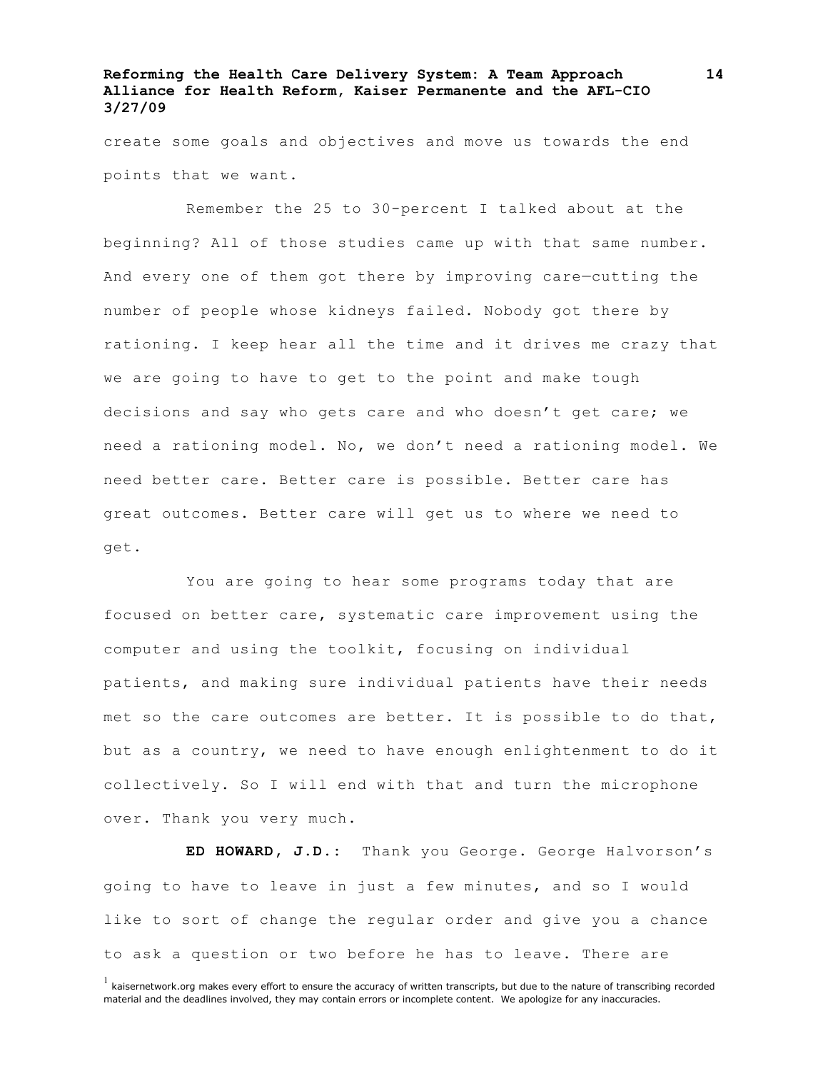create some goals and objectives and move us towards the end points that we want.

Remember the 25 to 30-percent I talked about at the beginning? All of those studies came up with that same number. And every one of them got there by improving care—cutting the number of people whose kidneys failed. Nobody got there by rationing. I keep hear all the time and it drives me crazy that we are going to have to get to the point and make tough decisions and say who gets care and who doesn't get care; we need a rationing model. No, we don't need a rationing model. We need better care. Better care is possible. Better care has great outcomes. Better care will get us to where we need to get.

You are going to hear some programs today that are focused on better care, systematic care improvement using the computer and using the toolkit, focusing on individual patients, and making sure individual patients have their needs met so the care outcomes are better. It is possible to do that, but as a country, we need to have enough enlightenment to do it collectively. So I will end with that and turn the microphone over. Thank you very much.

**ED HOWARD, J.D.:** Thank you George. George Halvorson's going to have to leave in just a few minutes, and so I would like to sort of change the regular order and give you a chance to ask a question or two before he has to leave. There are

 $<sup>1</sup>$  kaisernetwork.org makes every effort to ensure the accuracy of written transcripts, but due to the nature of transcribing recorded</sup> material and the deadlines involved, they may contain errors or incomplete content. We apologize for any inaccuracies.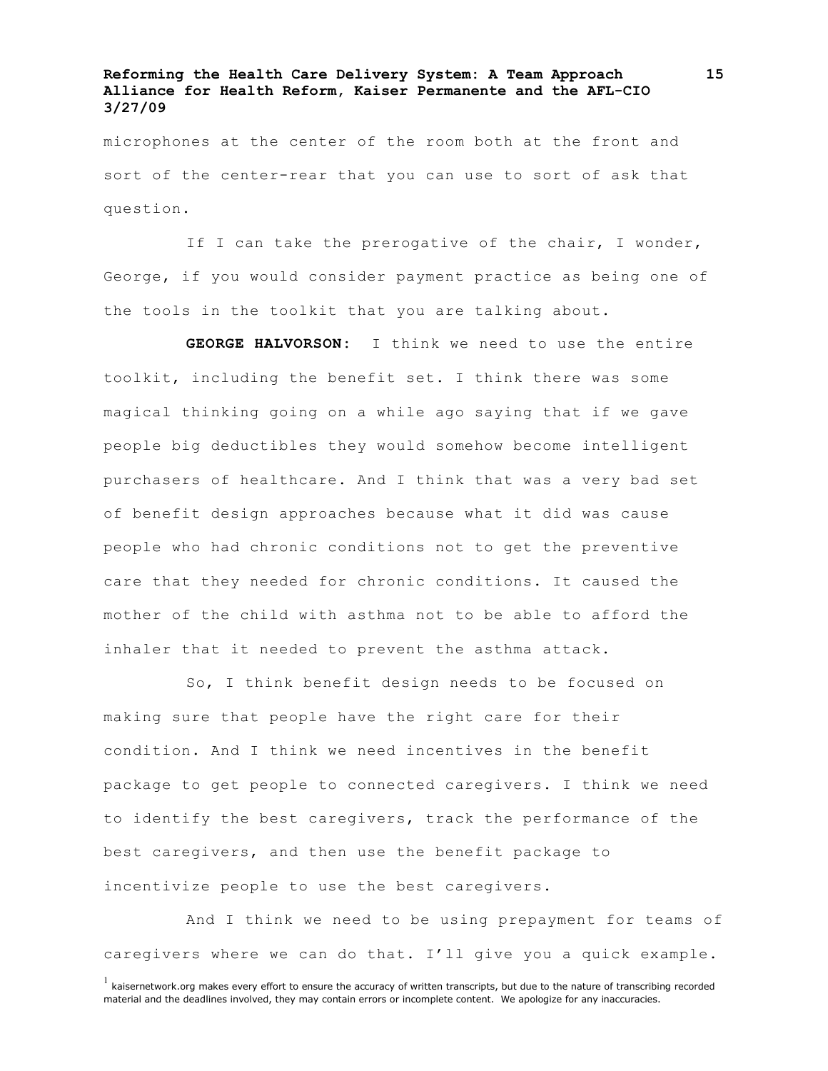microphones at the center of the room both at the front and sort of the center-rear that you can use to sort of ask that question.

If I can take the prerogative of the chair, I wonder, George, if you would consider payment practice as being one of the tools in the toolkit that you are talking about.

**GEORGE HALVORSON:** I think we need to use the entire toolkit, including the benefit set. I think there was some magical thinking going on a while ago saying that if we gave people big deductibles they would somehow become intelligent purchasers of healthcare. And I think that was a very bad set of benefit design approaches because what it did was cause people who had chronic conditions not to get the preventive care that they needed for chronic conditions. It caused the mother of the child with asthma not to be able to afford the inhaler that it needed to prevent the asthma attack.

So, I think benefit design needs to be focused on making sure that people have the right care for their condition. And I think we need incentives in the benefit package to get people to connected caregivers. I think we need to identify the best caregivers, track the performance of the best caregivers, and then use the benefit package to incentivize people to use the best caregivers.

And I think we need to be using prepayment for teams of caregivers where we can do that. I'll give you a quick example.

 $<sup>1</sup>$  kaisernetwork.org makes every effort to ensure the accuracy of written transcripts, but due to the nature of transcribing recorded</sup> material and the deadlines involved, they may contain errors or incomplete content. We apologize for any inaccuracies.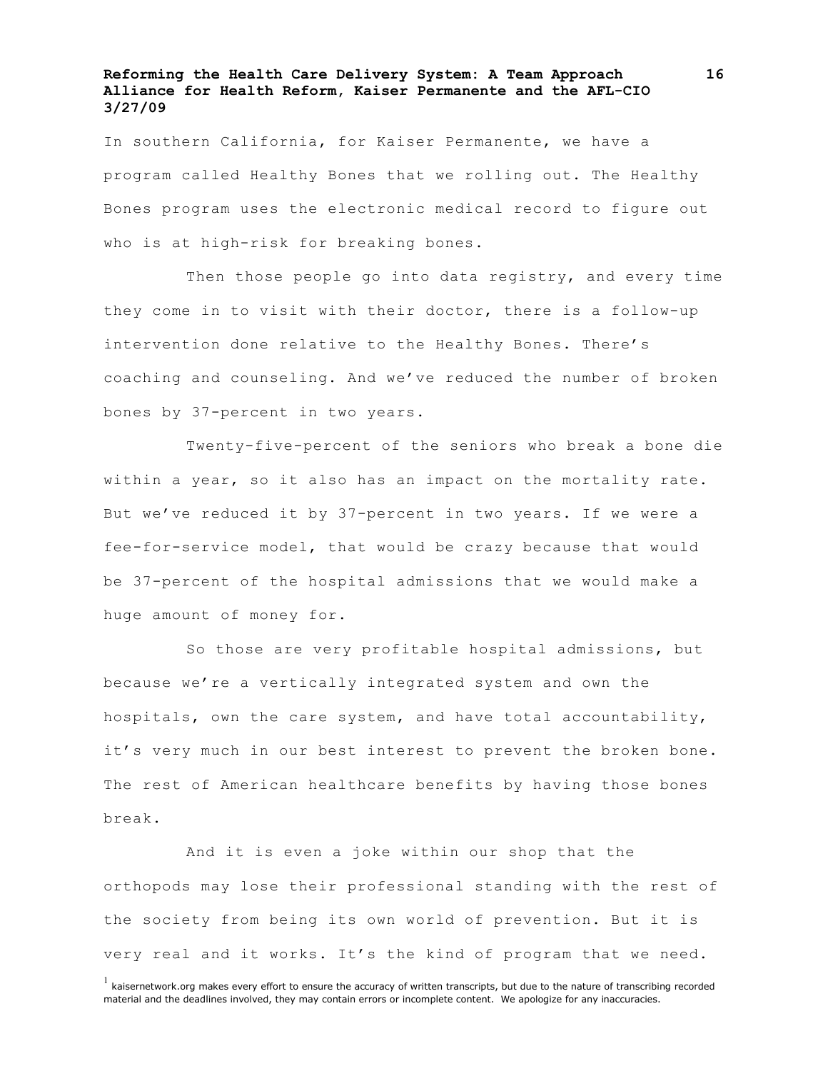In southern California, for Kaiser Permanente, we have a program called Healthy Bones that we rolling out. The Healthy Bones program uses the electronic medical record to figure out who is at high-risk for breaking bones.

Then those people go into data registry, and every time they come in to visit with their doctor, there is a follow-up intervention done relative to the Healthy Bones. There's coaching and counseling. And we've reduced the number of broken bones by 37-percent in two years.

Twenty-five-percent of the seniors who break a bone die within a year, so it also has an impact on the mortality rate. But we've reduced it by 37-percent in two years. If we were a fee-for-service model, that would be crazy because that would be 37-percent of the hospital admissions that we would make a huge amount of money for.

So those are very profitable hospital admissions, but because we're a vertically integrated system and own the hospitals, own the care system, and have total accountability, it's very much in our best interest to prevent the broken bone. The rest of American healthcare benefits by having those bones break.

And it is even a joke within our shop that the orthopods may lose their professional standing with the rest of the society from being its own world of prevention. But it is very real and it works. It's the kind of program that we need.

 $<sup>1</sup>$  kaisernetwork.org makes every effort to ensure the accuracy of written transcripts, but due to the nature of transcribing recorded</sup> material and the deadlines involved, they may contain errors or incomplete content. We apologize for any inaccuracies.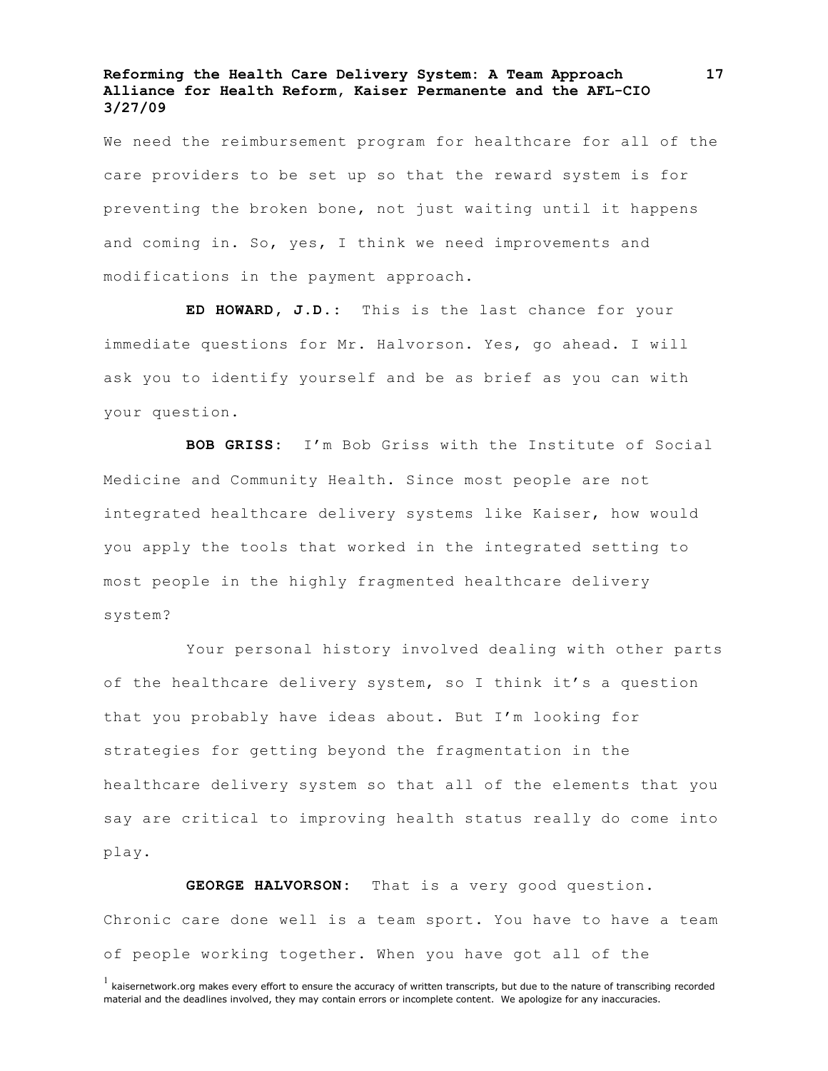We need the reimbursement program for healthcare for all of the care providers to be set up so that the reward system is for preventing the broken bone, not just waiting until it happens and coming in. So, yes, I think we need improvements and modifications in the payment approach.

**ED HOWARD, J.D.:** This is the last chance for your immediate questions for Mr. Halvorson. Yes, go ahead. I will ask you to identify yourself and be as brief as you can with your question.

**BOB GRISS:** I'm Bob Griss with the Institute of Social Medicine and Community Health. Since most people are not integrated healthcare delivery systems like Kaiser, how would you apply the tools that worked in the integrated setting to most people in the highly fragmented healthcare delivery system?

Your personal history involved dealing with other parts of the healthcare delivery system, so I think it's a question that you probably have ideas about. But I'm looking for strategies for getting beyond the fragmentation in the healthcare delivery system so that all of the elements that you say are critical to improving health status really do come into play.

**GEORGE HALVORSON:** That is a very good question. Chronic care done well is a team sport. You have to have a team of people working together. When you have got all of the

 $<sup>1</sup>$  kaisernetwork.org makes every effort to ensure the accuracy of written transcripts, but due to the nature of transcribing recorded</sup> material and the deadlines involved, they may contain errors or incomplete content. We apologize for any inaccuracies.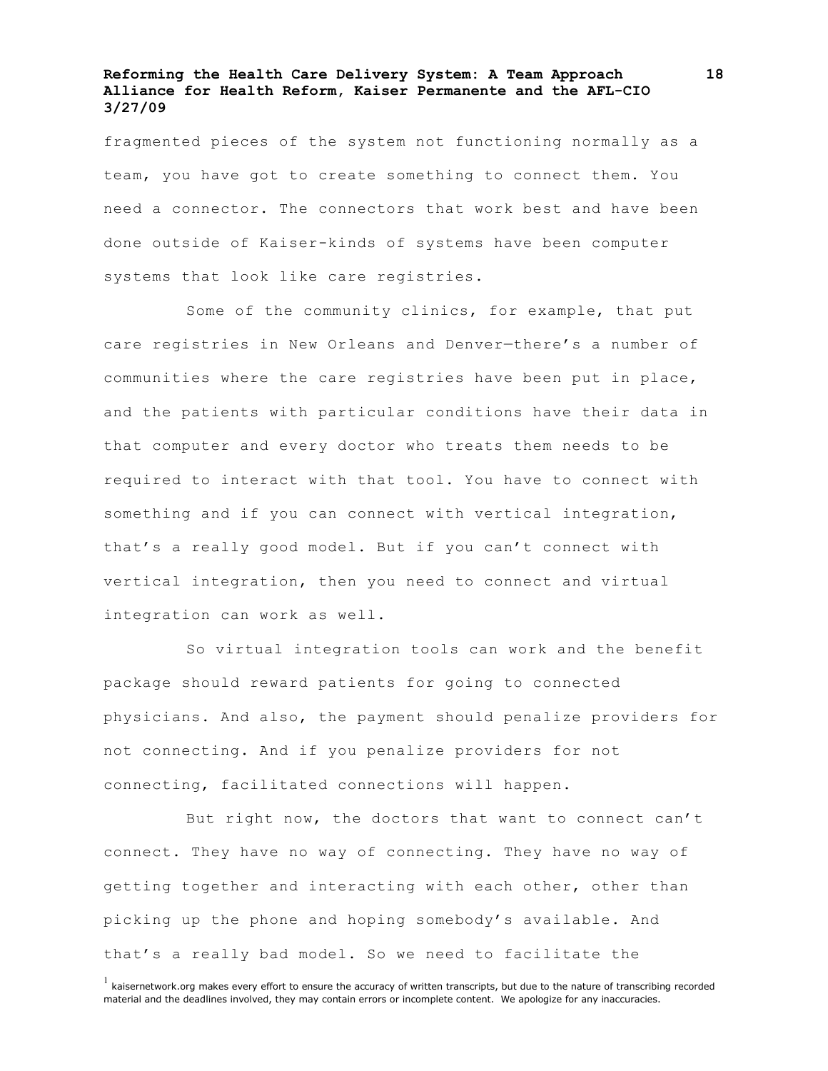fragmented pieces of the system not functioning normally as a team, you have got to create something to connect them. You need a connector. The connectors that work best and have been done outside of Kaiser-kinds of systems have been computer systems that look like care registries.

Some of the community clinics, for example, that put care registries in New Orleans and Denver—there's a number of communities where the care registries have been put in place, and the patients with particular conditions have their data in that computer and every doctor who treats them needs to be required to interact with that tool. You have to connect with something and if you can connect with vertical integration, that's a really good model. But if you can't connect with vertical integration, then you need to connect and virtual integration can work as well.

So virtual integration tools can work and the benefit package should reward patients for going to connected physicians. And also, the payment should penalize providers for not connecting. And if you penalize providers for not connecting, facilitated connections will happen.

But right now, the doctors that want to connect can't connect. They have no way of connecting. They have no way of getting together and interacting with each other, other than picking up the phone and hoping somebody's available. And that's a really bad model. So we need to facilitate the

 $<sup>1</sup>$  kaisernetwork.org makes every effort to ensure the accuracy of written transcripts, but due to the nature of transcribing recorded</sup> material and the deadlines involved, they may contain errors or incomplete content. We apologize for any inaccuracies.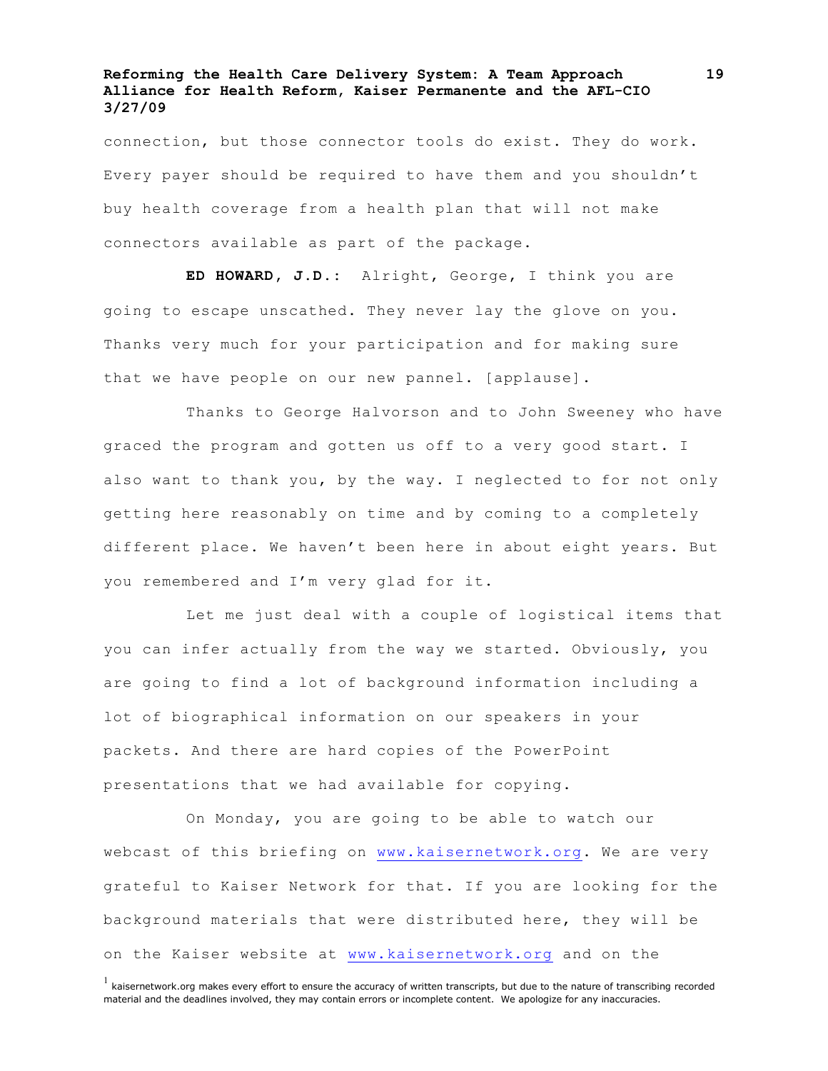connection, but those connector tools do exist. They do work. Every payer should be required to have them and you shouldn't buy health coverage from a health plan that will not make connectors available as part of the package.

**ED HOWARD, J.D.:** Alright, George, I think you are going to escape unscathed. They never lay the glove on you. Thanks very much for your participation and for making sure that we have people on our new pannel. [applause].

Thanks to George Halvorson and to John Sweeney who have graced the program and gotten us off to a very good start. I also want to thank you, by the way. I neglected to for not only getting here reasonably on time and by coming to a completely different place. We haven't been here in about eight years. But you remembered and I'm very glad for it.

Let me just deal with a couple of logistical items that you can infer actually from the way we started. Obviously, you are going to find a lot of background information including a lot of biographical information on our speakers in your packets. And there are hard copies of the PowerPoint presentations that we had available for copying.

On Monday, you are going to be able to watch our webcast of this briefing on www.kaisernetwork.org. We are very grateful to Kaiser Network for that. If you are looking for the background materials that were distributed here, they will be on the Kaiser website at www.kaisernetwork.org and on the

 $<sup>1</sup>$  kaisernetwork.org makes every effort to ensure the accuracy of written transcripts, but due to the nature of transcribing recorded</sup> material and the deadlines involved, they may contain errors or incomplete content. We apologize for any inaccuracies.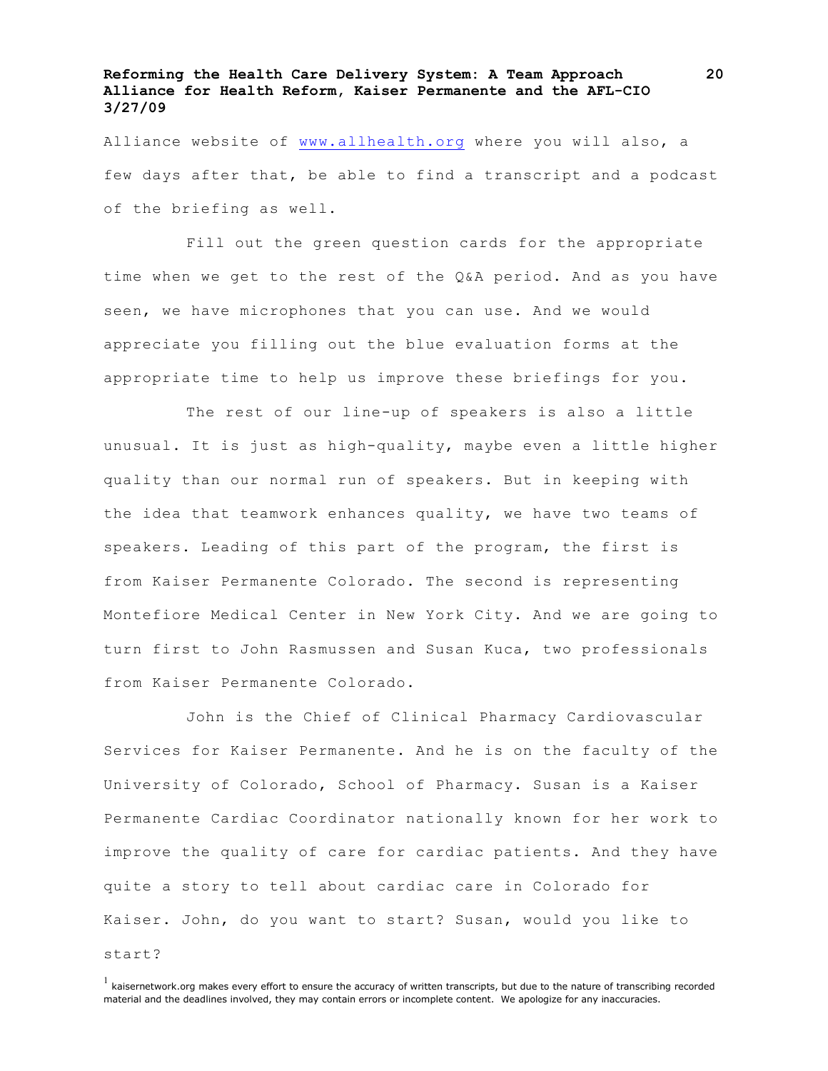Alliance website of www.allhealth.org where you will also, a few days after that, be able to find a transcript and a podcast of the briefing as well.

Fill out the green question cards for the appropriate time when we get to the rest of the Q&A period. And as you have seen, we have microphones that you can use. And we would appreciate you filling out the blue evaluation forms at the appropriate time to help us improve these briefings for you.

The rest of our line-up of speakers is also a little unusual. It is just as high-quality, maybe even a little higher quality than our normal run of speakers. But in keeping with the idea that teamwork enhances quality, we have two teams of speakers. Leading of this part of the program, the first is from Kaiser Permanente Colorado. The second is representing Montefiore Medical Center in New York City. And we are going to turn first to John Rasmussen and Susan Kuca, two professionals from Kaiser Permanente Colorado.

John is the Chief of Clinical Pharmacy Cardiovascular Services for Kaiser Permanente. And he is on the faculty of the University of Colorado, School of Pharmacy. Susan is a Kaiser Permanente Cardiac Coordinator nationally known for her work to improve the quality of care for cardiac patients. And they have quite a story to tell about cardiac care in Colorado for Kaiser. John, do you want to start? Susan, would you like to

start?

 $<sup>1</sup>$  kaisernetwork.org makes every effort to ensure the accuracy of written transcripts, but due to the nature of transcribing recorded</sup> material and the deadlines involved, they may contain errors or incomplete content. We apologize for any inaccuracies.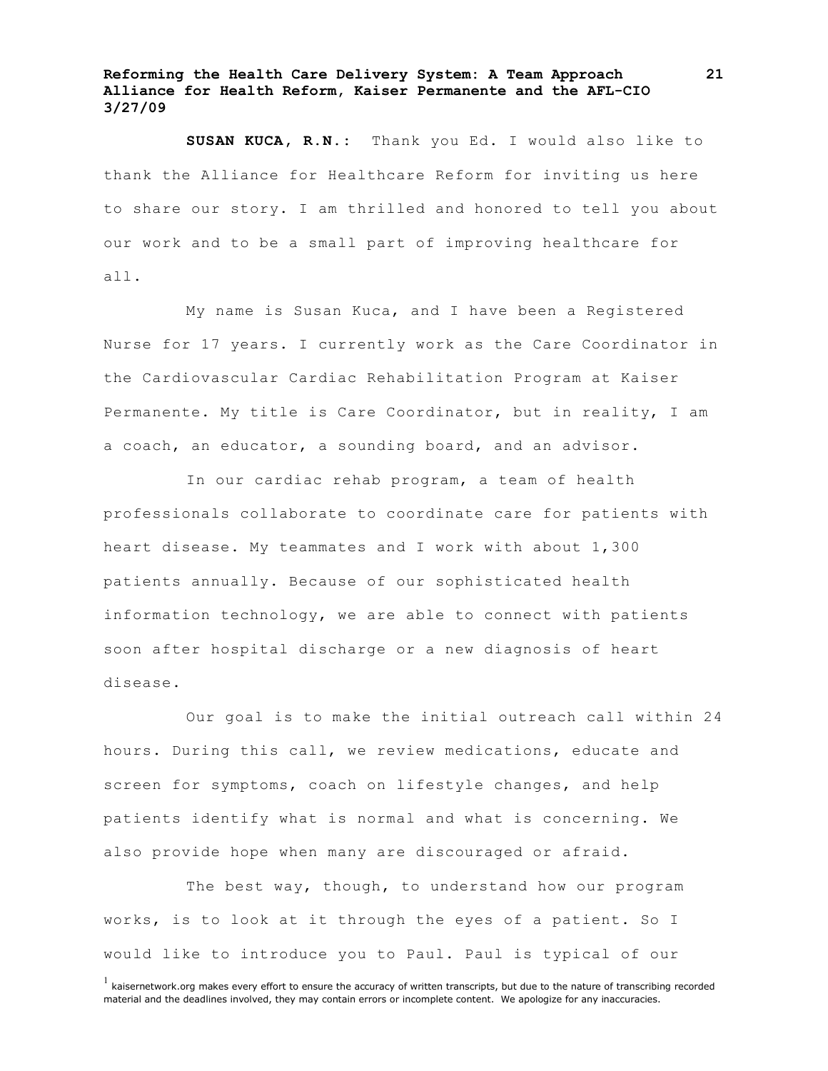**SUSAN KUCA, R.N.:** Thank you Ed. I would also like to thank the Alliance for Healthcare Reform for inviting us here to share our story. I am thrilled and honored to tell you about our work and to be a small part of improving healthcare for all.

My name is Susan Kuca, and I have been a Registered Nurse for 17 years. I currently work as the Care Coordinator in the Cardiovascular Cardiac Rehabilitation Program at Kaiser Permanente. My title is Care Coordinator, but in reality, I am a coach, an educator, a sounding board, and an advisor.

In our cardiac rehab program, a team of health professionals collaborate to coordinate care for patients with heart disease. My teammates and I work with about 1,300 patients annually. Because of our sophisticated health information technology, we are able to connect with patients soon after hospital discharge or a new diagnosis of heart disease.

Our goal is to make the initial outreach call within 24 hours. During this call, we review medications, educate and screen for symptoms, coach on lifestyle changes, and help patients identify what is normal and what is concerning. We also provide hope when many are discouraged or afraid.

The best way, though, to understand how our program works, is to look at it through the eyes of a patient. So I would like to introduce you to Paul. Paul is typical of our

 $<sup>1</sup>$  kaisernetwork.org makes every effort to ensure the accuracy of written transcripts, but due to the nature of transcribing recorded</sup> material and the deadlines involved, they may contain errors or incomplete content. We apologize for any inaccuracies.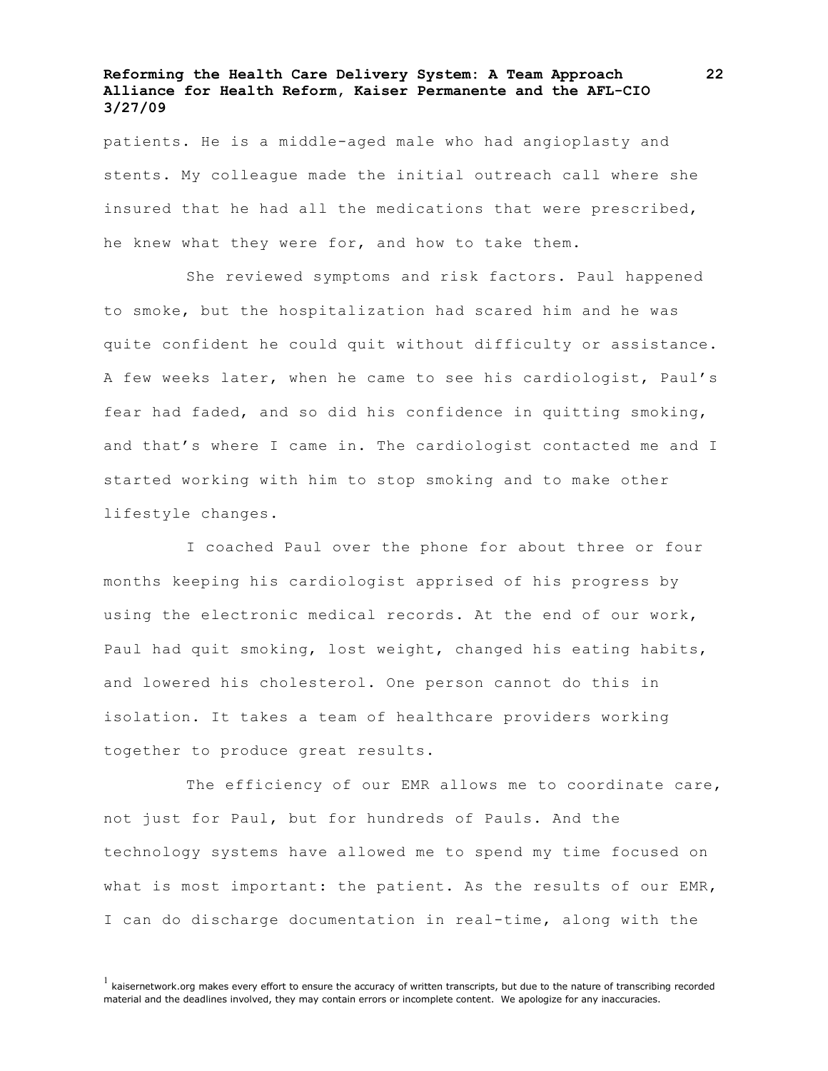patients. He is a middle-aged male who had angioplasty and stents. My colleague made the initial outreach call where she insured that he had all the medications that were prescribed, he knew what they were for, and how to take them.

She reviewed symptoms and risk factors. Paul happened to smoke, but the hospitalization had scared him and he was quite confident he could quit without difficulty or assistance. A few weeks later, when he came to see his cardiologist, Paul's fear had faded, and so did his confidence in quitting smoking, and that's where I came in. The cardiologist contacted me and I started working with him to stop smoking and to make other lifestyle changes.

I coached Paul over the phone for about three or four months keeping his cardiologist apprised of his progress by using the electronic medical records. At the end of our work, Paul had quit smoking, lost weight, changed his eating habits, and lowered his cholesterol. One person cannot do this in isolation. It takes a team of healthcare providers working together to produce great results.

The efficiency of our EMR allows me to coordinate care, not just for Paul, but for hundreds of Pauls. And the technology systems have allowed me to spend my time focused on what is most important: the patient. As the results of our EMR, I can do discharge documentation in real-time, along with the

 $<sup>1</sup>$  kaisernetwork.org makes every effort to ensure the accuracy of written transcripts, but due to the nature of transcribing recorded</sup> material and the deadlines involved, they may contain errors or incomplete content. We apologize for any inaccuracies.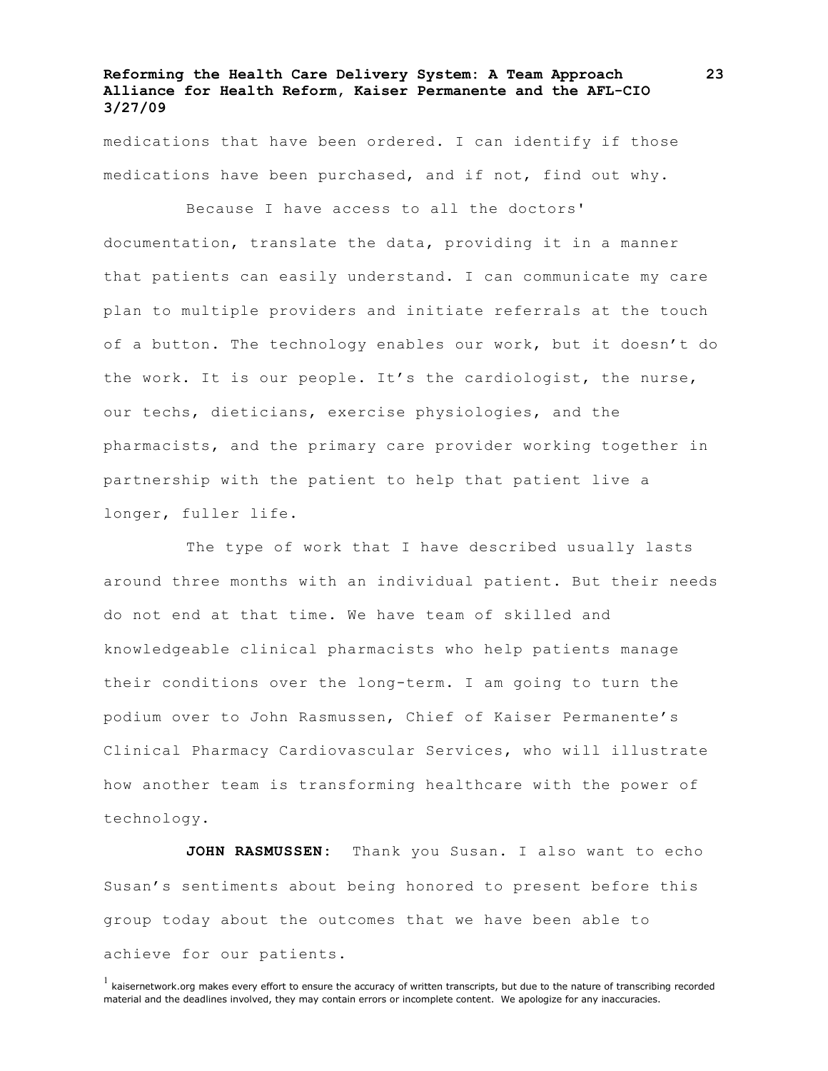medications that have been ordered. I can identify if those medications have been purchased, and if not, find out why.

Because I have access to all the doctors' documentation, translate the data, providing it in a manner that patients can easily understand. I can communicate my care plan to multiple providers and initiate referrals at the touch of a button. The technology enables our work, but it doesn't do the work. It is our people. It's the cardiologist, the nurse, our techs, dieticians, exercise physiologies, and the pharmacists, and the primary care provider working together in partnership with the patient to help that patient live a longer, fuller life.

The type of work that I have described usually lasts around three months with an individual patient. But their needs do not end at that time. We have team of skilled and knowledgeable clinical pharmacists who help patients manage their conditions over the long-term. I am going to turn the podium over to John Rasmussen, Chief of Kaiser Permanente's Clinical Pharmacy Cardiovascular Services, who will illustrate how another team is transforming healthcare with the power of technology.

**JOHN RASMUSSEN:** Thank you Susan. I also want to echo Susan's sentiments about being honored to present before this group today about the outcomes that we have been able to achieve for our patients.

 $<sup>1</sup>$  kaisernetwork.org makes every effort to ensure the accuracy of written transcripts, but due to the nature of transcribing recorded</sup> material and the deadlines involved, they may contain errors or incomplete content. We apologize for any inaccuracies.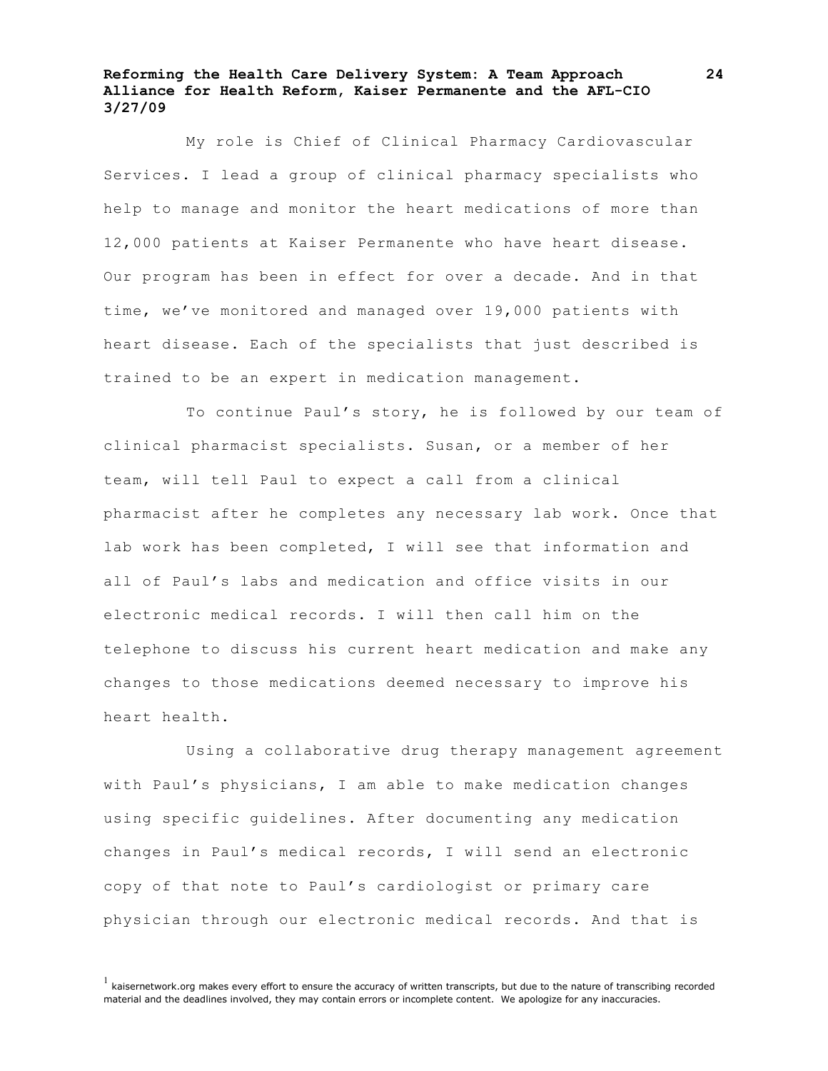My role is Chief of Clinical Pharmacy Cardiovascular Services. I lead a group of clinical pharmacy specialists who help to manage and monitor the heart medications of more than 12,000 patients at Kaiser Permanente who have heart disease. Our program has been in effect for over a decade. And in that time, we've monitored and managed over 19,000 patients with heart disease. Each of the specialists that just described is trained to be an expert in medication management.

To continue Paul's story, he is followed by our team of clinical pharmacist specialists. Susan, or a member of her team, will tell Paul to expect a call from a clinical pharmacist after he completes any necessary lab work. Once that lab work has been completed, I will see that information and all of Paul's labs and medication and office visits in our electronic medical records. I will then call him on the telephone to discuss his current heart medication and make any changes to those medications deemed necessary to improve his heart health.

Using a collaborative drug therapy management agreement with Paul's physicians, I am able to make medication changes using specific guidelines. After documenting any medication changes in Paul's medical records, I will send an electronic copy of that note to Paul's cardiologist or primary care physician through our electronic medical records. And that is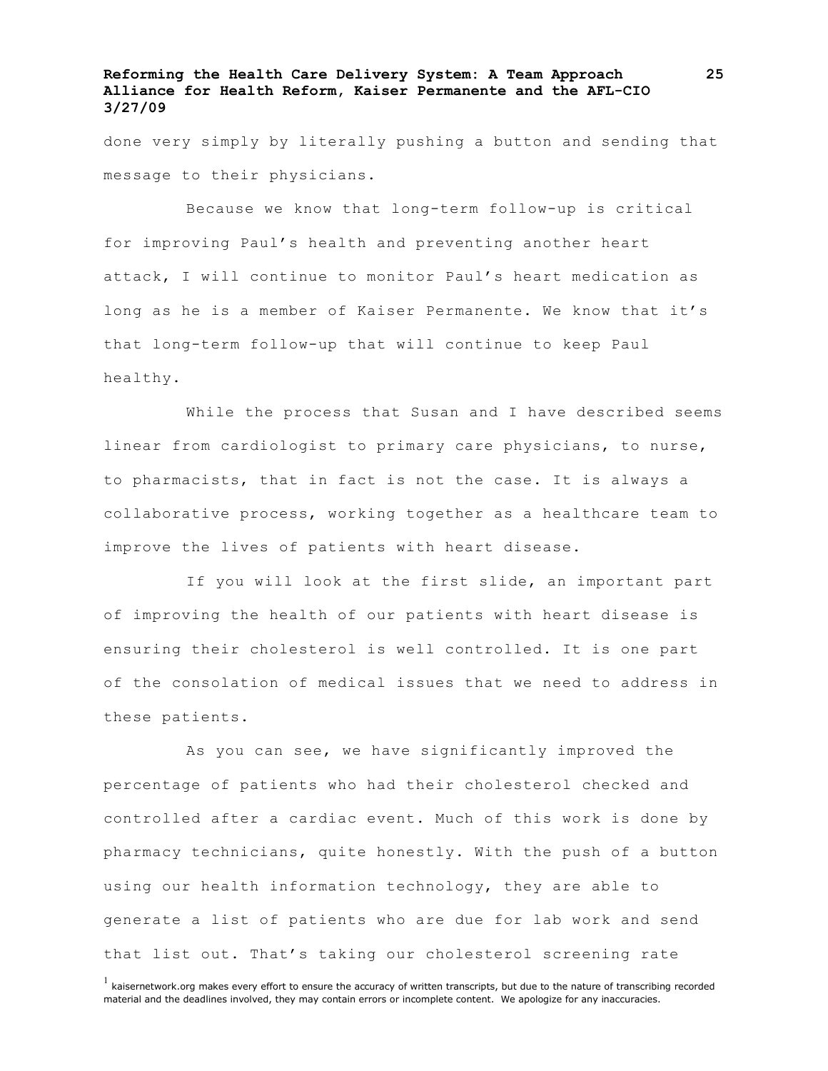done very simply by literally pushing a button and sending that message to their physicians.

Because we know that long-term follow-up is critical for improving Paul's health and preventing another heart attack, I will continue to monitor Paul's heart medication as long as he is a member of Kaiser Permanente. We know that it's that long-term follow-up that will continue to keep Paul healthy.

While the process that Susan and I have described seems linear from cardiologist to primary care physicians, to nurse, to pharmacists, that in fact is not the case. It is always a collaborative process, working together as a healthcare team to improve the lives of patients with heart disease.

If you will look at the first slide, an important part of improving the health of our patients with heart disease is ensuring their cholesterol is well controlled. It is one part of the consolation of medical issues that we need to address in these patients.

As you can see, we have significantly improved the percentage of patients who had their cholesterol checked and controlled after a cardiac event. Much of this work is done by pharmacy technicians, quite honestly. With the push of a button using our health information technology, they are able to generate a list of patients who are due for lab work and send that list out. That's taking our cholesterol screening rate

 $<sup>1</sup>$  kaisernetwork.org makes every effort to ensure the accuracy of written transcripts, but due to the nature of transcribing recorded</sup> material and the deadlines involved, they may contain errors or incomplete content. We apologize for any inaccuracies.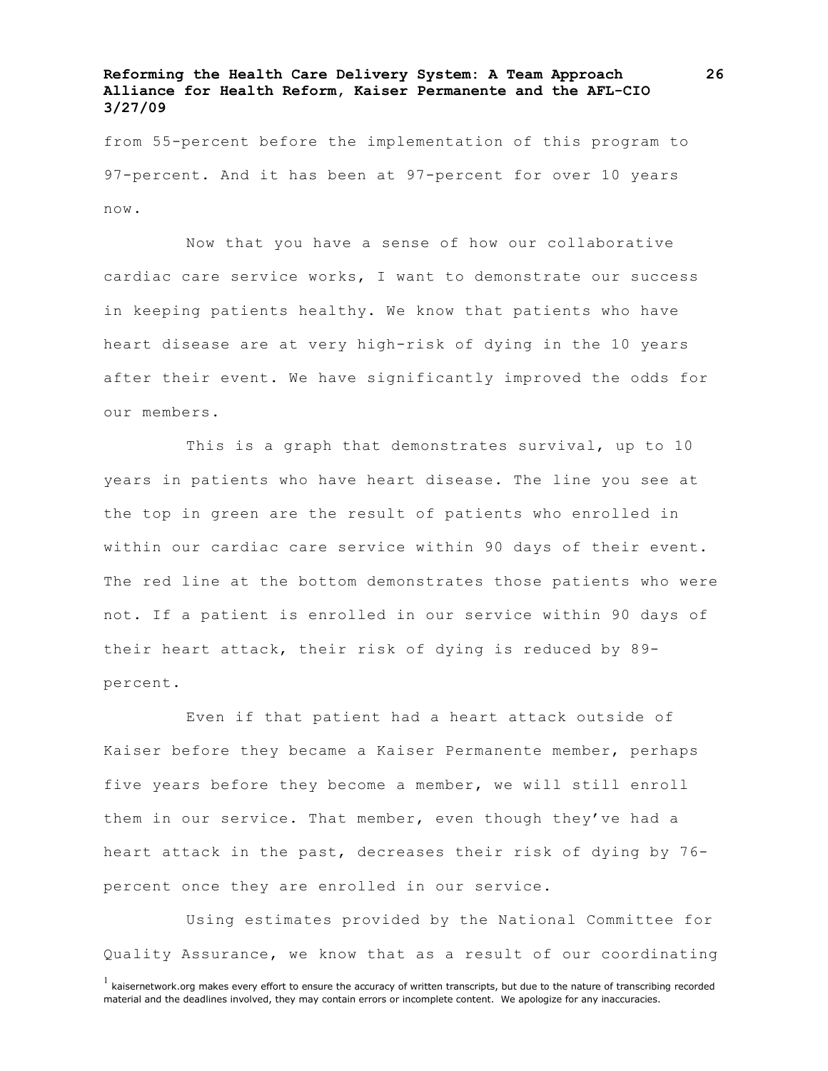from 55-percent before the implementation of this program to 97-percent. And it has been at 97-percent for over 10 years now.

Now that you have a sense of how our collaborative cardiac care service works, I want to demonstrate our success in keeping patients healthy. We know that patients who have heart disease are at very high-risk of dying in the 10 years after their event. We have significantly improved the odds for our members.

This is a graph that demonstrates survival, up to 10 years in patients who have heart disease. The line you see at the top in green are the result of patients who enrolled in within our cardiac care service within 90 days of their event. The red line at the bottom demonstrates those patients who were not. If a patient is enrolled in our service within 90 days of their heart attack, their risk of dying is reduced by 89 percent.

Even if that patient had a heart attack outside of Kaiser before they became a Kaiser Permanente member, perhaps five years before they become a member, we will still enroll them in our service. That member, even though they've had a heart attack in the past, decreases their risk of dying by 76 percent once they are enrolled in our service.

Using estimates provided by the National Committee for Quality Assurance, we know that as a result of our coordinating

 $<sup>1</sup>$  kaisernetwork.org makes every effort to ensure the accuracy of written transcripts, but due to the nature of transcribing recorded</sup> material and the deadlines involved, they may contain errors or incomplete content. We apologize for any inaccuracies.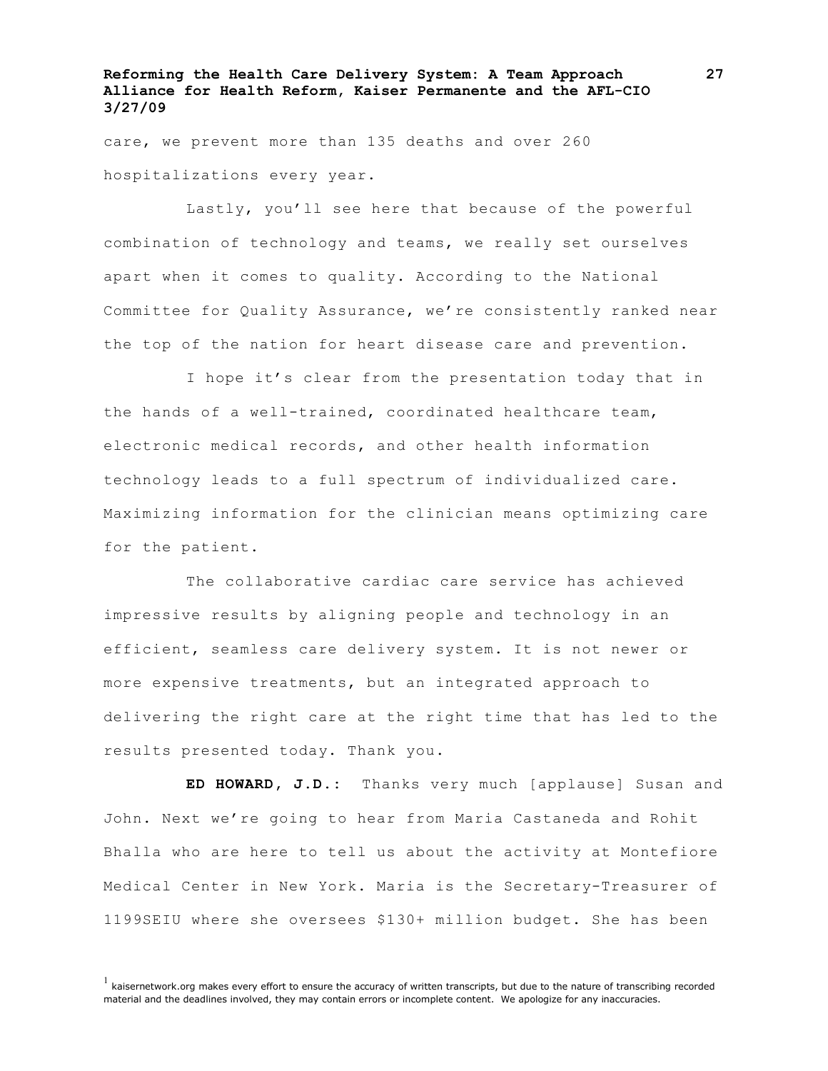care, we prevent more than 135 deaths and over 260 hospitalizations every year.

Lastly, you'll see here that because of the powerful combination of technology and teams, we really set ourselves apart when it comes to quality. According to the National Committee for Quality Assurance, we're consistently ranked near the top of the nation for heart disease care and prevention.

I hope it's clear from the presentation today that in the hands of a well-trained, coordinated healthcare team, electronic medical records, and other health information technology leads to a full spectrum of individualized care. Maximizing information for the clinician means optimizing care for the patient.

The collaborative cardiac care service has achieved impressive results by aligning people and technology in an efficient, seamless care delivery system. It is not newer or more expensive treatments, but an integrated approach to delivering the right care at the right time that has led to the results presented today. Thank you.

**ED HOWARD, J.D.:** Thanks very much [applause] Susan and John. Next we're going to hear from Maria Castaneda and Rohit Bhalla who are here to tell us about the activity at Montefiore Medical Center in New York. Maria is the Secretary-Treasurer of 1199SEIU where she oversees \$130+ million budget. She has been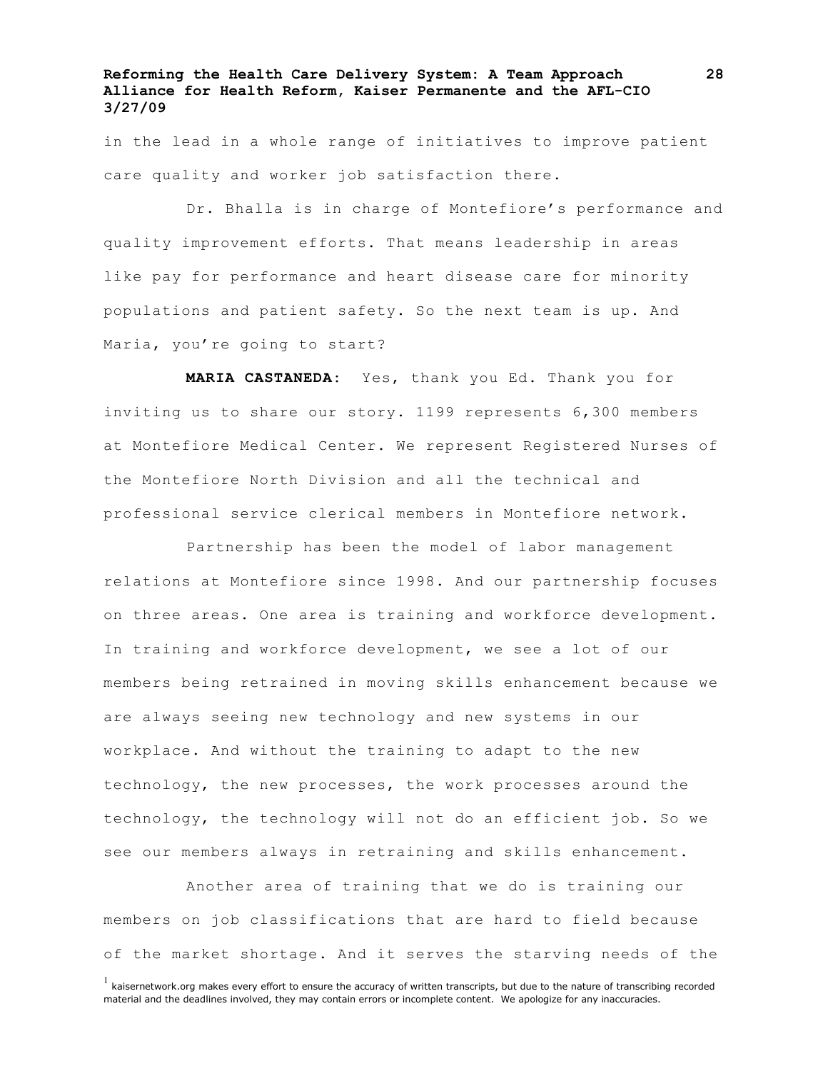in the lead in a whole range of initiatives to improve patient care quality and worker job satisfaction there.

Dr. Bhalla is in charge of Montefiore's performance and quality improvement efforts. That means leadership in areas like pay for performance and heart disease care for minority populations and patient safety. So the next team is up. And Maria, you're going to start?

**MARIA CASTANEDA:** Yes, thank you Ed. Thank you for inviting us to share our story. 1199 represents 6,300 members at Montefiore Medical Center. We represent Registered Nurses of the Montefiore North Division and all the technical and professional service clerical members in Montefiore network.

Partnership has been the model of labor management relations at Montefiore since 1998. And our partnership focuses on three areas. One area is training and workforce development. In training and workforce development, we see a lot of our members being retrained in moving skills enhancement because we are always seeing new technology and new systems in our workplace. And without the training to adapt to the new technology, the new processes, the work processes around the technology, the technology will not do an efficient job. So we see our members always in retraining and skills enhancement.

Another area of training that we do is training our members on job classifications that are hard to field because of the market shortage. And it serves the starving needs of the

 $<sup>1</sup>$  kaisernetwork.org makes every effort to ensure the accuracy of written transcripts, but due to the nature of transcribing recorded</sup> material and the deadlines involved, they may contain errors or incomplete content. We apologize for any inaccuracies.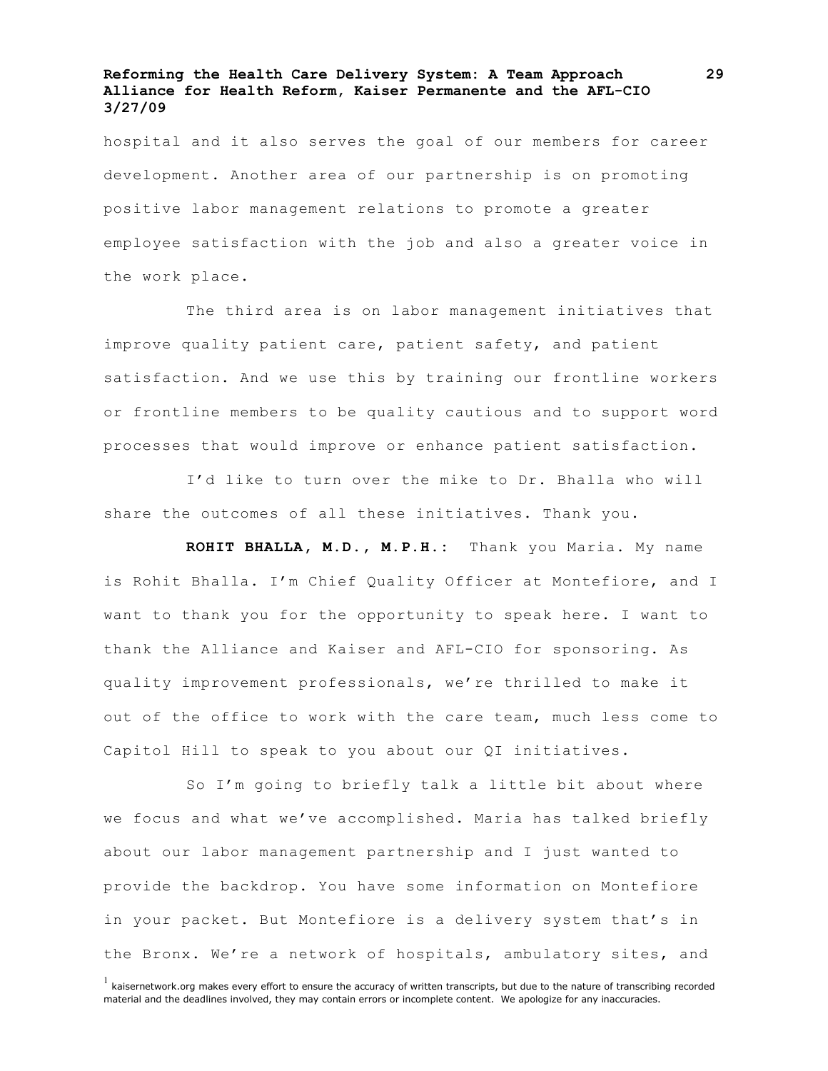hospital and it also serves the goal of our members for career development. Another area of our partnership is on promoting positive labor management relations to promote a greater employee satisfaction with the job and also a greater voice in the work place.

The third area is on labor management initiatives that improve quality patient care, patient safety, and patient satisfaction. And we use this by training our frontline workers or frontline members to be quality cautious and to support word processes that would improve or enhance patient satisfaction.

I'd like to turn over the mike to Dr. Bhalla who will share the outcomes of all these initiatives. Thank you.

**ROHIT BHALLA, M.D., M.P.H.:** Thank you Maria. My name is Rohit Bhalla. I'm Chief Quality Officer at Montefiore, and I want to thank you for the opportunity to speak here. I want to thank the Alliance and Kaiser and AFL-CIO for sponsoring. As quality improvement professionals, we're thrilled to make it out of the office to work with the care team, much less come to Capitol Hill to speak to you about our QI initiatives.

So I'm going to briefly talk a little bit about where we focus and what we've accomplished. Maria has talked briefly about our labor management partnership and I just wanted to provide the backdrop. You have some information on Montefiore in your packet. But Montefiore is a delivery system that's in the Bronx. We're a network of hospitals, ambulatory sites, and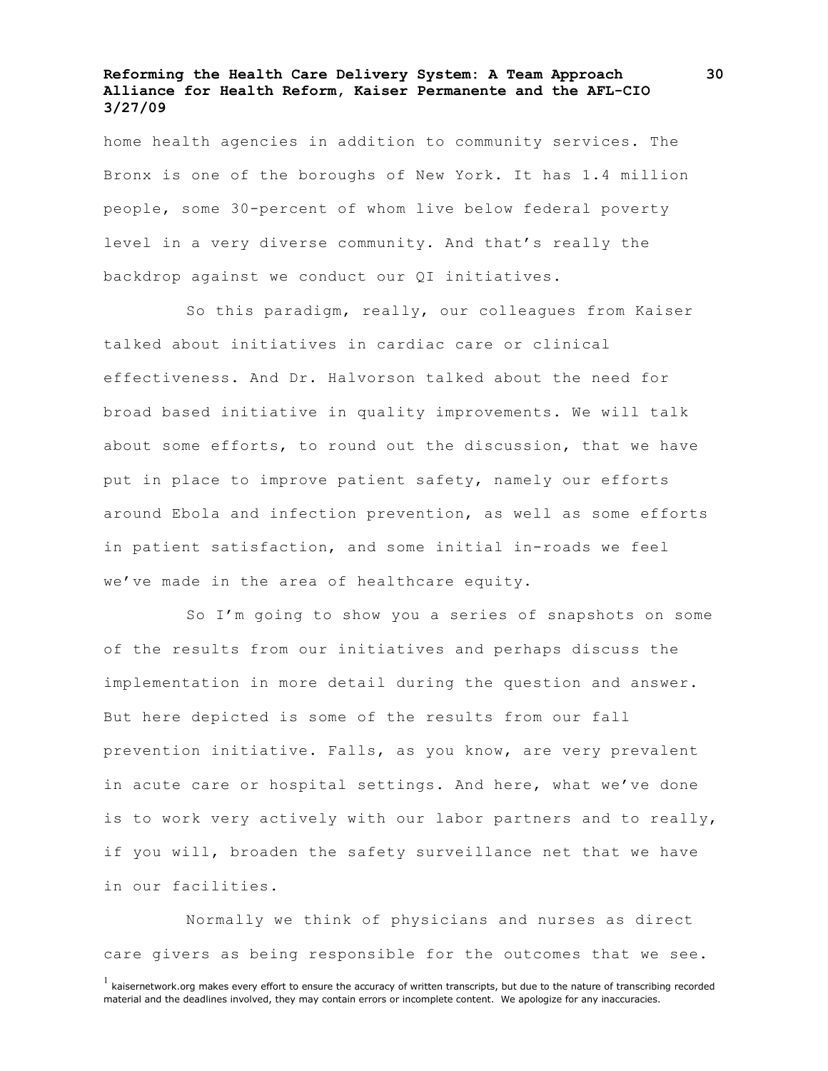home health agencies in addition to community services. The Bronx is one of the boroughs of New York. It has 1.4 million people, some 30-percent of whom live below federal poverty level in a very diverse community. And that's really the backdrop against we conduct our QI initiatives.

So this paradigm, really, our colleagues from Kaiser talked about initiatives in cardiac care or clinical effectiveness. And Dr. Halvorson talked about the need for broad based initiative in quality improvements. We will talk about some efforts, to round out the discussion, that we have put in place to improve patient safety, namely our efforts around Ebola and infection prevention, as well as some efforts in patient satisfaction, and some initial in-roads we feel we've made in the area of healthcare equity.

So I'm going to show you a series of snapshots on some of the results from our initiatives and perhaps discuss the implementation in more detail during the question and answer. But here depicted is some of the results from our fall prevention initiative. Falls, as you know, are very prevalent in acute care or hospital settings. And here, what we've done is to work very actively with our labor partners and to really, if you will, broaden the safety surveillance net that we have in our facilities.

Normally we think of physicians and nurses as direct care givers as being responsible for the outcomes that we see.

 $<sup>1</sup>$  kaisernetwork.org makes every effort to ensure the accuracy of written transcripts, but due to the nature of transcribing recorded</sup> material and the deadlines involved, they may contain errors or incomplete content. We apologize for any inaccuracies.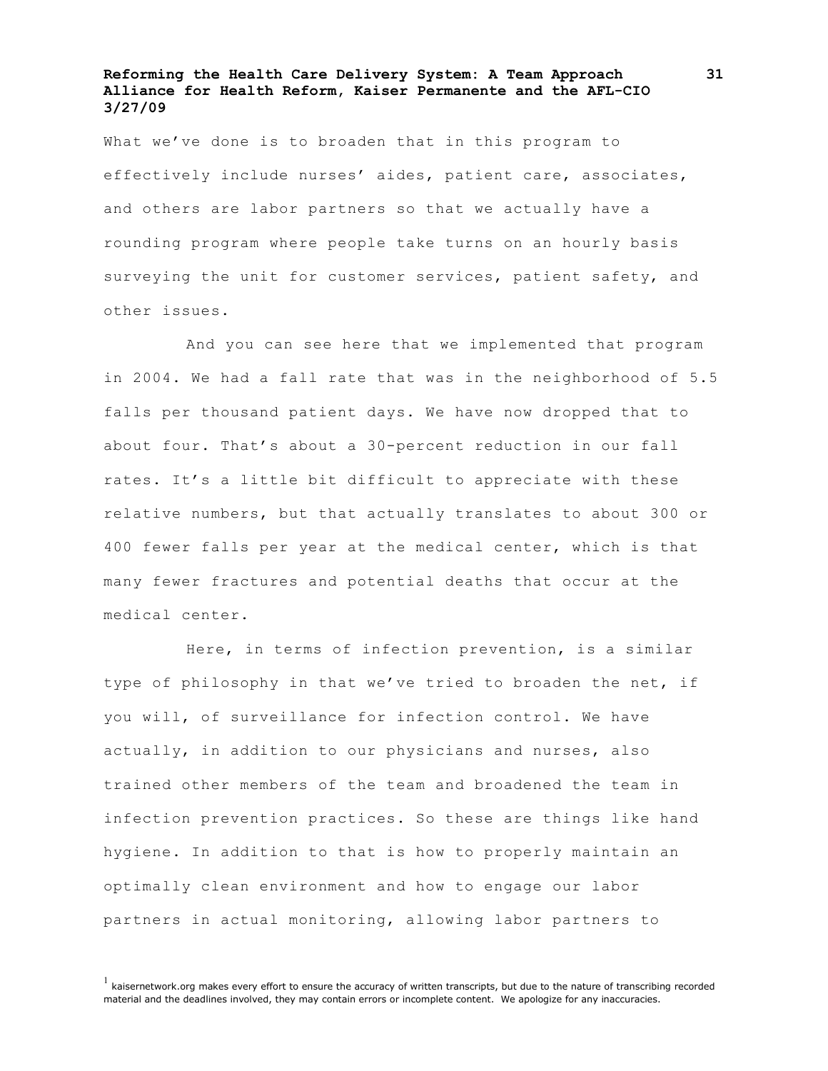What we've done is to broaden that in this program to effectively include nurses' aides, patient care, associates, and others are labor partners so that we actually have a rounding program where people take turns on an hourly basis surveying the unit for customer services, patient safety, and other issues.

And you can see here that we implemented that program in 2004. We had a fall rate that was in the neighborhood of 5.5 falls per thousand patient days. We have now dropped that to about four. That's about a 30-percent reduction in our fall rates. It's a little bit difficult to appreciate with these relative numbers, but that actually translates to about 300 or 400 fewer falls per year at the medical center, which is that many fewer fractures and potential deaths that occur at the medical center.

Here, in terms of infection prevention, is a similar type of philosophy in that we've tried to broaden the net, if you will, of surveillance for infection control. We have actually, in addition to our physicians and nurses, also trained other members of the team and broadened the team in infection prevention practices. So these are things like hand hygiene. In addition to that is how to properly maintain an optimally clean environment and how to engage our labor partners in actual monitoring, allowing labor partners to

 $<sup>1</sup>$  kaisernetwork.org makes every effort to ensure the accuracy of written transcripts, but due to the nature of transcribing recorded</sup> material and the deadlines involved, they may contain errors or incomplete content. We apologize for any inaccuracies.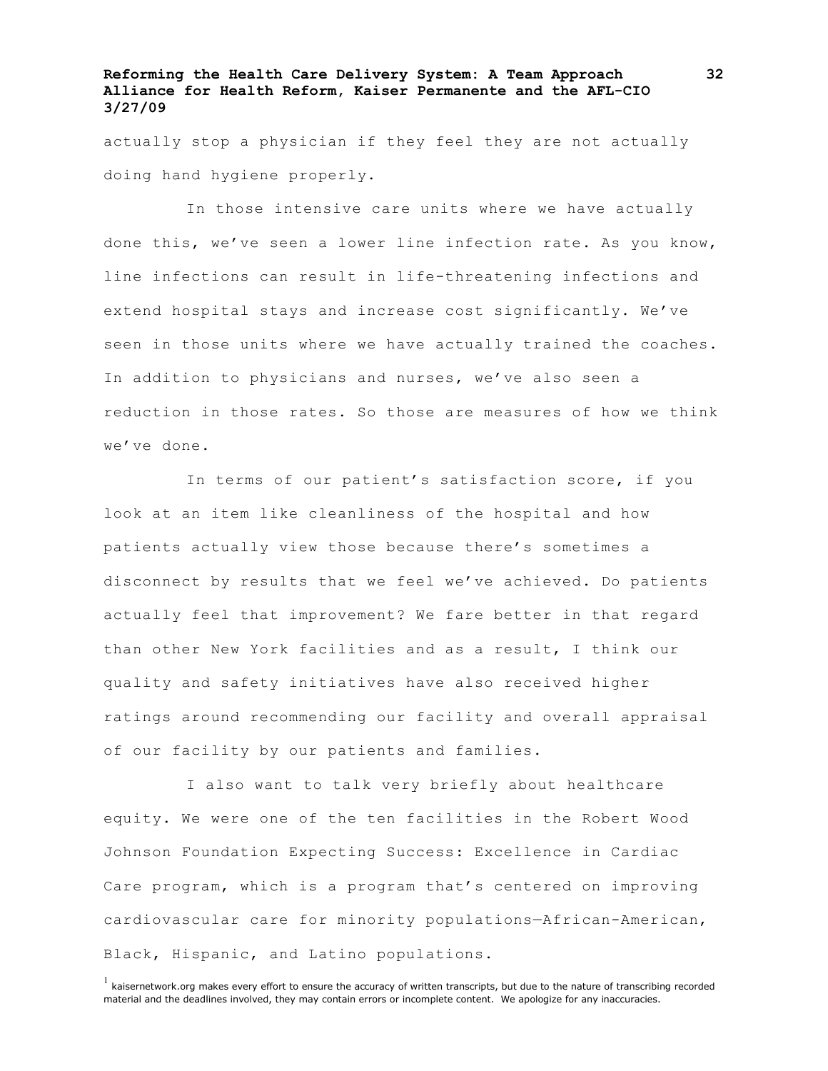actually stop a physician if they feel they are not actually doing hand hygiene properly.

In those intensive care units where we have actually done this, we've seen a lower line infection rate. As you know, line infections can result in life-threatening infections and extend hospital stays and increase cost significantly. We've seen in those units where we have actually trained the coaches. In addition to physicians and nurses, we've also seen a reduction in those rates. So those are measures of how we think we've done.

In terms of our patient's satisfaction score, if you look at an item like cleanliness of the hospital and how patients actually view those because there's sometimes a disconnect by results that we feel we've achieved. Do patients actually feel that improvement? We fare better in that regard than other New York facilities and as a result, I think our quality and safety initiatives have also received higher ratings around recommending our facility and overall appraisal of our facility by our patients and families.

I also want to talk very briefly about healthcare equity. We were one of the ten facilities in the Robert Wood Johnson Foundation Expecting Success: Excellence in Cardiac Care program, which is a program that's centered on improving cardiovascular care for minority populations—African-American, Black, Hispanic, and Latino populations.

 $<sup>1</sup>$  kaisernetwork.org makes every effort to ensure the accuracy of written transcripts, but due to the nature of transcribing recorded</sup> material and the deadlines involved, they may contain errors or incomplete content. We apologize for any inaccuracies.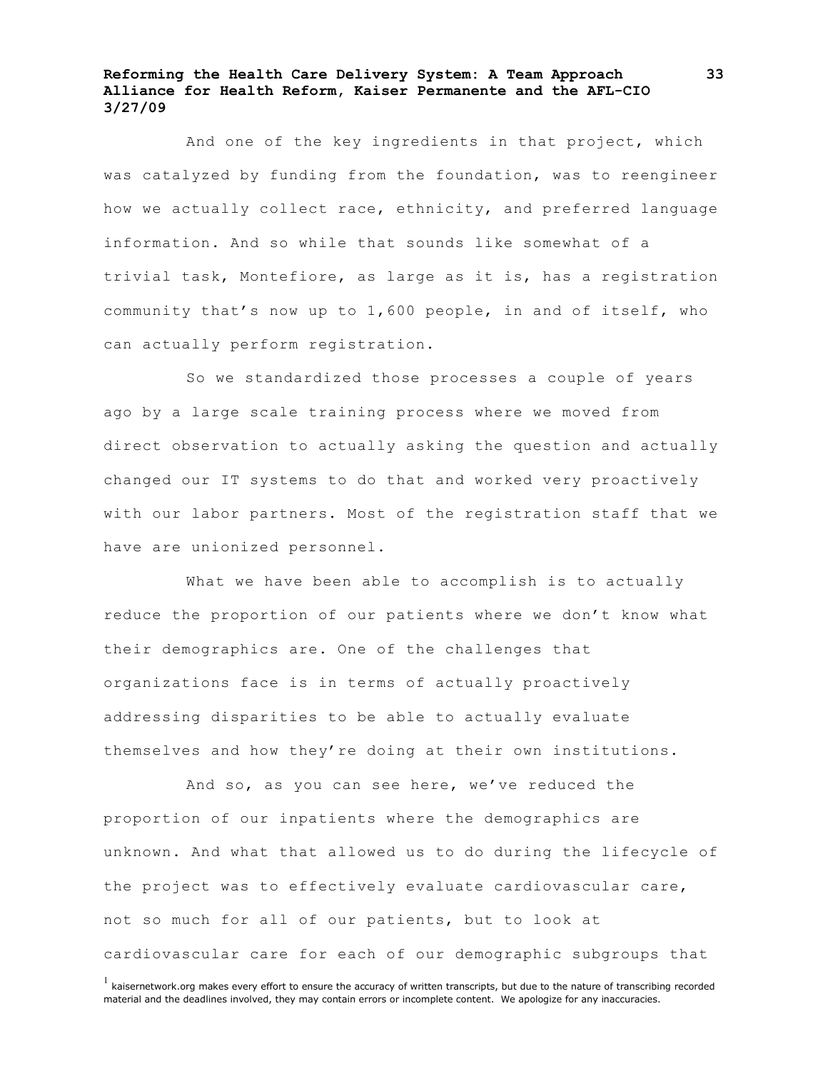And one of the key ingredients in that project, which was catalyzed by funding from the foundation, was to reengineer how we actually collect race, ethnicity, and preferred language information. And so while that sounds like somewhat of a trivial task, Montefiore, as large as it is, has a registration community that's now up to 1,600 people, in and of itself, who can actually perform registration.

So we standardized those processes a couple of years ago by a large scale training process where we moved from direct observation to actually asking the question and actually changed our IT systems to do that and worked very proactively with our labor partners. Most of the registration staff that we have are unionized personnel.

What we have been able to accomplish is to actually reduce the proportion of our patients where we don't know what their demographics are. One of the challenges that organizations face is in terms of actually proactively addressing disparities to be able to actually evaluate themselves and how they're doing at their own institutions.

And so, as you can see here, we've reduced the proportion of our inpatients where the demographics are unknown. And what that allowed us to do during the lifecycle of the project was to effectively evaluate cardiovascular care, not so much for all of our patients, but to look at cardiovascular care for each of our demographic subgroups that

 $<sup>1</sup>$  kaisernetwork.org makes every effort to ensure the accuracy of written transcripts, but due to the nature of transcribing recorded</sup> material and the deadlines involved, they may contain errors or incomplete content. We apologize for any inaccuracies.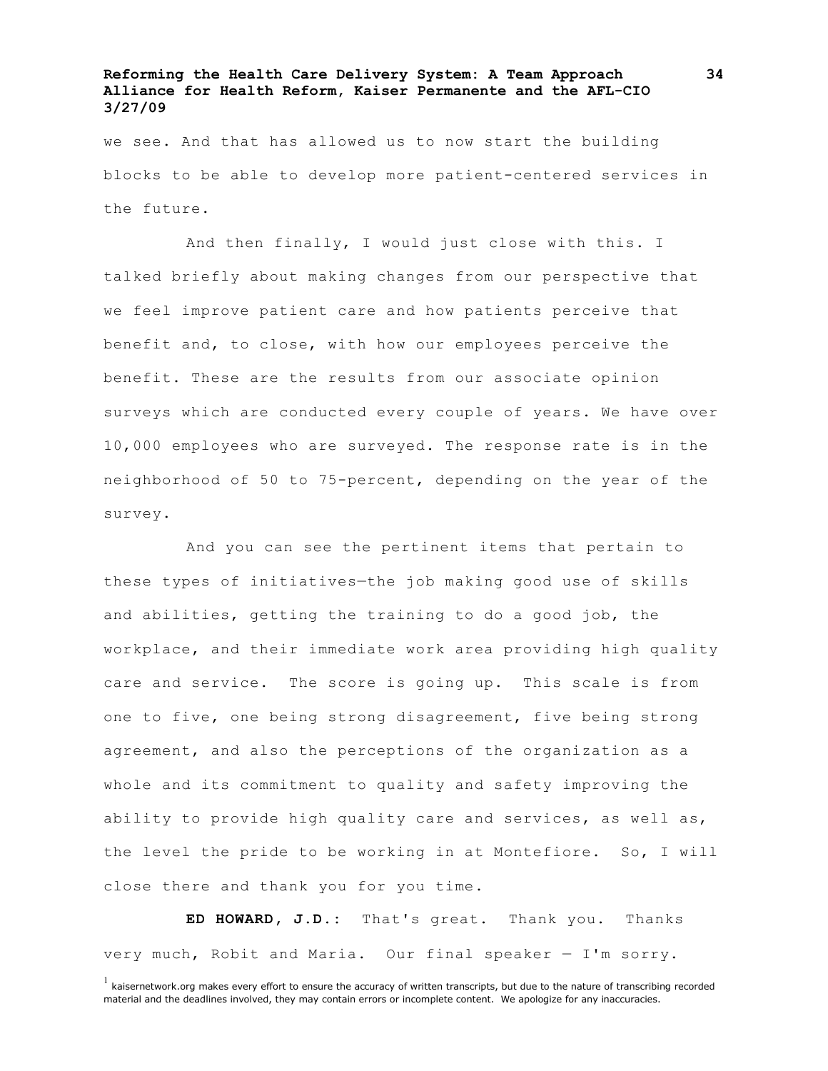we see. And that has allowed us to now start the building blocks to be able to develop more patient-centered services in the future.

And then finally, I would just close with this. I talked briefly about making changes from our perspective that we feel improve patient care and how patients perceive that benefit and, to close, with how our employees perceive the benefit. These are the results from our associate opinion surveys which are conducted every couple of years. We have over 10,000 employees who are surveyed. The response rate is in the neighborhood of 50 to 75-percent, depending on the year of the survey.

And you can see the pertinent items that pertain to these types of initiatives—the job making good use of skills and abilities, getting the training to do a good job, the workplace, and their immediate work area providing high quality care and service. The score is going up. This scale is from one to five, one being strong disagreement, five being strong agreement, and also the perceptions of the organization as a whole and its commitment to quality and safety improving the ability to provide high quality care and services, as well as, the level the pride to be working in at Montefiore. So, I will close there and thank you for you time.

**ED HOWARD, J.D.:** That's great. Thank you. Thanks very much, Robit and Maria. Our final speaker — I'm sorry.

 $<sup>1</sup>$  kaisernetwork.org makes every effort to ensure the accuracy of written transcripts, but due to the nature of transcribing recorded</sup> material and the deadlines involved, they may contain errors or incomplete content. We apologize for any inaccuracies.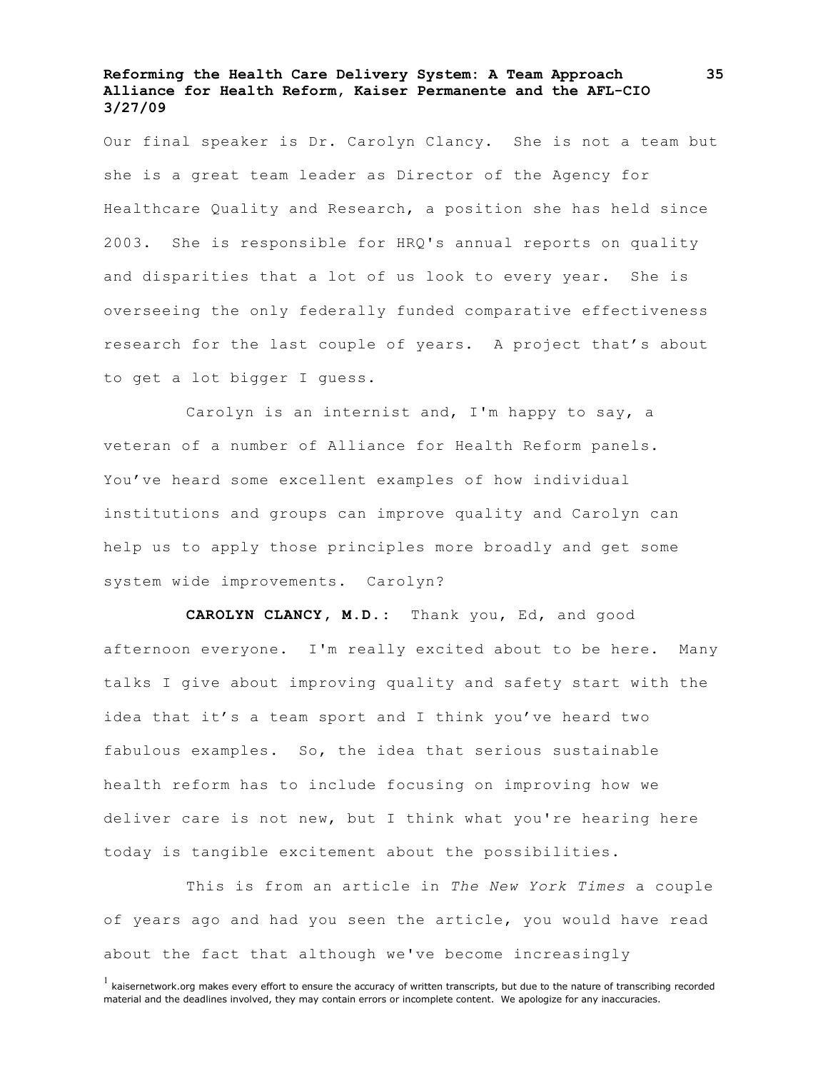Our final speaker is Dr. Carolyn Clancy. She is not a team but she is a great team leader as Director of the Agency for Healthcare Quality and Research, a position she has held since 2003. She is responsible for HRQ's annual reports on quality and disparities that a lot of us look to every year. She is overseeing the only federally funded comparative effectiveness research for the last couple of years. A project that's about to get a lot bigger I guess.

Carolyn is an internist and, I'm happy to say, a veteran of a number of Alliance for Health Reform panels. You've heard some excellent examples of how individual institutions and groups can improve quality and Carolyn can help us to apply those principles more broadly and get some system wide improvements. Carolyn?

**CAROLYN CLANCY, M.D.:** Thank you, Ed, and good afternoon everyone. I'm really excited about to be here. Many talks I give about improving quality and safety start with the idea that it's a team sport and I think you've heard two fabulous examples. So, the idea that serious sustainable health reform has to include focusing on improving how we deliver care is not new, but I think what you're hearing here today is tangible excitement about the possibilities.

This is from an article in *The New York Times* a couple of years ago and had you seen the article, you would have read about the fact that although we've become increasingly

 $<sup>1</sup>$  kaisernetwork.org makes every effort to ensure the accuracy of written transcripts, but due to the nature of transcribing recorded</sup> material and the deadlines involved, they may contain errors or incomplete content. We apologize for any inaccuracies.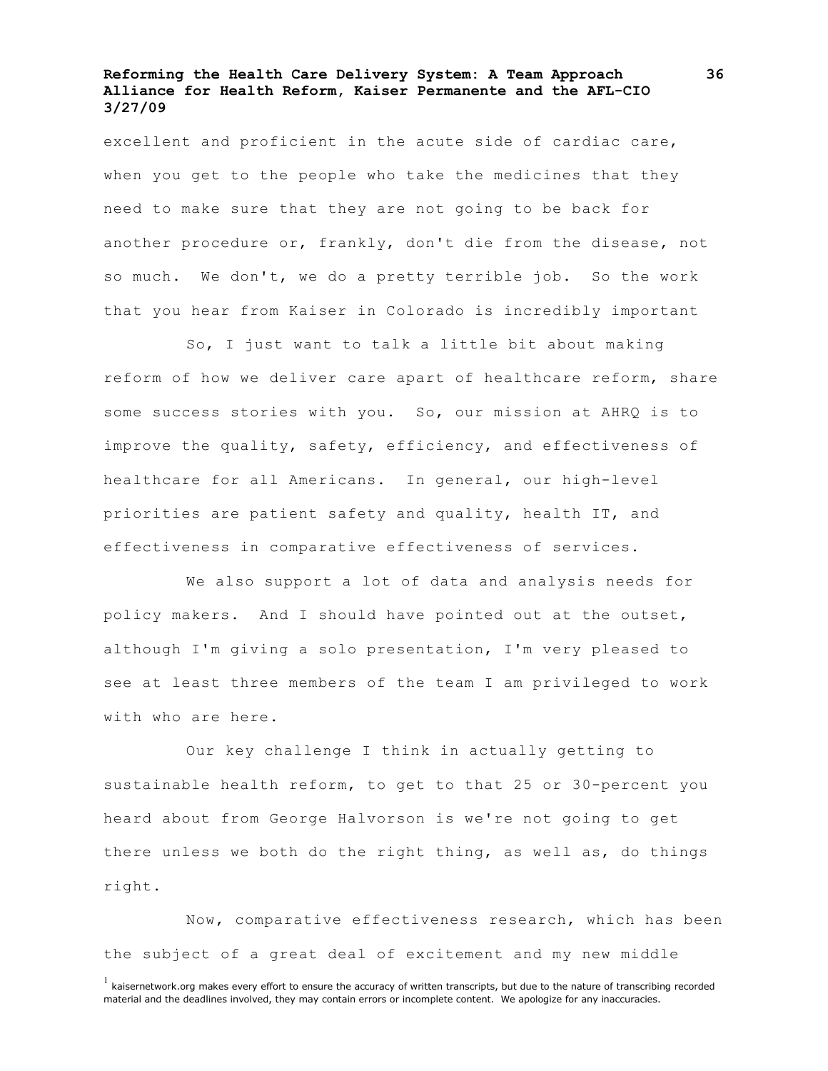excellent and proficient in the acute side of cardiac care, when you get to the people who take the medicines that they need to make sure that they are not going to be back for another procedure or, frankly, don't die from the disease, not so much. We don't, we do a pretty terrible job. So the work that you hear from Kaiser in Colorado is incredibly important

So, I just want to talk a little bit about making reform of how we deliver care apart of healthcare reform, share some success stories with you. So, our mission at AHRQ is to improve the quality, safety, efficiency, and effectiveness of healthcare for all Americans. In general, our high-level priorities are patient safety and quality, health IT, and effectiveness in comparative effectiveness of services.

We also support a lot of data and analysis needs for policy makers. And I should have pointed out at the outset, although I'm giving a solo presentation, I'm very pleased to see at least three members of the team I am privileged to work with who are here.

Our key challenge I think in actually getting to sustainable health reform, to get to that 25 or 30-percent you heard about from George Halvorson is we're not going to get there unless we both do the right thing, as well as, do things right.

Now, comparative effectiveness research, which has been the subject of a great deal of excitement and my new middle

 $<sup>1</sup>$  kaisernetwork.org makes every effort to ensure the accuracy of written transcripts, but due to the nature of transcribing recorded</sup> material and the deadlines involved, they may contain errors or incomplete content. We apologize for any inaccuracies.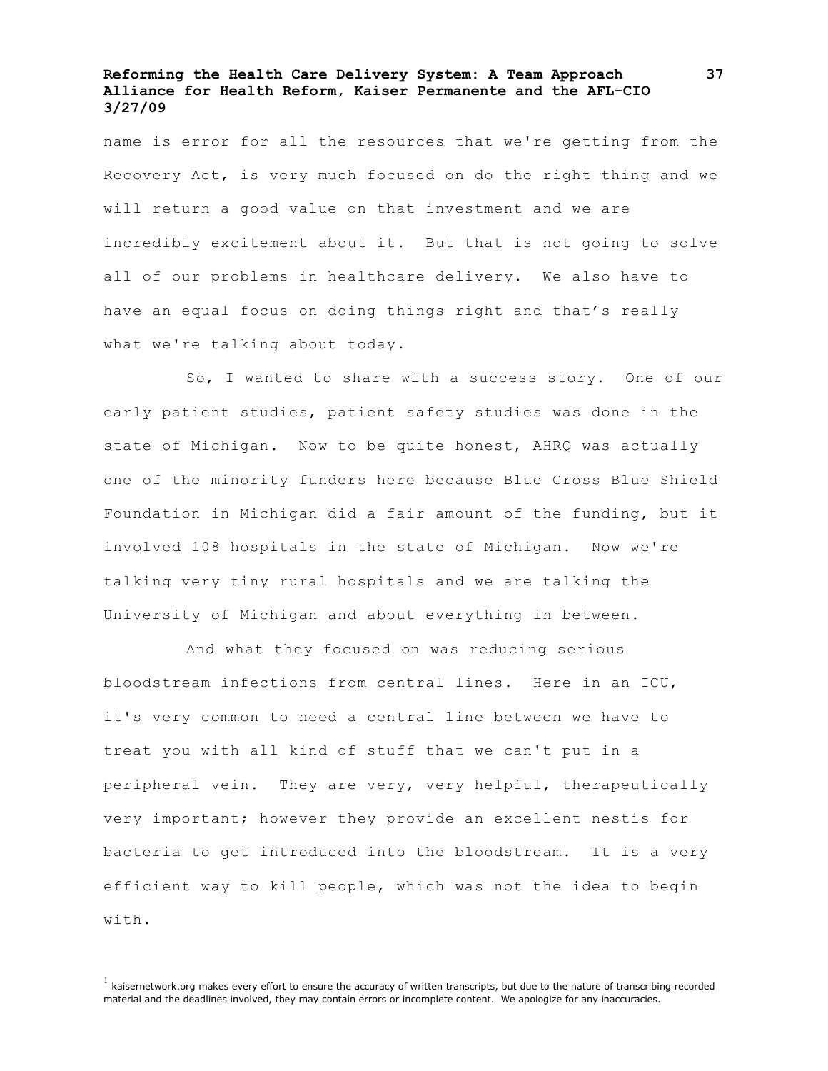name is error for all the resources that we're getting from the Recovery Act, is very much focused on do the right thing and we will return a good value on that investment and we are incredibly excitement about it. But that is not going to solve all of our problems in healthcare delivery. We also have to have an equal focus on doing things right and that's really what we're talking about today.

So, I wanted to share with a success story. One of our early patient studies, patient safety studies was done in the state of Michigan. Now to be quite honest, AHRQ was actually one of the minority funders here because Blue Cross Blue Shield Foundation in Michigan did a fair amount of the funding, but it involved 108 hospitals in the state of Michigan. Now we're talking very tiny rural hospitals and we are talking the University of Michigan and about everything in between.

And what they focused on was reducing serious bloodstream infections from central lines. Here in an ICU, it's very common to need a central line between we have to treat you with all kind of stuff that we can't put in a peripheral vein. They are very, very helpful, therapeutically very important; however they provide an excellent nestis for bacteria to get introduced into the bloodstream. It is a very efficient way to kill people, which was not the idea to begin with.

 $<sup>1</sup>$  kaisernetwork.org makes every effort to ensure the accuracy of written transcripts, but due to the nature of transcribing recorded</sup> material and the deadlines involved, they may contain errors or incomplete content. We apologize for any inaccuracies.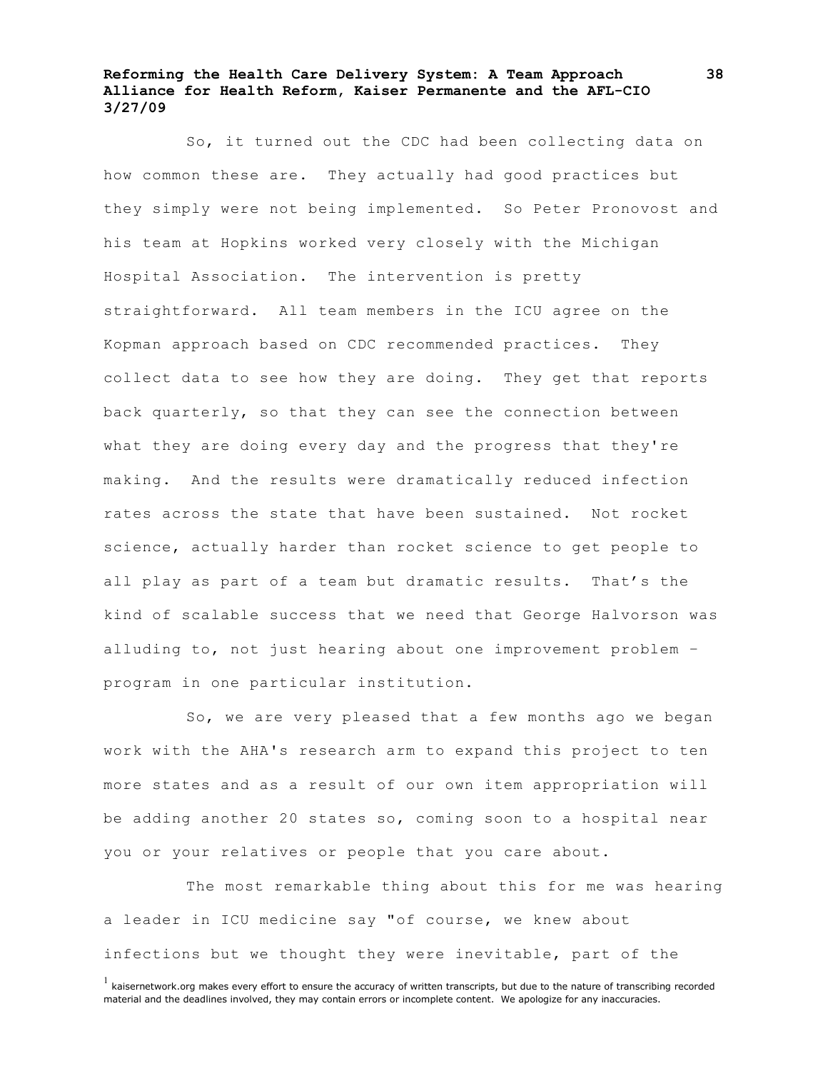So, it turned out the CDC had been collecting data on how common these are. They actually had good practices but they simply were not being implemented. So Peter Pronovost and his team at Hopkins worked very closely with the Michigan Hospital Association. The intervention is pretty straightforward. All team members in the ICU agree on the Kopman approach based on CDC recommended practices. They collect data to see how they are doing. They get that reports back quarterly, so that they can see the connection between what they are doing every day and the progress that they're making. And the results were dramatically reduced infection rates across the state that have been sustained. Not rocket science, actually harder than rocket science to get people to all play as part of a team but dramatic results. That's the kind of scalable success that we need that George Halvorson was alluding to, not just hearing about one improvement problem – program in one particular institution.

So, we are very pleased that a few months ago we began work with the AHA's research arm to expand this project to ten more states and as a result of our own item appropriation will be adding another 20 states so, coming soon to a hospital near you or your relatives or people that you care about.

The most remarkable thing about this for me was hearing a leader in ICU medicine say "of course, we knew about infections but we thought they were inevitable, part of the

 $<sup>1</sup>$  kaisernetwork.org makes every effort to ensure the accuracy of written transcripts, but due to the nature of transcribing recorded</sup> material and the deadlines involved, they may contain errors or incomplete content. We apologize for any inaccuracies.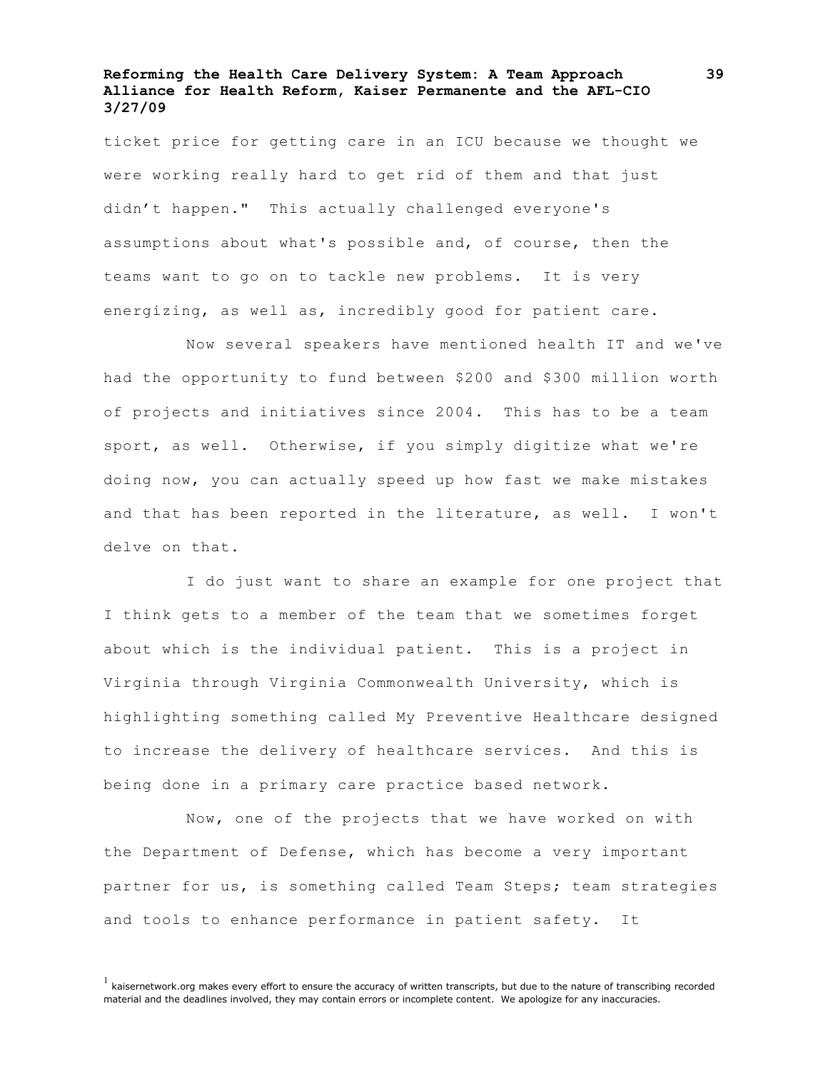ticket price for getting care in an ICU because we thought we were working really hard to get rid of them and that just didn't happen." This actually challenged everyone's assumptions about what's possible and, of course, then the teams want to go on to tackle new problems. It is very energizing, as well as, incredibly good for patient care.

Now several speakers have mentioned health IT and we've had the opportunity to fund between \$200 and \$300 million worth of projects and initiatives since 2004. This has to be a team sport, as well. Otherwise, if you simply digitize what we're doing now, you can actually speed up how fast we make mistakes and that has been reported in the literature, as well. I won't delve on that.

I do just want to share an example for one project that I think gets to a member of the team that we sometimes forget about which is the individual patient. This is a project in Virginia through Virginia Commonwealth University, which is highlighting something called My Preventive Healthcare designed to increase the delivery of healthcare services. And this is being done in a primary care practice based network.

Now, one of the projects that we have worked on with the Department of Defense, which has become a very important partner for us, is something called Team Steps; team strategies and tools to enhance performance in patient safety. It

 $<sup>1</sup>$  kaisernetwork.org makes every effort to ensure the accuracy of written transcripts, but due to the nature of transcribing recorded</sup> material and the deadlines involved, they may contain errors or incomplete content. We apologize for any inaccuracies.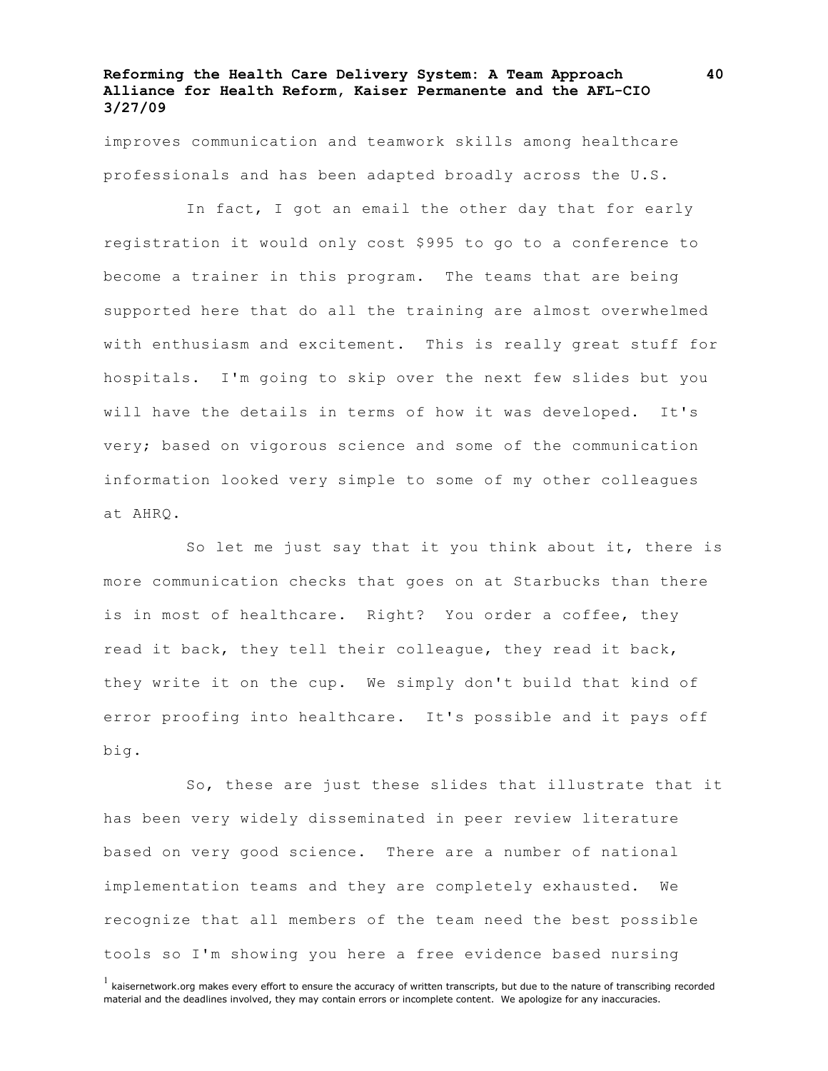improves communication and teamwork skills among healthcare professionals and has been adapted broadly across the U.S.

In fact, I got an email the other day that for early registration it would only cost \$995 to go to a conference to become a trainer in this program. The teams that are being supported here that do all the training are almost overwhelmed with enthusiasm and excitement. This is really great stuff for hospitals. I'm going to skip over the next few slides but you will have the details in terms of how it was developed. It's very; based on vigorous science and some of the communication information looked very simple to some of my other colleagues at AHRQ.

So let me just say that it you think about it, there is more communication checks that goes on at Starbucks than there is in most of healthcare. Right? You order a coffee, they read it back, they tell their colleague, they read it back, they write it on the cup. We simply don't build that kind of error proofing into healthcare. It's possible and it pays off big.

So, these are just these slides that illustrate that it has been very widely disseminated in peer review literature based on very good science. There are a number of national implementation teams and they are completely exhausted. We recognize that all members of the team need the best possible tools so I'm showing you here a free evidence based nursing

 $<sup>1</sup>$  kaisernetwork.org makes every effort to ensure the accuracy of written transcripts, but due to the nature of transcribing recorded</sup> material and the deadlines involved, they may contain errors or incomplete content. We apologize for any inaccuracies.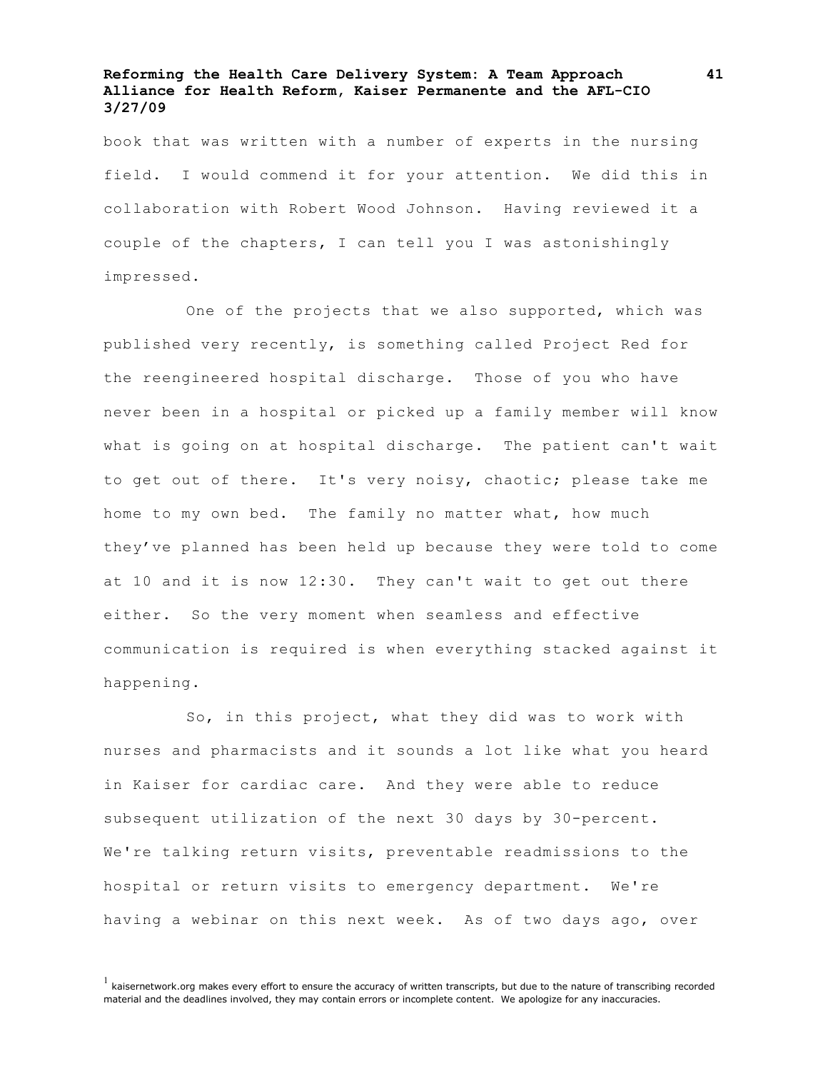book that was written with a number of experts in the nursing field. I would commend it for your attention. We did this in collaboration with Robert Wood Johnson. Having reviewed it a couple of the chapters, I can tell you I was astonishingly impressed.

One of the projects that we also supported, which was published very recently, is something called Project Red for the reengineered hospital discharge. Those of you who have never been in a hospital or picked up a family member will know what is going on at hospital discharge. The patient can't wait to get out of there. It's very noisy, chaotic; please take me home to my own bed. The family no matter what, how much they've planned has been held up because they were told to come at 10 and it is now 12:30. They can't wait to get out there either. So the very moment when seamless and effective communication is required is when everything stacked against it happening.

So, in this project, what they did was to work with nurses and pharmacists and it sounds a lot like what you heard in Kaiser for cardiac care. And they were able to reduce subsequent utilization of the next 30 days by 30-percent. We're talking return visits, preventable readmissions to the hospital or return visits to emergency department. We're having a webinar on this next week. As of two days ago, over

 $<sup>1</sup>$  kaisernetwork.org makes every effort to ensure the accuracy of written transcripts, but due to the nature of transcribing recorded</sup> material and the deadlines involved, they may contain errors or incomplete content. We apologize for any inaccuracies.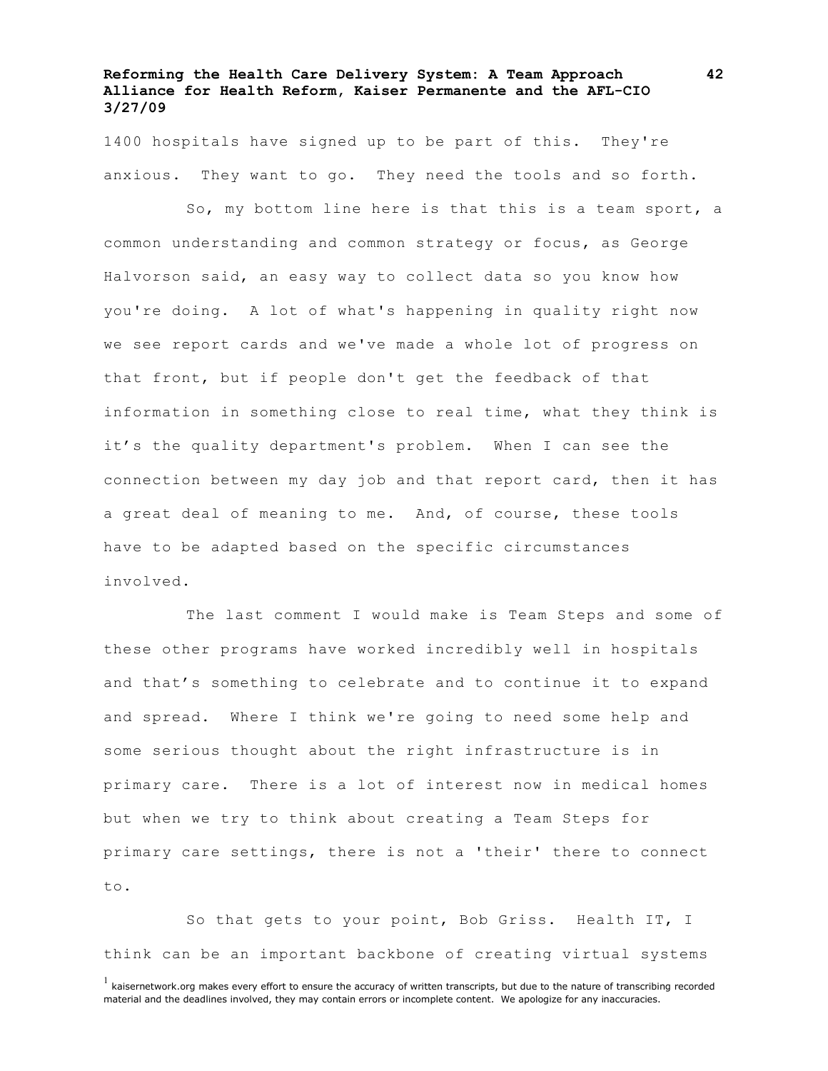1400 hospitals have signed up to be part of this. They're anxious. They want to go. They need the tools and so forth.

So, my bottom line here is that this is a team sport, a common understanding and common strategy or focus, as George Halvorson said, an easy way to collect data so you know how you're doing. A lot of what's happening in quality right now we see report cards and we've made a whole lot of progress on that front, but if people don't get the feedback of that information in something close to real time, what they think is it's the quality department's problem. When I can see the connection between my day job and that report card, then it has a great deal of meaning to me. And, of course, these tools have to be adapted based on the specific circumstances involved.

The last comment I would make is Team Steps and some of these other programs have worked incredibly well in hospitals and that's something to celebrate and to continue it to expand and spread. Where I think we're going to need some help and some serious thought about the right infrastructure is in primary care. There is a lot of interest now in medical homes but when we try to think about creating a Team Steps for primary care settings, there is not a 'their' there to connect to.

So that gets to your point, Bob Griss. Health IT, I think can be an important backbone of creating virtual systems

 $<sup>1</sup>$  kaisernetwork.org makes every effort to ensure the accuracy of written transcripts, but due to the nature of transcribing recorded</sup> material and the deadlines involved, they may contain errors or incomplete content. We apologize for any inaccuracies.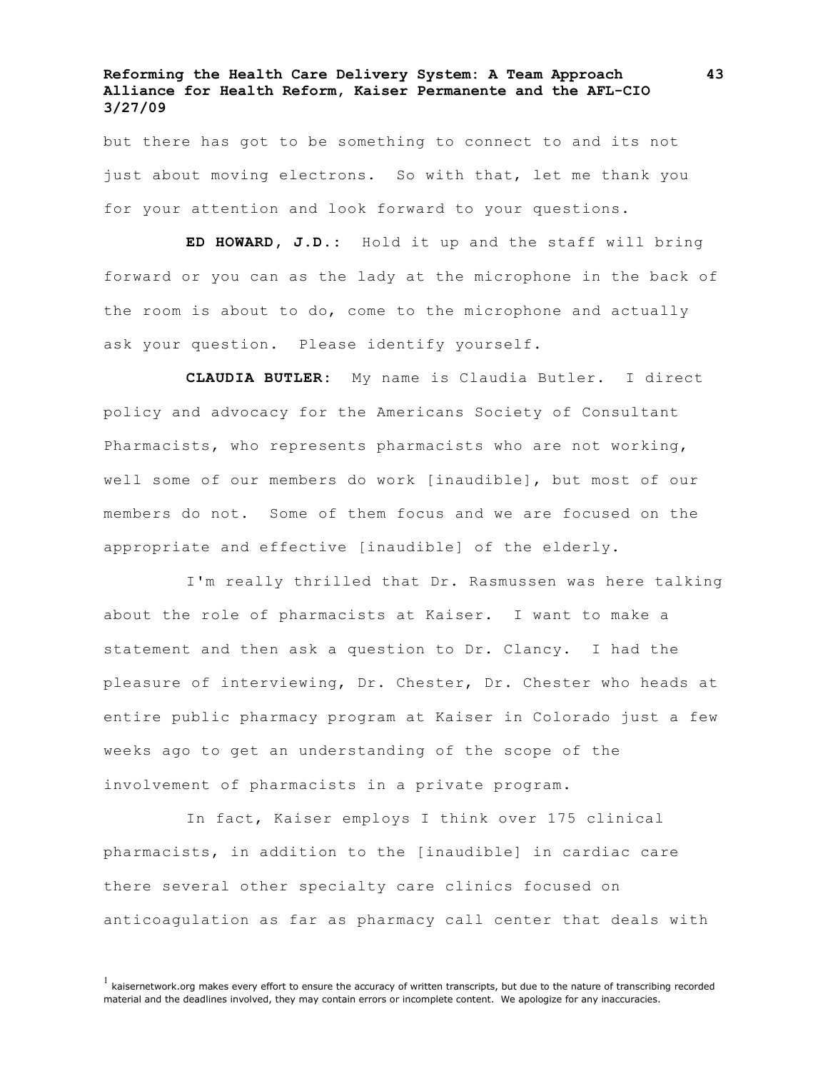but there has got to be something to connect to and its not just about moving electrons. So with that, let me thank you for your attention and look forward to your questions.

**ED HOWARD, J.D.:** Hold it up and the staff will bring forward or you can as the lady at the microphone in the back of the room is about to do, come to the microphone and actually ask your question. Please identify yourself.

**CLAUDIA BUTLER:** My name is Claudia Butler. I direct policy and advocacy for the Americans Society of Consultant Pharmacists, who represents pharmacists who are not working, well some of our members do work [inaudible], but most of our members do not. Some of them focus and we are focused on the appropriate and effective [inaudible] of the elderly.

I'm really thrilled that Dr. Rasmussen was here talking about the role of pharmacists at Kaiser. I want to make a statement and then ask a question to Dr. Clancy. I had the pleasure of interviewing, Dr. Chester, Dr. Chester who heads at entire public pharmacy program at Kaiser in Colorado just a few weeks ago to get an understanding of the scope of the involvement of pharmacists in a private program.

In fact, Kaiser employs I think over 175 clinical pharmacists, in addition to the [inaudible] in cardiac care there several other specialty care clinics focused on anticoagulation as far as pharmacy call center that deals with

 $<sup>1</sup>$  kaisernetwork.org makes every effort to ensure the accuracy of written transcripts, but due to the nature of transcribing recorded</sup> material and the deadlines involved, they may contain errors or incomplete content. We apologize for any inaccuracies.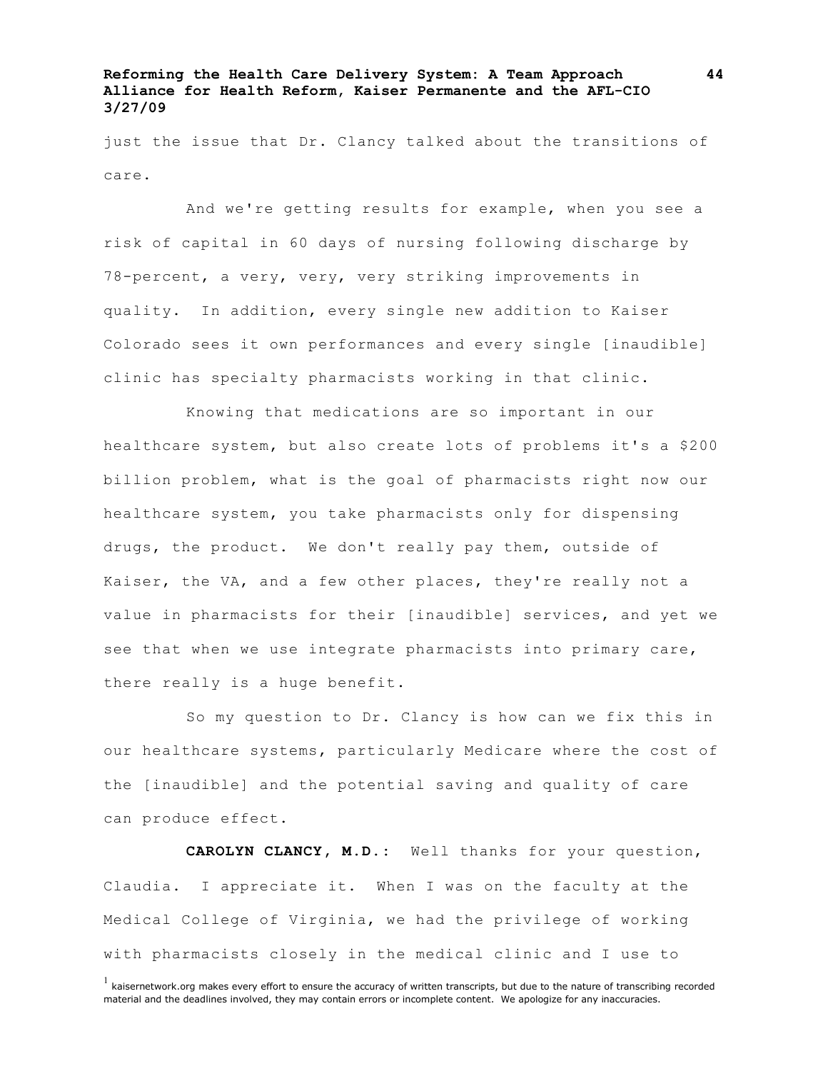just the issue that Dr. Clancy talked about the transitions of care.

And we're getting results for example, when you see a risk of capital in 60 days of nursing following discharge by 78-percent, a very, very, very striking improvements in quality. In addition, every single new addition to Kaiser Colorado sees it own performances and every single [inaudible] clinic has specialty pharmacists working in that clinic.

Knowing that medications are so important in our healthcare system, but also create lots of problems it's a \$200 billion problem, what is the goal of pharmacists right now our healthcare system, you take pharmacists only for dispensing drugs, the product. We don't really pay them, outside of Kaiser, the VA, and a few other places, they're really not a value in pharmacists for their [inaudible] services, and yet we see that when we use integrate pharmacists into primary care, there really is a huge benefit.

So my question to Dr. Clancy is how can we fix this in our healthcare systems, particularly Medicare where the cost of the [inaudible] and the potential saving and quality of care can produce effect.

**CAROLYN CLANCY, M.D.:** Well thanks for your question, Claudia. I appreciate it. When I was on the faculty at the Medical College of Virginia, we had the privilege of working with pharmacists closely in the medical clinic and I use to

 $<sup>1</sup>$  kaisernetwork.org makes every effort to ensure the accuracy of written transcripts, but due to the nature of transcribing recorded</sup> material and the deadlines involved, they may contain errors or incomplete content. We apologize for any inaccuracies.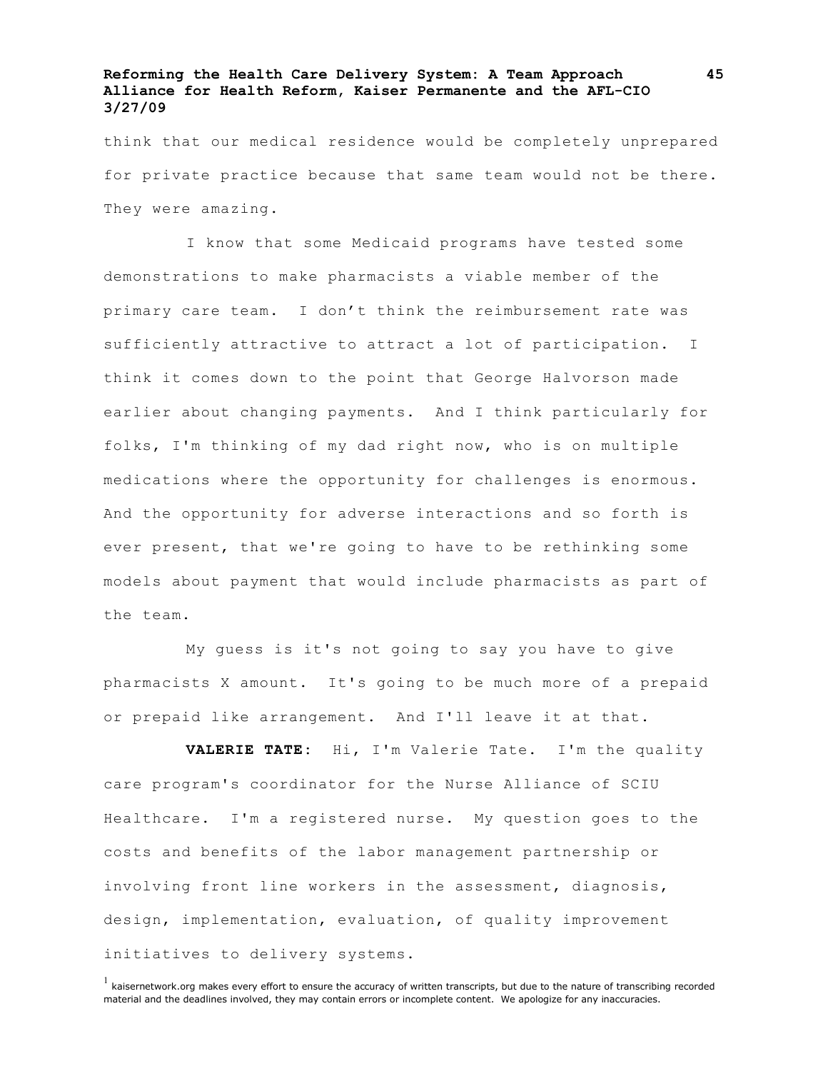think that our medical residence would be completely unprepared for private practice because that same team would not be there. They were amazing.

I know that some Medicaid programs have tested some demonstrations to make pharmacists a viable member of the primary care team. I don't think the reimbursement rate was sufficiently attractive to attract a lot of participation. I think it comes down to the point that George Halvorson made earlier about changing payments. And I think particularly for folks, I'm thinking of my dad right now, who is on multiple medications where the opportunity for challenges is enormous. And the opportunity for adverse interactions and so forth is ever present, that we're going to have to be rethinking some models about payment that would include pharmacists as part of the team.

My guess is it's not going to say you have to give pharmacists X amount. It's going to be much more of a prepaid or prepaid like arrangement. And I'll leave it at that.

**VALERIE TATE:** Hi, I'm Valerie Tate. I'm the quality care program's coordinator for the Nurse Alliance of SCIU Healthcare. I'm a registered nurse. My question goes to the costs and benefits of the labor management partnership or involving front line workers in the assessment, diagnosis, design, implementation, evaluation, of quality improvement initiatives to delivery systems.

 $<sup>1</sup>$  kaisernetwork.org makes every effort to ensure the accuracy of written transcripts, but due to the nature of transcribing recorded</sup> material and the deadlines involved, they may contain errors or incomplete content. We apologize for any inaccuracies.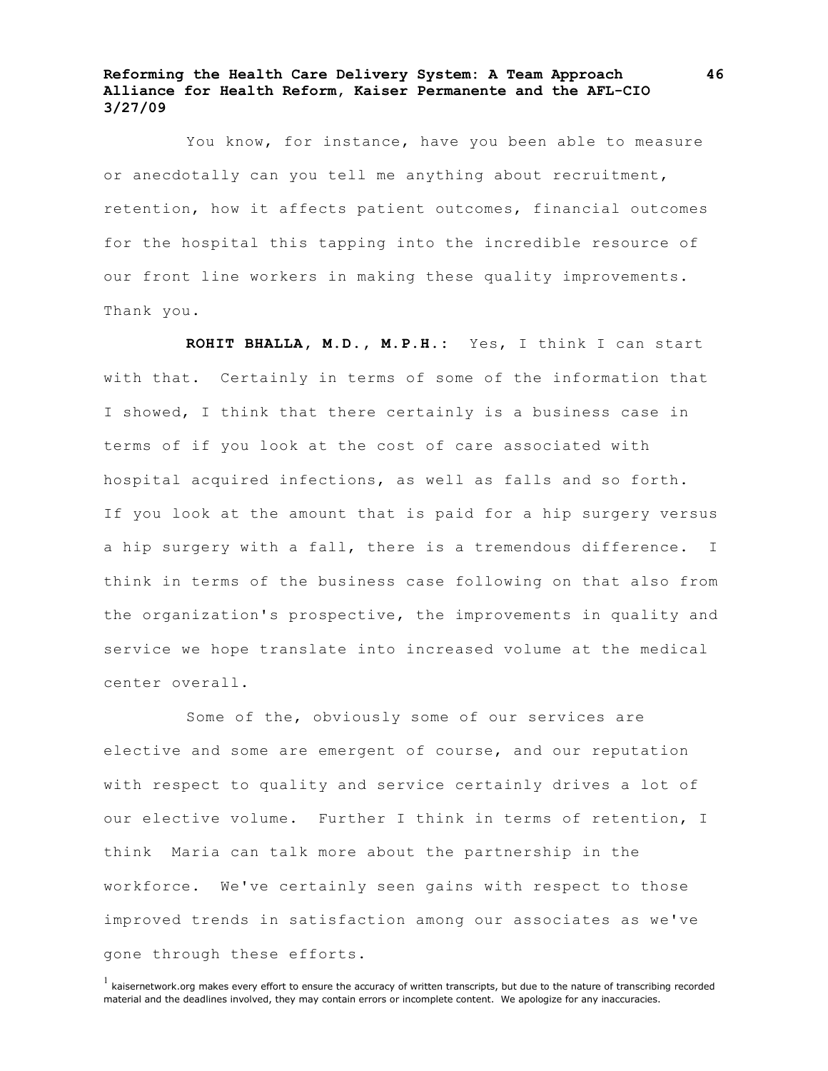You know, for instance, have you been able to measure or anecdotally can you tell me anything about recruitment, retention, how it affects patient outcomes, financial outcomes for the hospital this tapping into the incredible resource of our front line workers in making these quality improvements. Thank you.

**ROHIT BHALLA, M.D., M.P.H.:** Yes, I think I can start with that. Certainly in terms of some of the information that I showed, I think that there certainly is a business case in terms of if you look at the cost of care associated with hospital acquired infections, as well as falls and so forth. If you look at the amount that is paid for a hip surgery versus a hip surgery with a fall, there is a tremendous difference. I think in terms of the business case following on that also from the organization's prospective, the improvements in quality and service we hope translate into increased volume at the medical center overall.

Some of the, obviously some of our services are elective and some are emergent of course, and our reputation with respect to quality and service certainly drives a lot of our elective volume. Further I think in terms of retention, I think Maria can talk more about the partnership in the workforce. We've certainly seen gains with respect to those improved trends in satisfaction among our associates as we've gone through these efforts.

 $<sup>1</sup>$  kaisernetwork.org makes every effort to ensure the accuracy of written transcripts, but due to the nature of transcribing recorded</sup> material and the deadlines involved, they may contain errors or incomplete content. We apologize for any inaccuracies.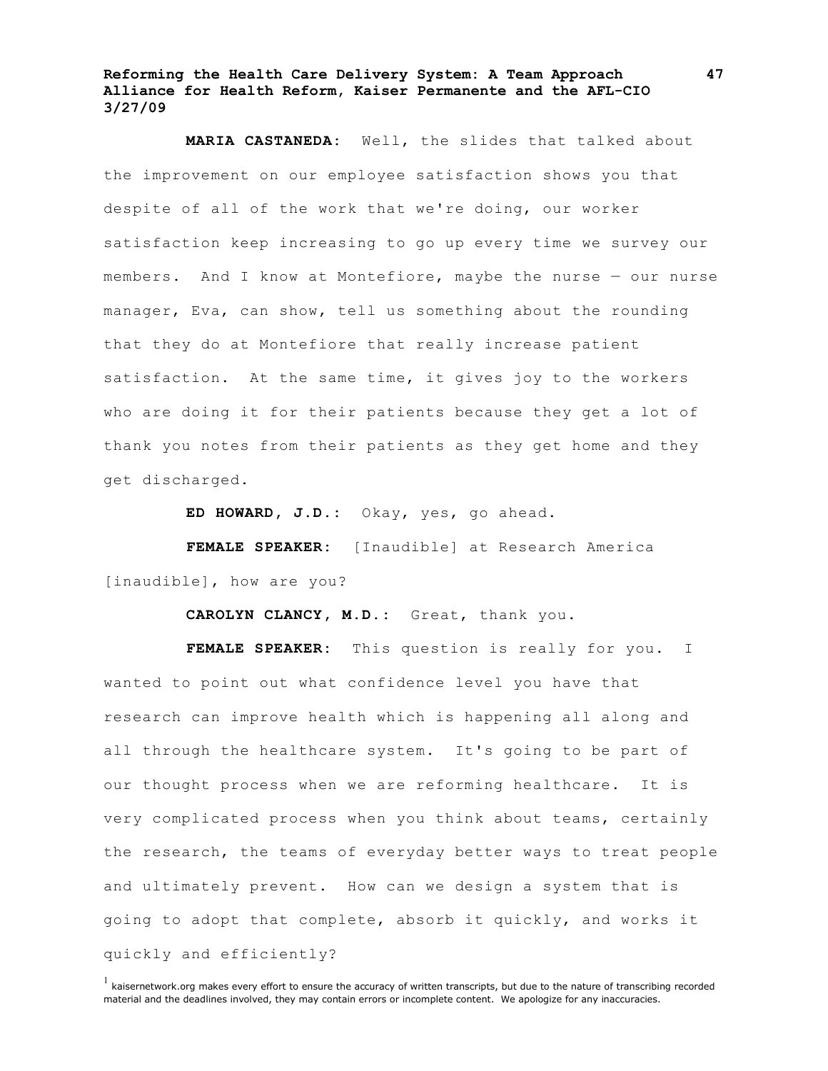**MARIA CASTANEDA:** Well, the slides that talked about the improvement on our employee satisfaction shows you that despite of all of the work that we're doing, our worker satisfaction keep increasing to go up every time we survey our members. And I know at Montefiore, maybe the nurse — our nurse manager, Eva, can show, tell us something about the rounding that they do at Montefiore that really increase patient satisfaction. At the same time, it gives joy to the workers who are doing it for their patients because they get a lot of thank you notes from their patients as they get home and they get discharged.

**ED HOWARD, J.D.:** Okay, yes, go ahead.

**FEMALE SPEAKER:** [Inaudible] at Research America [inaudible], how are you?

**CAROLYN CLANCY, M.D.:** Great, thank you.

**FEMALE SPEAKER:** This question is really for you. I wanted to point out what confidence level you have that research can improve health which is happening all along and all through the healthcare system. It's going to be part of our thought process when we are reforming healthcare. It is very complicated process when you think about teams, certainly the research, the teams of everyday better ways to treat people and ultimately prevent. How can we design a system that is going to adopt that complete, absorb it quickly, and works it quickly and efficiently?

 $<sup>1</sup>$  kaisernetwork.org makes every effort to ensure the accuracy of written transcripts, but due to the nature of transcribing recorded</sup> material and the deadlines involved, they may contain errors or incomplete content. We apologize for any inaccuracies.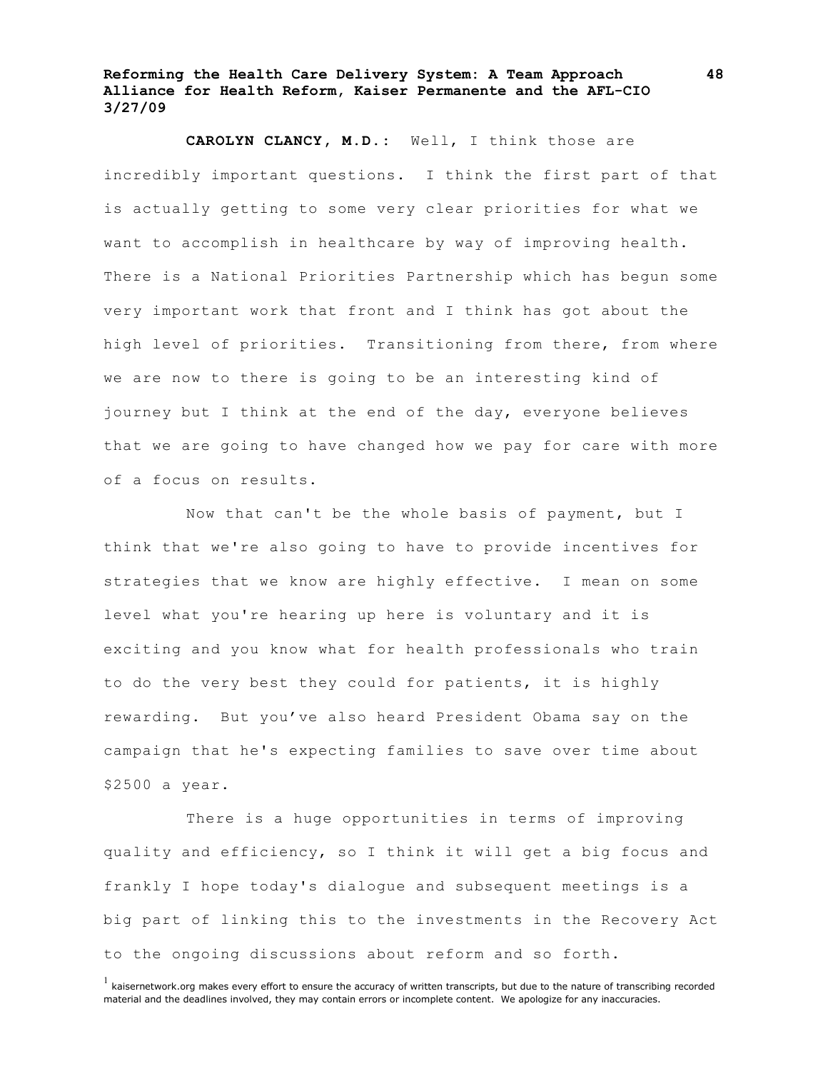**CAROLYN CLANCY, M.D.:** Well, I think those are incredibly important questions. I think the first part of that is actually getting to some very clear priorities for what we want to accomplish in healthcare by way of improving health. There is a National Priorities Partnership which has begun some very important work that front and I think has got about the high level of priorities. Transitioning from there, from where we are now to there is going to be an interesting kind of journey but I think at the end of the day, everyone believes that we are going to have changed how we pay for care with more of a focus on results.

Now that can't be the whole basis of payment, but I think that we're also going to have to provide incentives for strategies that we know are highly effective. I mean on some level what you're hearing up here is voluntary and it is exciting and you know what for health professionals who train to do the very best they could for patients, it is highly rewarding. But you've also heard President Obama say on the campaign that he's expecting families to save over time about \$2500 a year.

There is a huge opportunities in terms of improving quality and efficiency, so I think it will get a big focus and frankly I hope today's dialogue and subsequent meetings is a big part of linking this to the investments in the Recovery Act to the ongoing discussions about reform and so forth.

 $<sup>1</sup>$  kaisernetwork.org makes every effort to ensure the accuracy of written transcripts, but due to the nature of transcribing recorded</sup> material and the deadlines involved, they may contain errors or incomplete content. We apologize for any inaccuracies.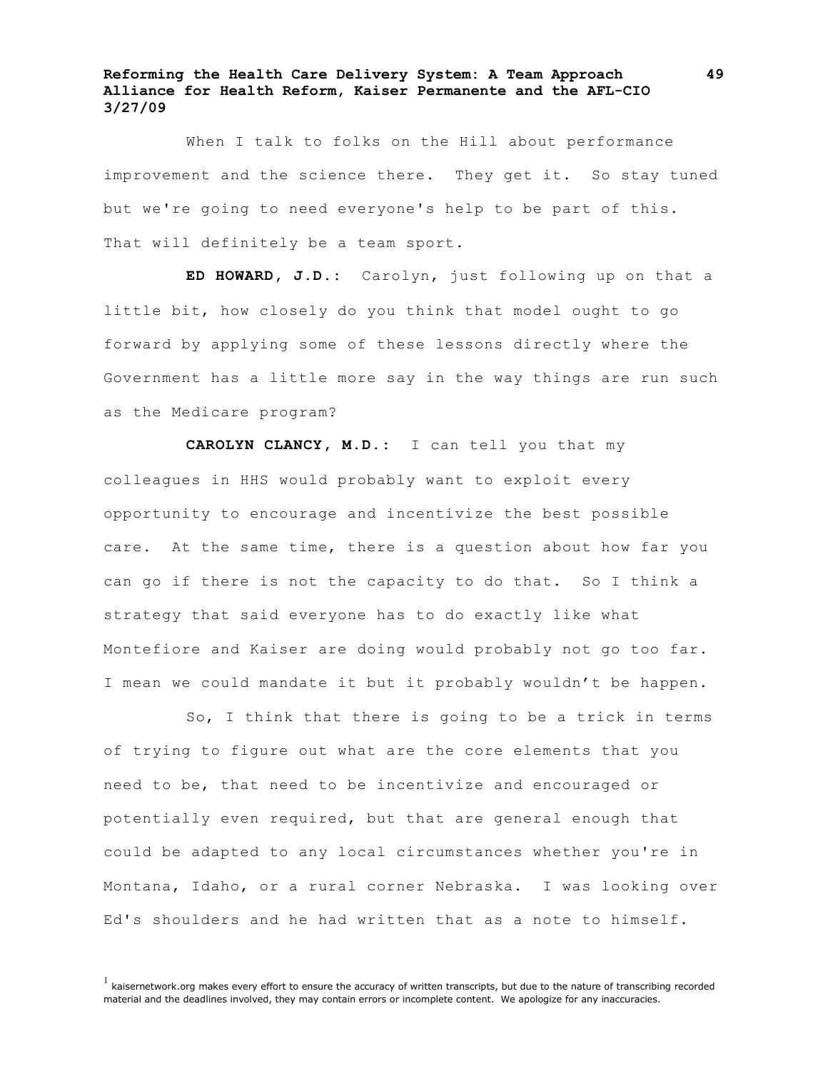When I talk to folks on the Hill about performance improvement and the science there. They get it. So stay tuned but we're going to need everyone's help to be part of this. That will definitely be a team sport.

**ED HOWARD, J.D.:** Carolyn, just following up on that a little bit, how closely do you think that model ought to go forward by applying some of these lessons directly where the Government has a little more say in the way things are run such as the Medicare program?

**CAROLYN CLANCY, M.D.:** I can tell you that my colleagues in HHS would probably want to exploit every opportunity to encourage and incentivize the best possible care. At the same time, there is a question about how far you can go if there is not the capacity to do that. So I think a strategy that said everyone has to do exactly like what Montefiore and Kaiser are doing would probably not go too far. I mean we could mandate it but it probably wouldn't be happen.

So, I think that there is going to be a trick in terms of trying to figure out what are the core elements that you need to be, that need to be incentivize and encouraged or potentially even required, but that are general enough that could be adapted to any local circumstances whether you're in Montana, Idaho, or a rural corner Nebraska. I was looking over Ed's shoulders and he had written that as a note to himself.

 $<sup>1</sup>$  kaisernetwork.org makes every effort to ensure the accuracy of written transcripts, but due to the nature of transcribing recorded</sup> material and the deadlines involved, they may contain errors or incomplete content. We apologize for any inaccuracies.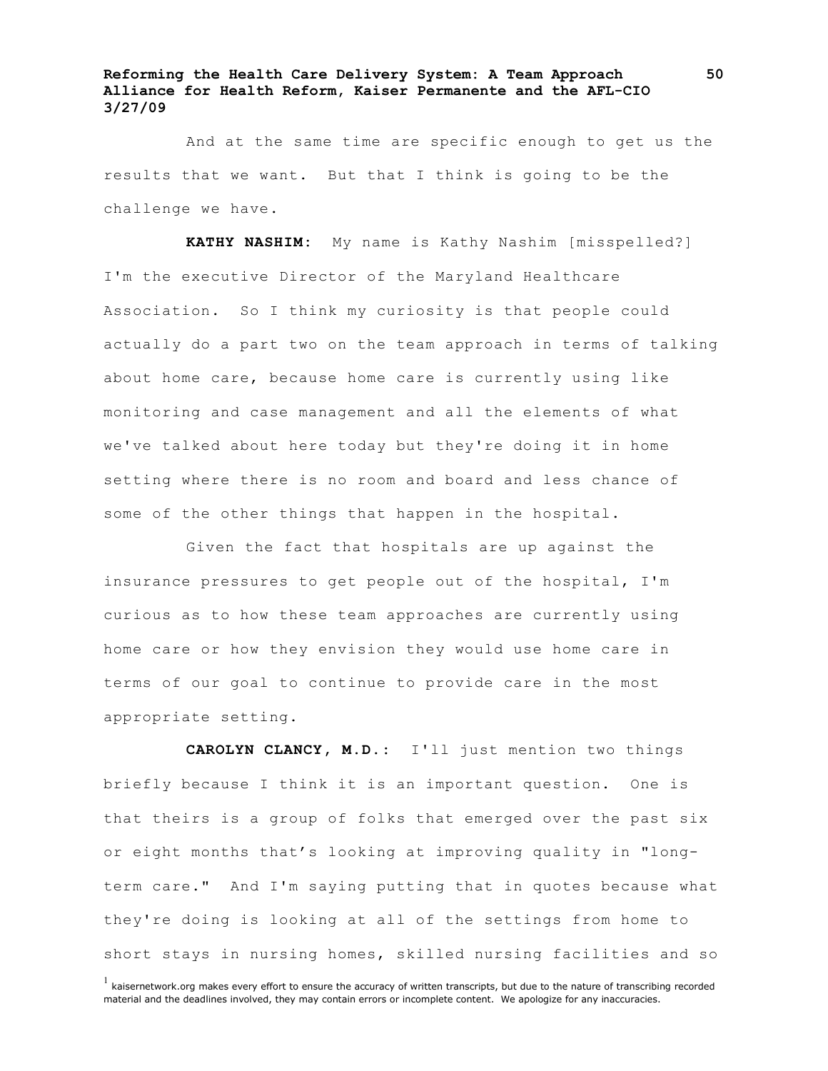And at the same time are specific enough to get us the results that we want. But that I think is going to be the challenge we have.

**KATHY NASHIM:** My name is Kathy Nashim [misspelled?] I'm the executive Director of the Maryland Healthcare Association. So I think my curiosity is that people could actually do a part two on the team approach in terms of talking about home care, because home care is currently using like monitoring and case management and all the elements of what we've talked about here today but they're doing it in home setting where there is no room and board and less chance of some of the other things that happen in the hospital.

Given the fact that hospitals are up against the insurance pressures to get people out of the hospital, I'm curious as to how these team approaches are currently using home care or how they envision they would use home care in terms of our goal to continue to provide care in the most appropriate setting.

**CAROLYN CLANCY, M.D.:** I'll just mention two things briefly because I think it is an important question. One is that theirs is a group of folks that emerged over the past six or eight months that's looking at improving quality in "longterm care." And I'm saying putting that in quotes because what they're doing is looking at all of the settings from home to short stays in nursing homes, skilled nursing facilities and so

 $<sup>1</sup>$  kaisernetwork.org makes every effort to ensure the accuracy of written transcripts, but due to the nature of transcribing recorded</sup> material and the deadlines involved, they may contain errors or incomplete content. We apologize for any inaccuracies.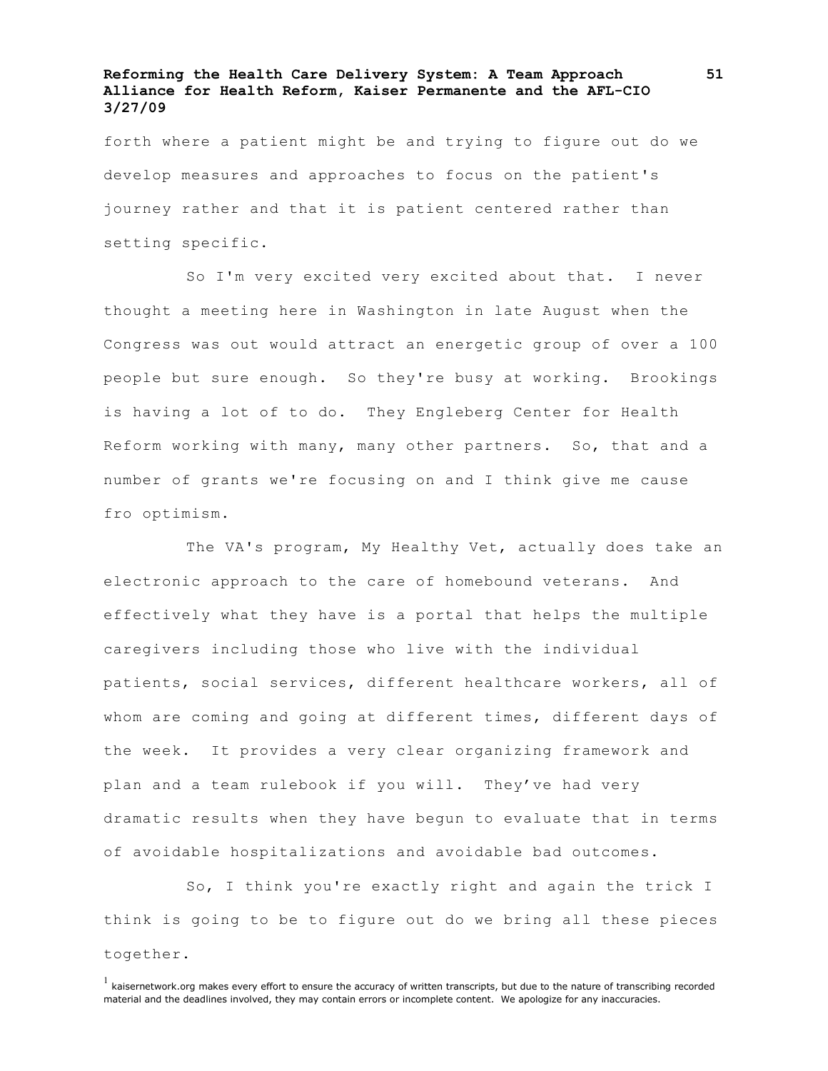forth where a patient might be and trying to figure out do we develop measures and approaches to focus on the patient's journey rather and that it is patient centered rather than setting specific.

So I'm very excited very excited about that. I never thought a meeting here in Washington in late August when the Congress was out would attract an energetic group of over a 100 people but sure enough. So they're busy at working. Brookings is having a lot of to do. They Engleberg Center for Health Reform working with many, many other partners. So, that and a number of grants we're focusing on and I think give me cause fro optimism.

The VA's program, My Healthy Vet, actually does take an electronic approach to the care of homebound veterans. And effectively what they have is a portal that helps the multiple caregivers including those who live with the individual patients, social services, different healthcare workers, all of whom are coming and going at different times, different days of the week. It provides a very clear organizing framework and plan and a team rulebook if you will. They've had very dramatic results when they have begun to evaluate that in terms of avoidable hospitalizations and avoidable bad outcomes.

So, I think you're exactly right and again the trick I think is going to be to figure out do we bring all these pieces together.

 $<sup>1</sup>$  kaisernetwork.org makes every effort to ensure the accuracy of written transcripts, but due to the nature of transcribing recorded</sup> material and the deadlines involved, they may contain errors or incomplete content. We apologize for any inaccuracies.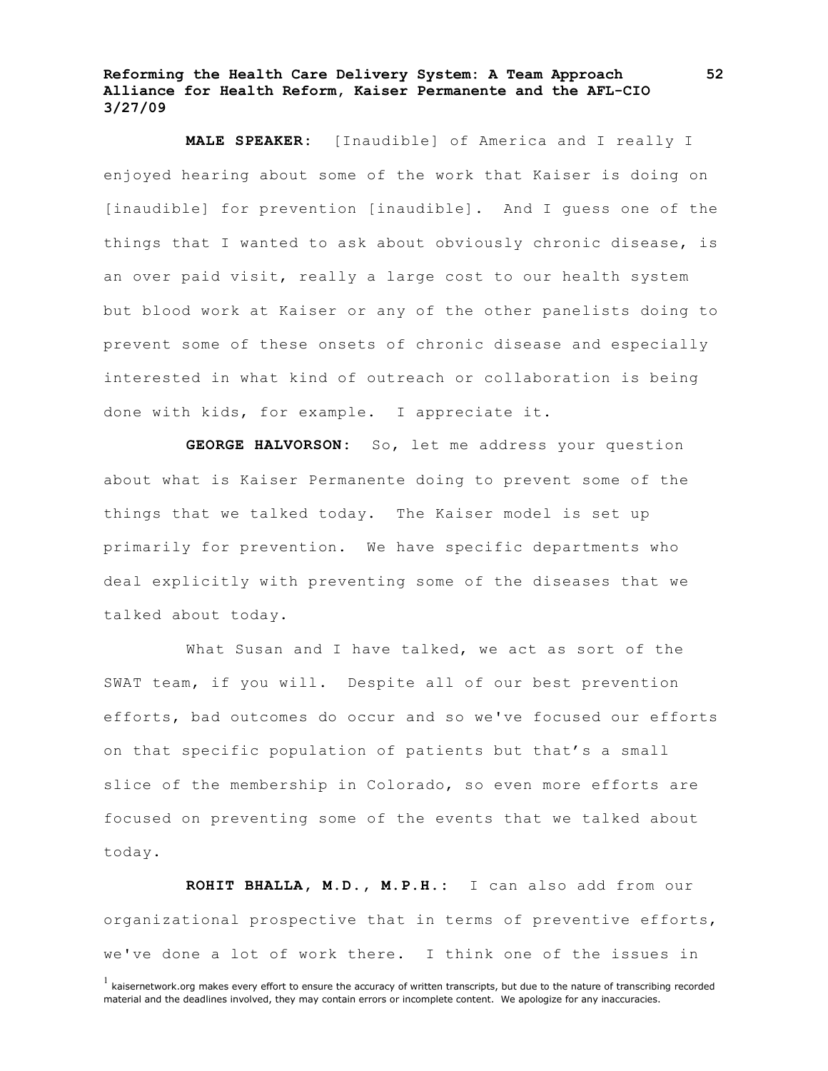**MALE SPEAKER:** [Inaudible] of America and I really I enjoyed hearing about some of the work that Kaiser is doing on [inaudible] for prevention [inaudible]. And I guess one of the things that I wanted to ask about obviously chronic disease, is an over paid visit, really a large cost to our health system but blood work at Kaiser or any of the other panelists doing to prevent some of these onsets of chronic disease and especially interested in what kind of outreach or collaboration is being done with kids, for example. I appreciate it.

**GEORGE HALVORSON:** So, let me address your question about what is Kaiser Permanente doing to prevent some of the things that we talked today. The Kaiser model is set up primarily for prevention. We have specific departments who deal explicitly with preventing some of the diseases that we talked about today.

What Susan and I have talked, we act as sort of the SWAT team, if you will. Despite all of our best prevention efforts, bad outcomes do occur and so we've focused our efforts on that specific population of patients but that's a small slice of the membership in Colorado, so even more efforts are focused on preventing some of the events that we talked about today.

**ROHIT BHALLA, M.D., M.P.H.:** I can also add from our organizational prospective that in terms of preventive efforts, we've done a lot of work there. I think one of the issues in

 $<sup>1</sup>$  kaisernetwork.org makes every effort to ensure the accuracy of written transcripts, but due to the nature of transcribing recorded</sup> material and the deadlines involved, they may contain errors or incomplete content. We apologize for any inaccuracies.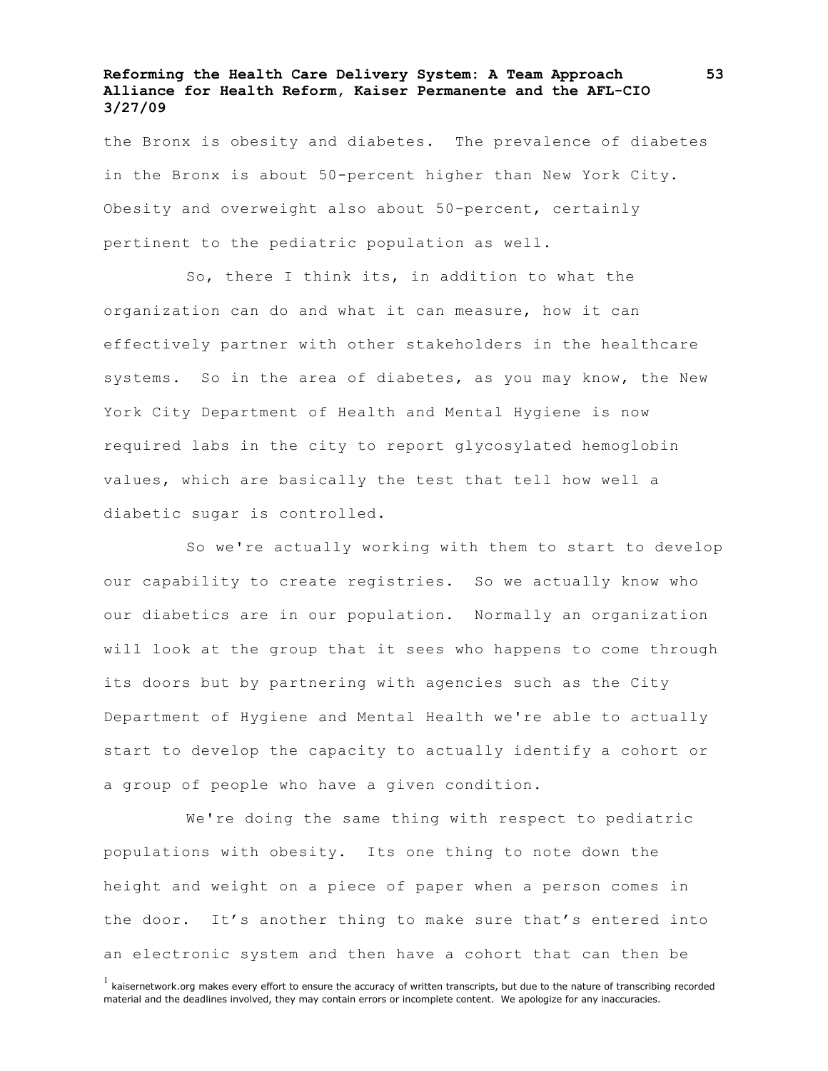the Bronx is obesity and diabetes. The prevalence of diabetes in the Bronx is about 50-percent higher than New York City. Obesity and overweight also about 50-percent, certainly pertinent to the pediatric population as well.

So, there I think its, in addition to what the organization can do and what it can measure, how it can effectively partner with other stakeholders in the healthcare systems. So in the area of diabetes, as you may know, the New York City Department of Health and Mental Hygiene is now required labs in the city to report glycosylated hemoglobin values, which are basically the test that tell how well a diabetic sugar is controlled.

So we're actually working with them to start to develop our capability to create registries. So we actually know who our diabetics are in our population. Normally an organization will look at the group that it sees who happens to come through its doors but by partnering with agencies such as the City Department of Hygiene and Mental Health we're able to actually start to develop the capacity to actually identify a cohort or a group of people who have a given condition.

We're doing the same thing with respect to pediatric populations with obesity. Its one thing to note down the height and weight on a piece of paper when a person comes in the door. It's another thing to make sure that's entered into an electronic system and then have a cohort that can then be

 $<sup>1</sup>$  kaisernetwork.org makes every effort to ensure the accuracy of written transcripts, but due to the nature of transcribing recorded</sup> material and the deadlines involved, they may contain errors or incomplete content. We apologize for any inaccuracies.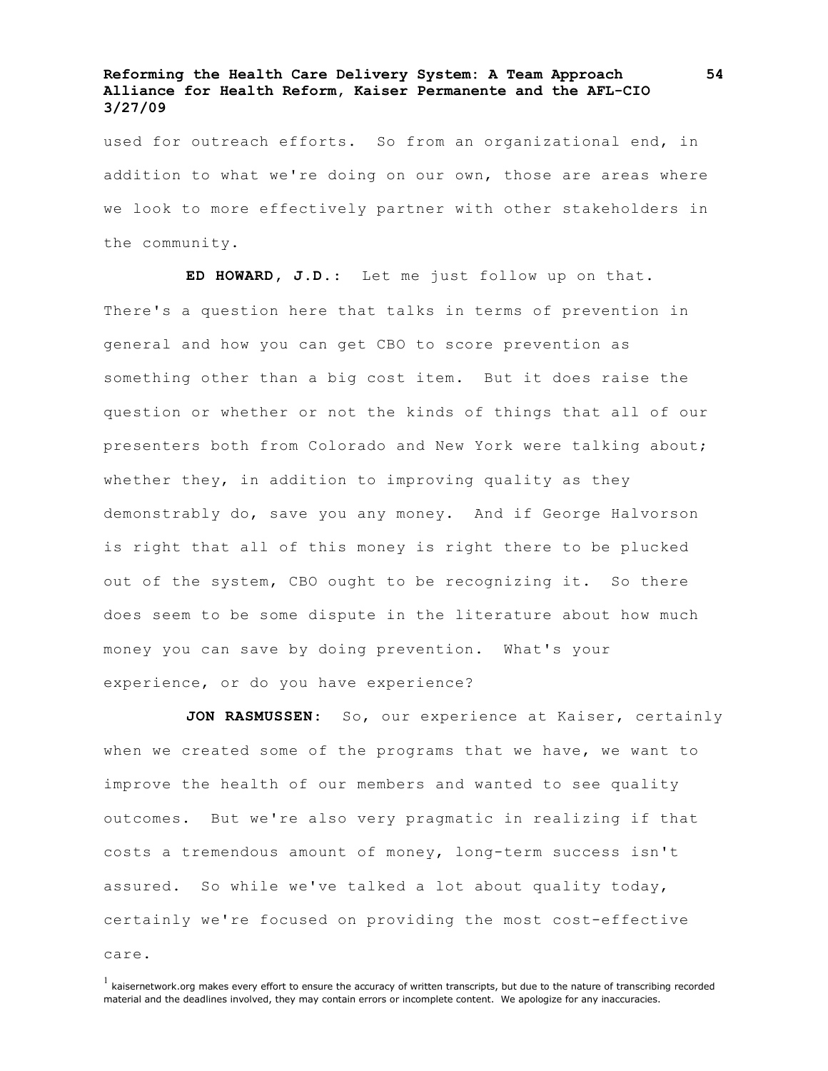used for outreach efforts. So from an organizational end, in addition to what we're doing on our own, those are areas where we look to more effectively partner with other stakeholders in the community.

**ED HOWARD, J.D.**: Let me just follow up on that. There's a question here that talks in terms of prevention in general and how you can get CBO to score prevention as something other than a big cost item. But it does raise the question or whether or not the kinds of things that all of our presenters both from Colorado and New York were talking about; whether they, in addition to improving quality as they demonstrably do, save you any money. And if George Halvorson is right that all of this money is right there to be plucked out of the system, CBO ought to be recognizing it. So there does seem to be some dispute in the literature about how much money you can save by doing prevention. What's your experience, or do you have experience?

**JON RASMUSSEN**: So, our experience at Kaiser, certainly when we created some of the programs that we have, we want to improve the health of our members and wanted to see quality outcomes. But we're also very pragmatic in realizing if that costs a tremendous amount of money, long-term success isn't assured. So while we've talked a lot about quality today, certainly we're focused on providing the most cost-effective care.

 $<sup>1</sup>$  kaisernetwork.org makes every effort to ensure the accuracy of written transcripts, but due to the nature of transcribing recorded</sup> material and the deadlines involved, they may contain errors or incomplete content. We apologize for any inaccuracies.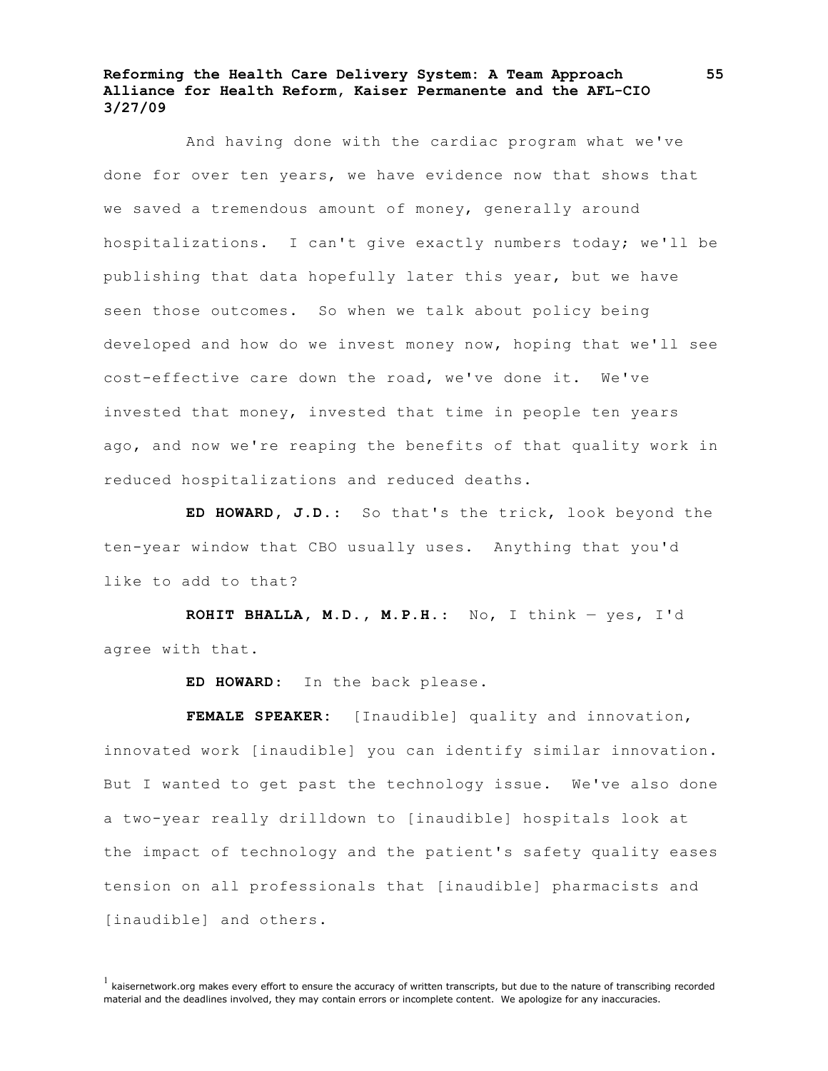And having done with the cardiac program what we've done for over ten years, we have evidence now that shows that we saved a tremendous amount of money, generally around hospitalizations. I can't give exactly numbers today; we'll be publishing that data hopefully later this year, but we have seen those outcomes. So when we talk about policy being developed and how do we invest money now, hoping that we'll see cost-effective care down the road, we've done it. We've invested that money, invested that time in people ten years ago, and now we're reaping the benefits of that quality work in reduced hospitalizations and reduced deaths.

**ED HOWARD, J.D.**: So that's the trick, look beyond the ten-year window that CBO usually uses. Anything that you'd like to add to that?

**ROHIT BHALLA, M.D., M.P.H.**: No, I think — yes, I'd agree with that.

**ED HOWARD**: In the back please.

**FEMALE SPEAKER:** [Inaudible] quality and innovation, innovated work [inaudible] you can identify similar innovation. But I wanted to get past the technology issue. We've also done a two-year really drilldown to [inaudible] hospitals look at the impact of technology and the patient's safety quality eases tension on all professionals that [inaudible] pharmacists and [inaudible] and others.

 $<sup>1</sup>$  kaisernetwork.org makes every effort to ensure the accuracy of written transcripts, but due to the nature of transcribing recorded</sup> material and the deadlines involved, they may contain errors or incomplete content. We apologize for any inaccuracies.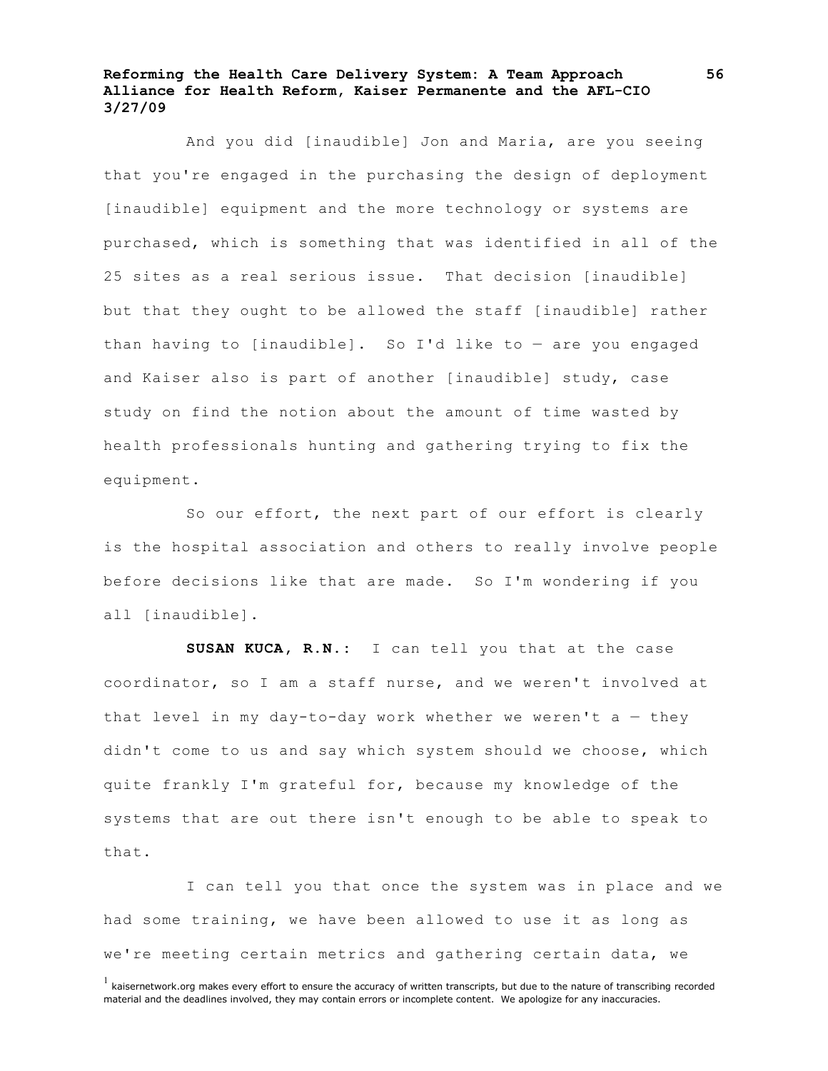And you did [inaudible] Jon and Maria, are you seeing that you're engaged in the purchasing the design of deployment [inaudible] equipment and the more technology or systems are purchased, which is something that was identified in all of the 25 sites as a real serious issue. That decision [inaudible] but that they ought to be allowed the staff [inaudible] rather than having to [inaudible]. So I'd like to — are you engaged and Kaiser also is part of another [inaudible] study, case study on find the notion about the amount of time wasted by health professionals hunting and gathering trying to fix the equipment.

So our effort, the next part of our effort is clearly is the hospital association and others to really involve people before decisions like that are made. So I'm wondering if you all [inaudible].

**SUSAN KUCA, R.N.:** I can tell you that at the case coordinator, so I am a staff nurse, and we weren't involved at that level in my day-to-day work whether we weren't  $a -$  they didn't come to us and say which system should we choose, which quite frankly I'm grateful for, because my knowledge of the systems that are out there isn't enough to be able to speak to that.

I can tell you that once the system was in place and we had some training, we have been allowed to use it as long as we're meeting certain metrics and gathering certain data, we

 $<sup>1</sup>$  kaisernetwork.org makes every effort to ensure the accuracy of written transcripts, but due to the nature of transcribing recorded</sup> material and the deadlines involved, they may contain errors or incomplete content. We apologize for any inaccuracies.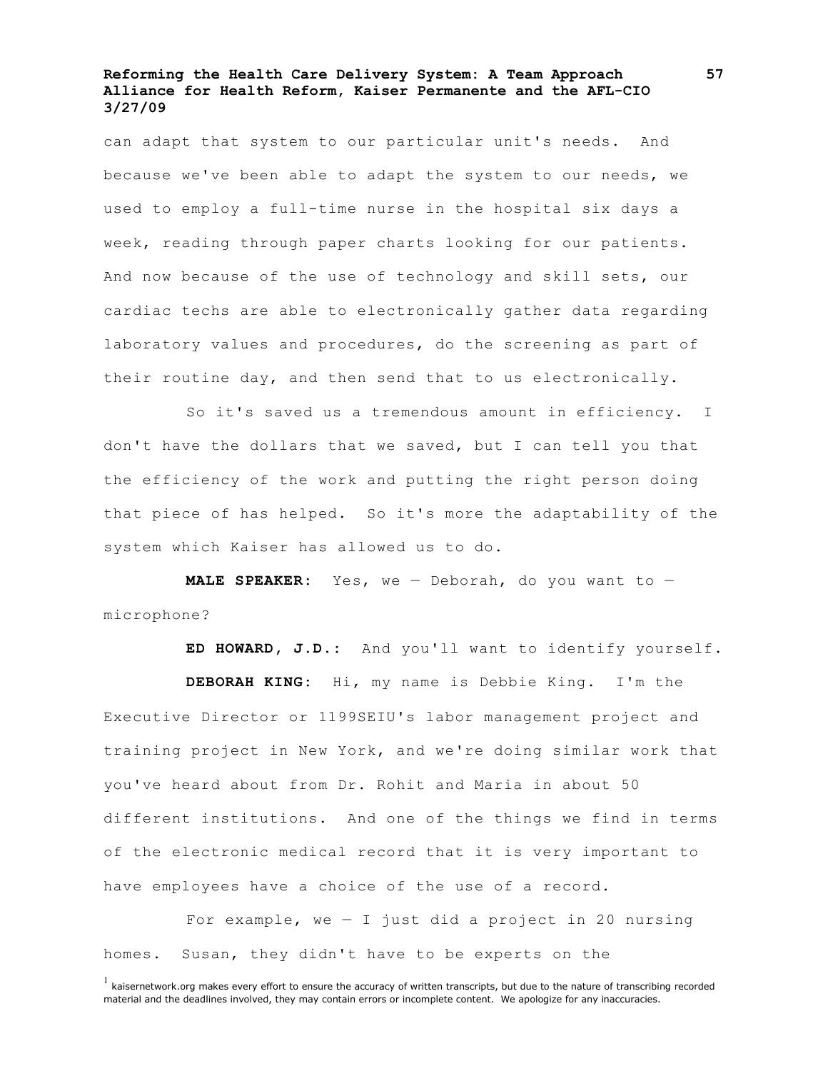can adapt that system to our particular unit's needs. And because we've been able to adapt the system to our needs, we used to employ a full-time nurse in the hospital six days a week, reading through paper charts looking for our patients. And now because of the use of technology and skill sets, our cardiac techs are able to electronically gather data regarding laboratory values and procedures, do the screening as part of their routine day, and then send that to us electronically.

So it's saved us a tremendous amount in efficiency. I don't have the dollars that we saved, but I can tell you that the efficiency of the work and putting the right person doing that piece of has helped. So it's more the adaptability of the system which Kaiser has allowed us to do.

**MALE SPEAKER:** Yes, we — Deborah, do you want to microphone?

**ED HOWARD, J.D.:** And you'll want to identify yourself.

**DEBORAH KING:** Hi, my name is Debbie King. I'm the Executive Director or 1199SEIU's labor management project and training project in New York, and we're doing similar work that you've heard about from Dr. Rohit and Maria in about 50 different institutions. And one of the things we find in terms of the electronic medical record that it is very important to have employees have a choice of the use of a record.

For example, we  $-$  I just did a project in 20 nursing homes. Susan, they didn't have to be experts on the

 $<sup>1</sup>$  kaisernetwork.org makes every effort to ensure the accuracy of written transcripts, but due to the nature of transcribing recorded</sup> material and the deadlines involved, they may contain errors or incomplete content. We apologize for any inaccuracies.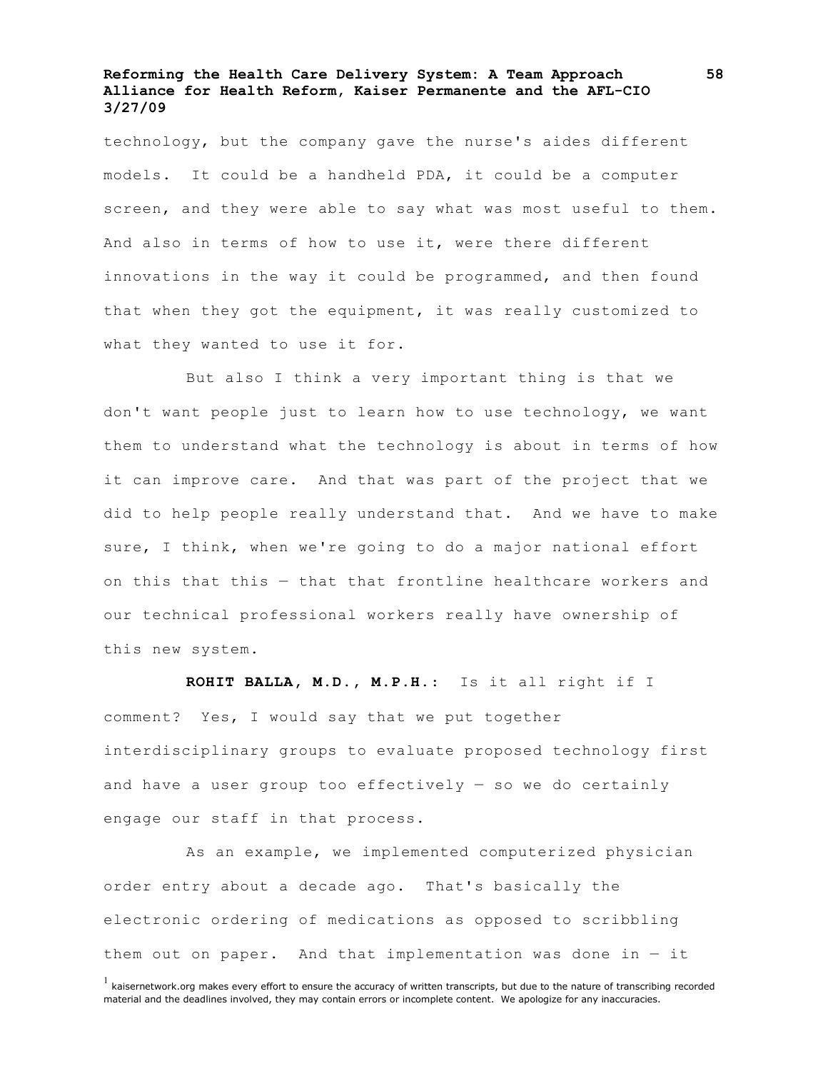technology, but the company gave the nurse's aides different models. It could be a handheld PDA, it could be a computer screen, and they were able to say what was most useful to them. And also in terms of how to use it, were there different innovations in the way it could be programmed, and then found that when they got the equipment, it was really customized to what they wanted to use it for.

But also I think a very important thing is that we don't want people just to learn how to use technology, we want them to understand what the technology is about in terms of how it can improve care. And that was part of the project that we did to help people really understand that. And we have to make sure, I think, when we're going to do a major national effort on this that this — that that frontline healthcare workers and our technical professional workers really have ownership of this new system.

**ROHIT BALLA, M.D., M.P.H.**: Is it all right if I comment? Yes, I would say that we put together interdisciplinary groups to evaluate proposed technology first and have a user group too effectively  $-$  so we do certainly engage our staff in that process.

As an example, we implemented computerized physician order entry about a decade ago. That's basically the electronic ordering of medications as opposed to scribbling them out on paper. And that implementation was done in  $-$  it

 $<sup>1</sup>$  kaisernetwork.org makes every effort to ensure the accuracy of written transcripts, but due to the nature of transcribing recorded</sup> material and the deadlines involved, they may contain errors or incomplete content. We apologize for any inaccuracies.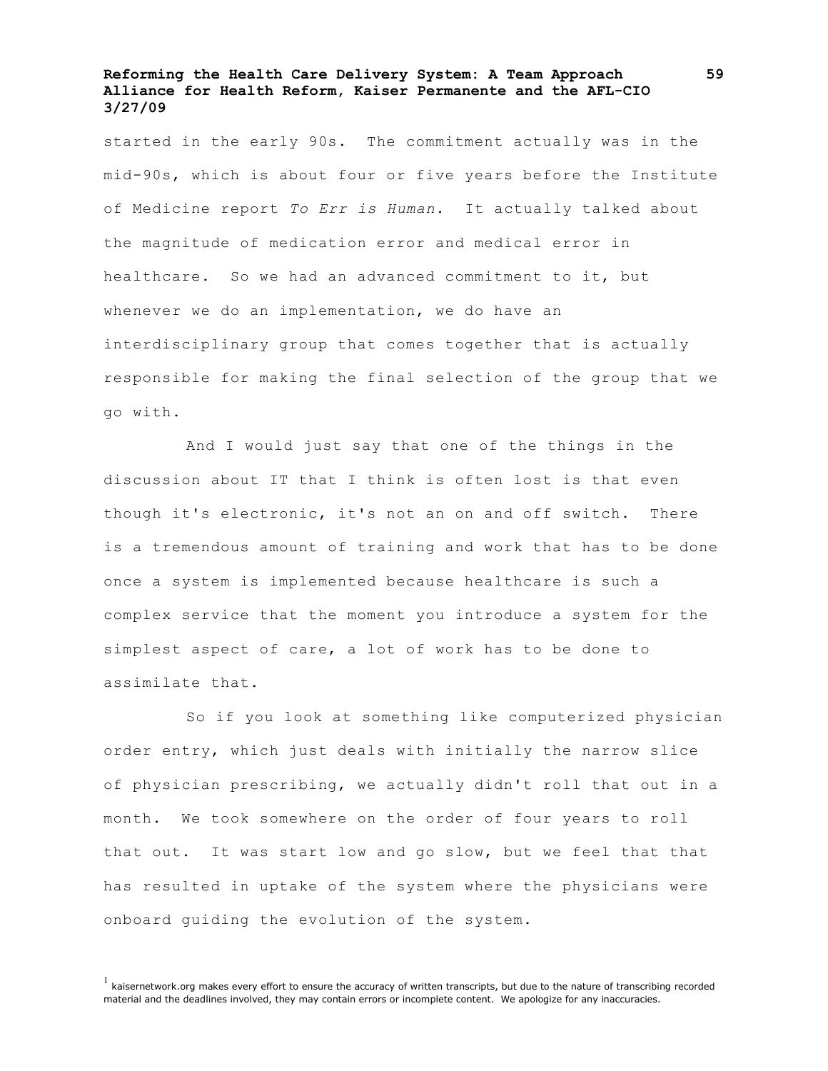started in the early 90s. The commitment actually was in the mid-90s, which is about four or five years before the Institute of Medicine report *To Err is Human*. It actually talked about the magnitude of medication error and medical error in healthcare. So we had an advanced commitment to it, but whenever we do an implementation, we do have an interdisciplinary group that comes together that is actually responsible for making the final selection of the group that we go with.

And I would just say that one of the things in the discussion about IT that I think is often lost is that even though it's electronic, it's not an on and off switch. There is a tremendous amount of training and work that has to be done once a system is implemented because healthcare is such a complex service that the moment you introduce a system for the simplest aspect of care, a lot of work has to be done to assimilate that.

So if you look at something like computerized physician order entry, which just deals with initially the narrow slice of physician prescribing, we actually didn't roll that out in a month. We took somewhere on the order of four years to roll that out. It was start low and go slow, but we feel that that has resulted in uptake of the system where the physicians were onboard guiding the evolution of the system.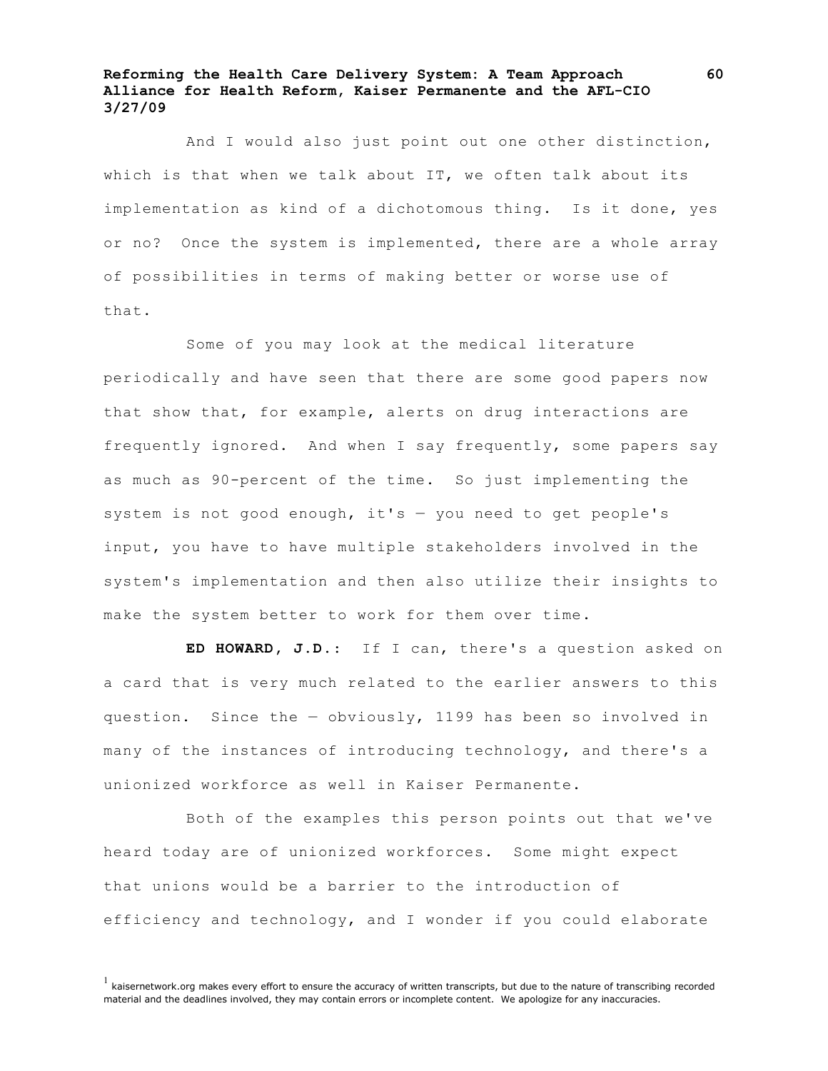And I would also just point out one other distinction, which is that when we talk about IT, we often talk about its implementation as kind of a dichotomous thing. Is it done, yes or no? Once the system is implemented, there are a whole array of possibilities in terms of making better or worse use of that.

Some of you may look at the medical literature periodically and have seen that there are some good papers now that show that, for example, alerts on drug interactions are frequently ignored. And when I say frequently, some papers say as much as 90-percent of the time. So just implementing the system is not good enough, it's — you need to get people's input, you have to have multiple stakeholders involved in the system's implementation and then also utilize their insights to make the system better to work for them over time.

**ED HOWARD, J.D.**: If I can, there's a question asked on a card that is very much related to the earlier answers to this question. Since the — obviously, 1199 has been so involved in many of the instances of introducing technology, and there's a unionized workforce as well in Kaiser Permanente.

Both of the examples this person points out that we've heard today are of unionized workforces. Some might expect that unions would be a barrier to the introduction of efficiency and technology, and I wonder if you could elaborate

 $<sup>1</sup>$  kaisernetwork.org makes every effort to ensure the accuracy of written transcripts, but due to the nature of transcribing recorded</sup> material and the deadlines involved, they may contain errors or incomplete content. We apologize for any inaccuracies.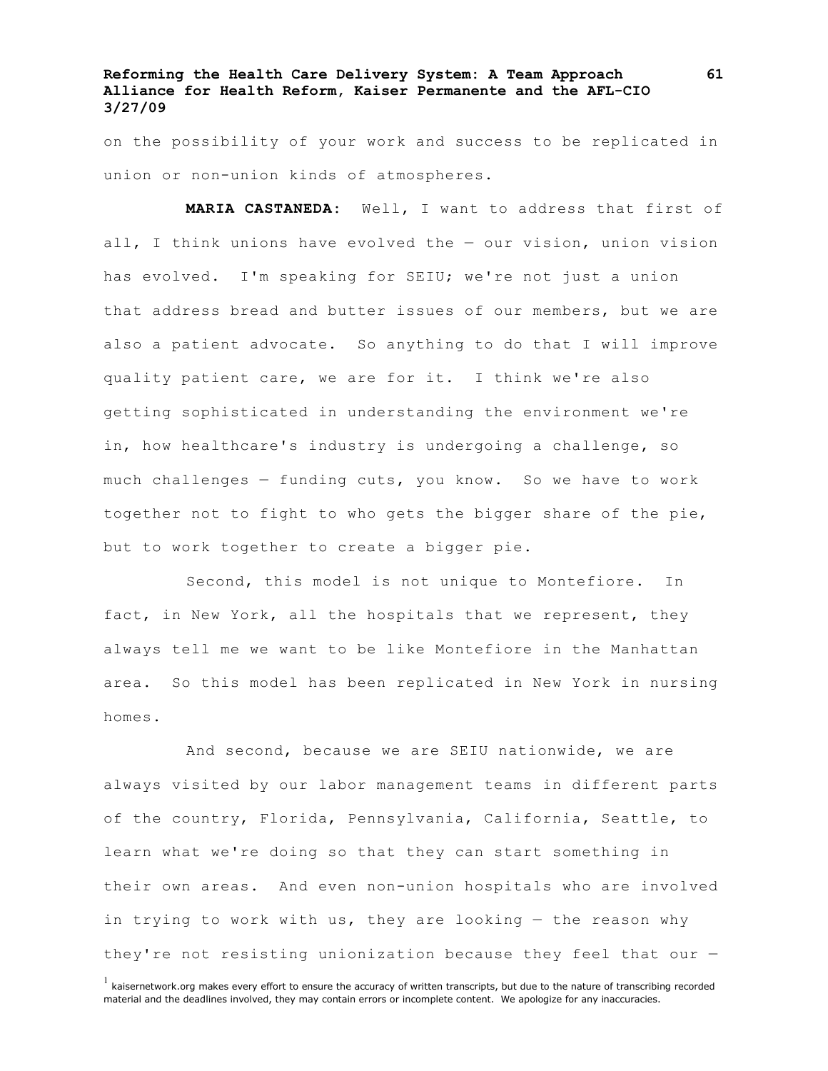on the possibility of your work and success to be replicated in union or non-union kinds of atmospheres.

**MARIA CASTANEDA:** Well, I want to address that first of all, I think unions have evolved the — our vision, union vision has evolved. I'm speaking for SEIU; we're not just a union that address bread and butter issues of our members, but we are also a patient advocate. So anything to do that I will improve quality patient care, we are for it. I think we're also getting sophisticated in understanding the environment we're in, how healthcare's industry is undergoing a challenge, so much challenges — funding cuts, you know. So we have to work together not to fight to who gets the bigger share of the pie, but to work together to create a bigger pie.

Second, this model is not unique to Montefiore. In fact, in New York, all the hospitals that we represent, they always tell me we want to be like Montefiore in the Manhattan area. So this model has been replicated in New York in nursing homes.

And second, because we are SEIU nationwide, we are always visited by our labor management teams in different parts of the country, Florida, Pennsylvania, California, Seattle, to learn what we're doing so that they can start something in their own areas. And even non-union hospitals who are involved in trying to work with us, they are looking — the reason why they're not resisting unionization because they feel that our —

 $<sup>1</sup>$  kaisernetwork.org makes every effort to ensure the accuracy of written transcripts, but due to the nature of transcribing recorded</sup> material and the deadlines involved, they may contain errors or incomplete content. We apologize for any inaccuracies.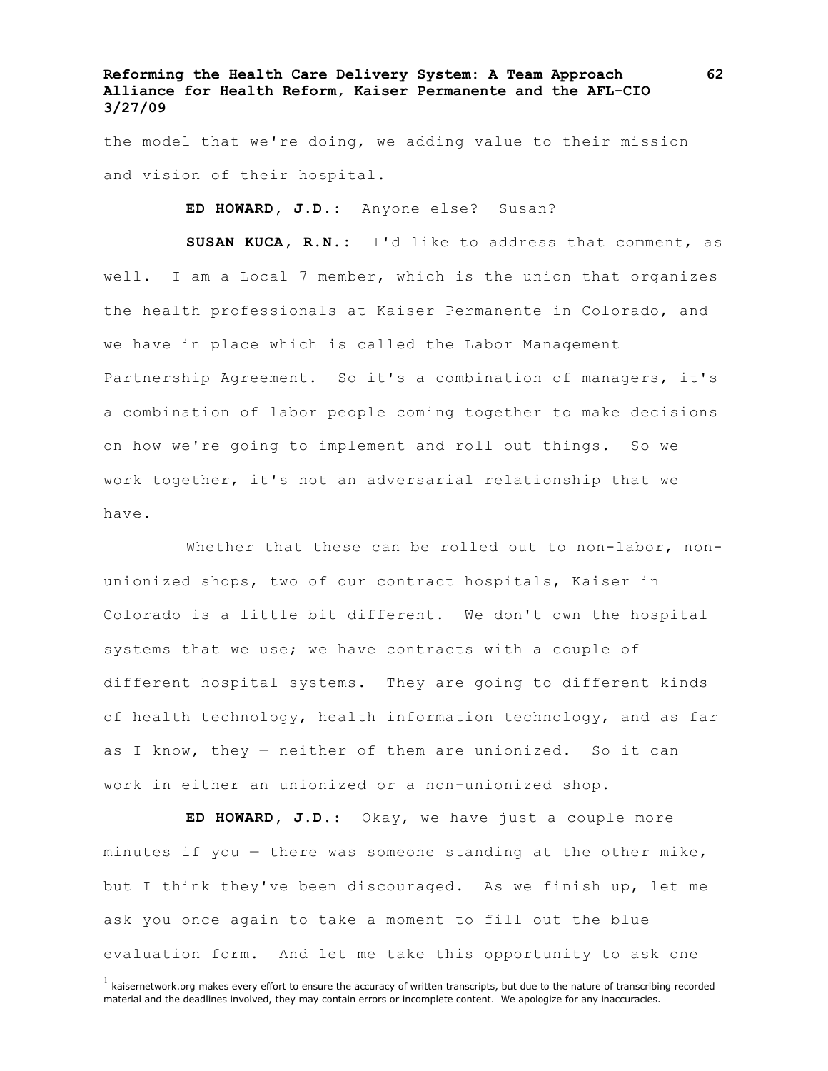the model that we're doing, we adding value to their mission and vision of their hospital.

**ED HOWARD, J.D.**: Anyone else? Susan?

**SUSAN KUCA, R.N.:** I'd like to address that comment, as well. I am a Local 7 member, which is the union that organizes the health professionals at Kaiser Permanente in Colorado, and we have in place which is called the Labor Management Partnership Agreement. So it's a combination of managers, it's a combination of labor people coming together to make decisions on how we're going to implement and roll out things. So we work together, it's not an adversarial relationship that we have.

Whether that these can be rolled out to non-labor, nonunionized shops, two of our contract hospitals, Kaiser in Colorado is a little bit different. We don't own the hospital systems that we use; we have contracts with a couple of different hospital systems. They are going to different kinds of health technology, health information technology, and as far as I know, they — neither of them are unionized. So it can work in either an unionized or a non-unionized shop.

**ED HOWARD, J.D.**: Okay, we have just a couple more minutes if you — there was someone standing at the other mike, but I think they've been discouraged. As we finish up, let me ask you once again to take a moment to fill out the blue evaluation form. And let me take this opportunity to ask one

 $<sup>1</sup>$  kaisernetwork.org makes every effort to ensure the accuracy of written transcripts, but due to the nature of transcribing recorded</sup> material and the deadlines involved, they may contain errors or incomplete content. We apologize for any inaccuracies.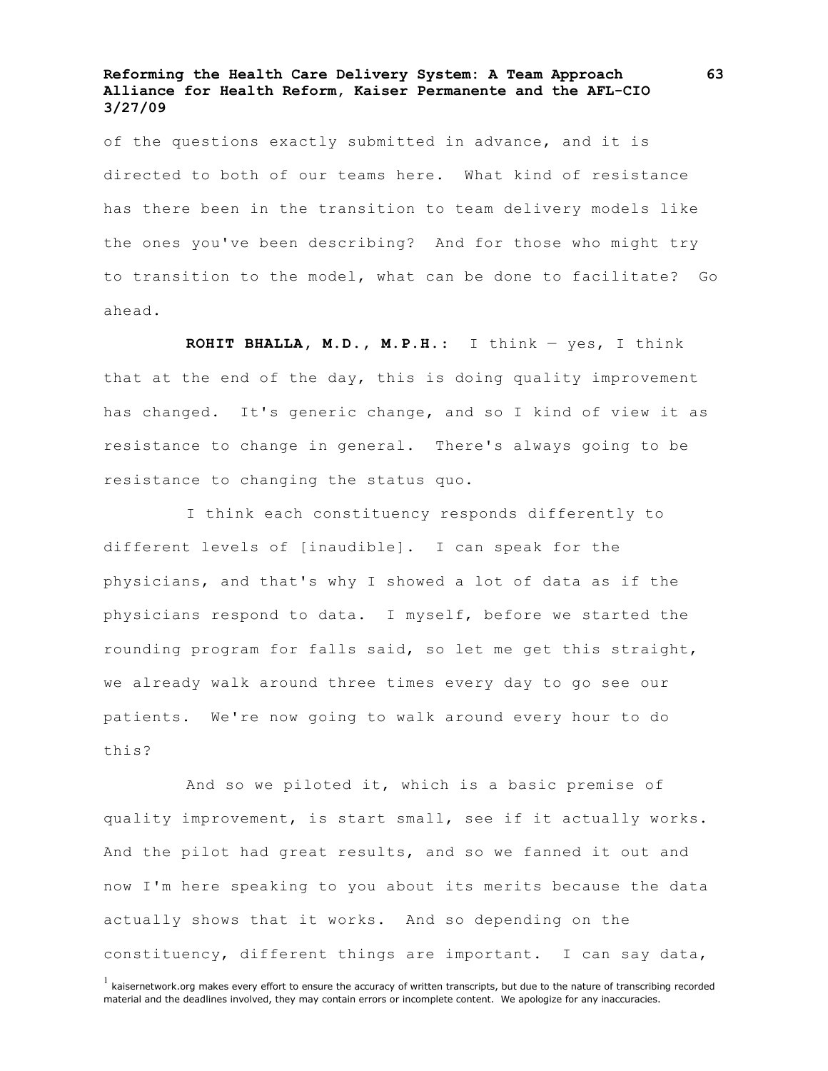of the questions exactly submitted in advance, and it is directed to both of our teams here. What kind of resistance has there been in the transition to team delivery models like the ones you've been describing? And for those who might try to transition to the model, what can be done to facilitate? Go ahead.

**ROHIT BHALLA, M.D., M.P.H.**: I think — yes, I think that at the end of the day, this is doing quality improvement has changed. It's generic change, and so I kind of view it as resistance to change in general. There's always going to be resistance to changing the status quo.

I think each constituency responds differently to different levels of [inaudible]. I can speak for the physicians, and that's why I showed a lot of data as if the physicians respond to data. I myself, before we started the rounding program for falls said, so let me get this straight, we already walk around three times every day to go see our patients. We're now going to walk around every hour to do this?

And so we piloted it, which is a basic premise of quality improvement, is start small, see if it actually works. And the pilot had great results, and so we fanned it out and now I'm here speaking to you about its merits because the data actually shows that it works. And so depending on the constituency, different things are important. I can say data,

 $<sup>1</sup>$  kaisernetwork.org makes every effort to ensure the accuracy of written transcripts, but due to the nature of transcribing recorded</sup> material and the deadlines involved, they may contain errors or incomplete content. We apologize for any inaccuracies.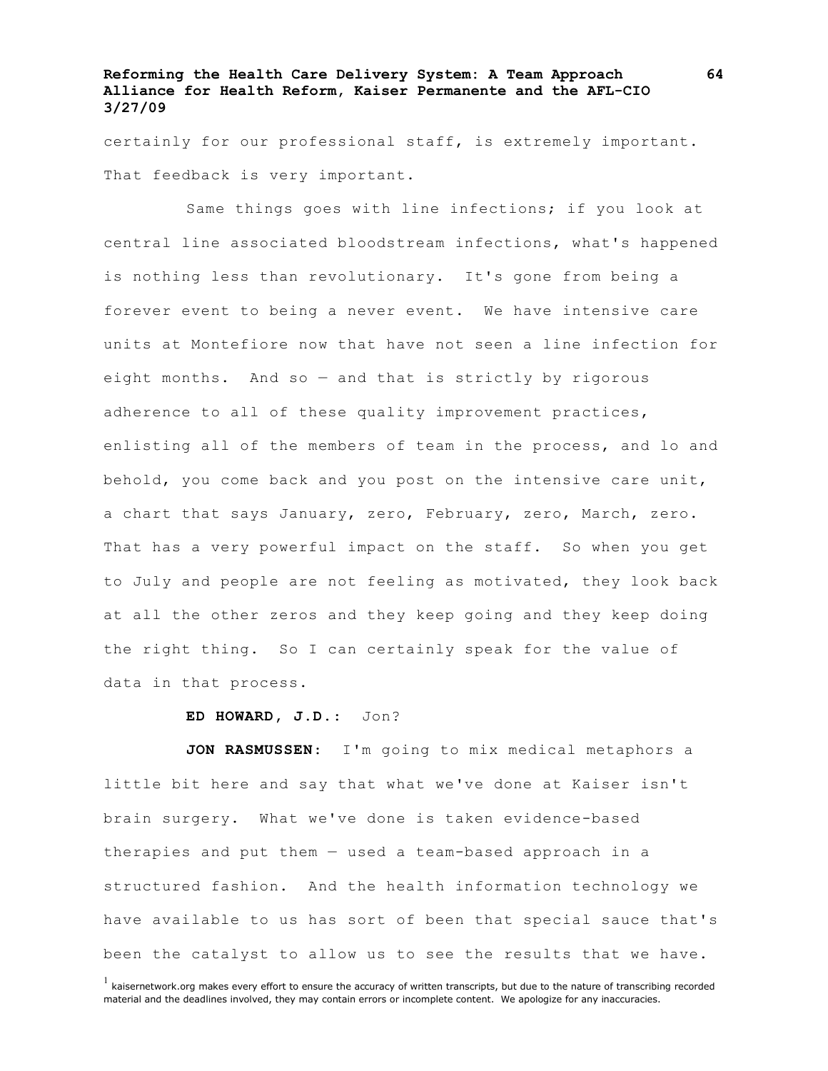certainly for our professional staff, is extremely important. That feedback is very important.

Same things goes with line infections; if you look at central line associated bloodstream infections, what's happened is nothing less than revolutionary. It's gone from being a forever event to being a never event. We have intensive care units at Montefiore now that have not seen a line infection for eight months. And so — and that is strictly by rigorous adherence to all of these quality improvement practices, enlisting all of the members of team in the process, and lo and behold, you come back and you post on the intensive care unit, a chart that says January, zero, February, zero, March, zero. That has a very powerful impact on the staff. So when you get to July and people are not feeling as motivated, they look back at all the other zeros and they keep going and they keep doing the right thing. So I can certainly speak for the value of data in that process.

#### **ED HOWARD, J.D.**: Jon?

**JON RASMUSSEN**: I'm going to mix medical metaphors a little bit here and say that what we've done at Kaiser isn't brain surgery. What we've done is taken evidence-based therapies and put them — used a team-based approach in a structured fashion. And the health information technology we have available to us has sort of been that special sauce that's been the catalyst to allow us to see the results that we have.

 $<sup>1</sup>$  kaisernetwork.org makes every effort to ensure the accuracy of written transcripts, but due to the nature of transcribing recorded</sup> material and the deadlines involved, they may contain errors or incomplete content. We apologize for any inaccuracies.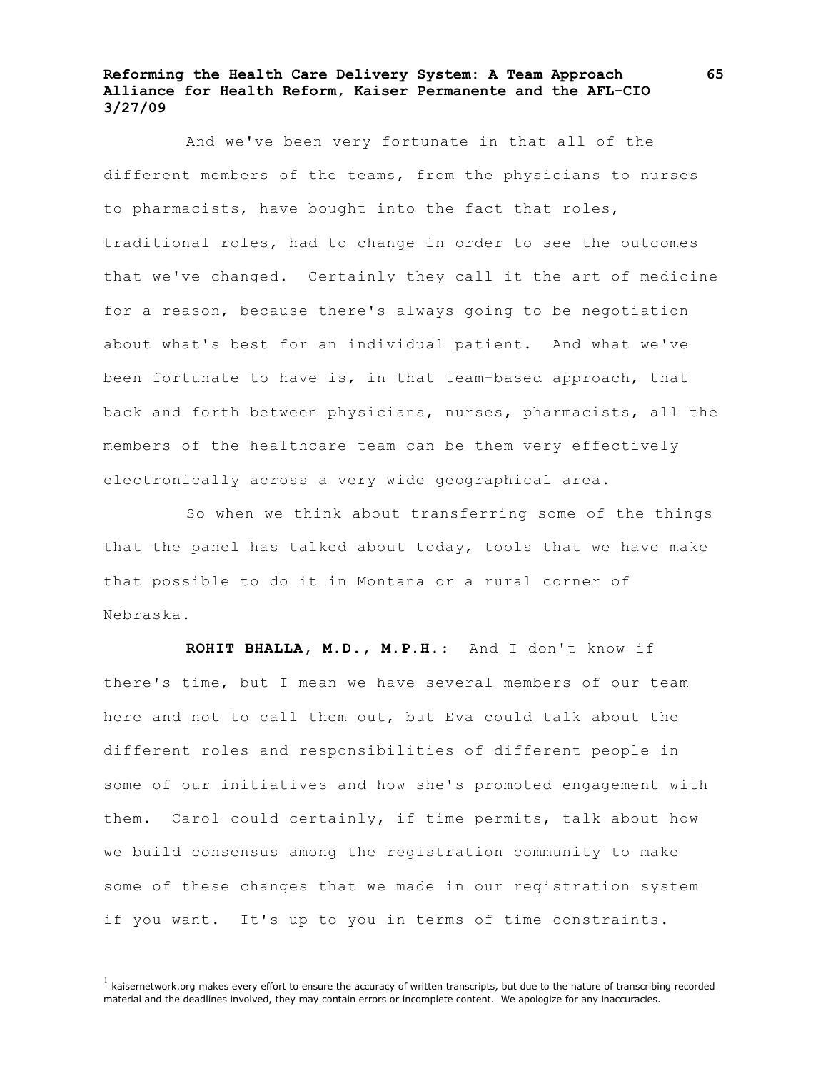And we've been very fortunate in that all of the different members of the teams, from the physicians to nurses to pharmacists, have bought into the fact that roles, traditional roles, had to change in order to see the outcomes that we've changed. Certainly they call it the art of medicine for a reason, because there's always going to be negotiation about what's best for an individual patient. And what we've been fortunate to have is, in that team-based approach, that back and forth between physicians, nurses, pharmacists, all the members of the healthcare team can be them very effectively electronically across a very wide geographical area.

So when we think about transferring some of the things that the panel has talked about today, tools that we have make that possible to do it in Montana or a rural corner of Nebraska.

**ROHIT BHALLA, M.D., M.P.H.**: And I don't know if there's time, but I mean we have several members of our team here and not to call them out, but Eva could talk about the different roles and responsibilities of different people in some of our initiatives and how she's promoted engagement with them. Carol could certainly, if time permits, talk about how we build consensus among the registration community to make some of these changes that we made in our registration system if you want. It's up to you in terms of time constraints.

 $<sup>1</sup>$  kaisernetwork.org makes every effort to ensure the accuracy of written transcripts, but due to the nature of transcribing recorded</sup> material and the deadlines involved, they may contain errors or incomplete content. We apologize for any inaccuracies.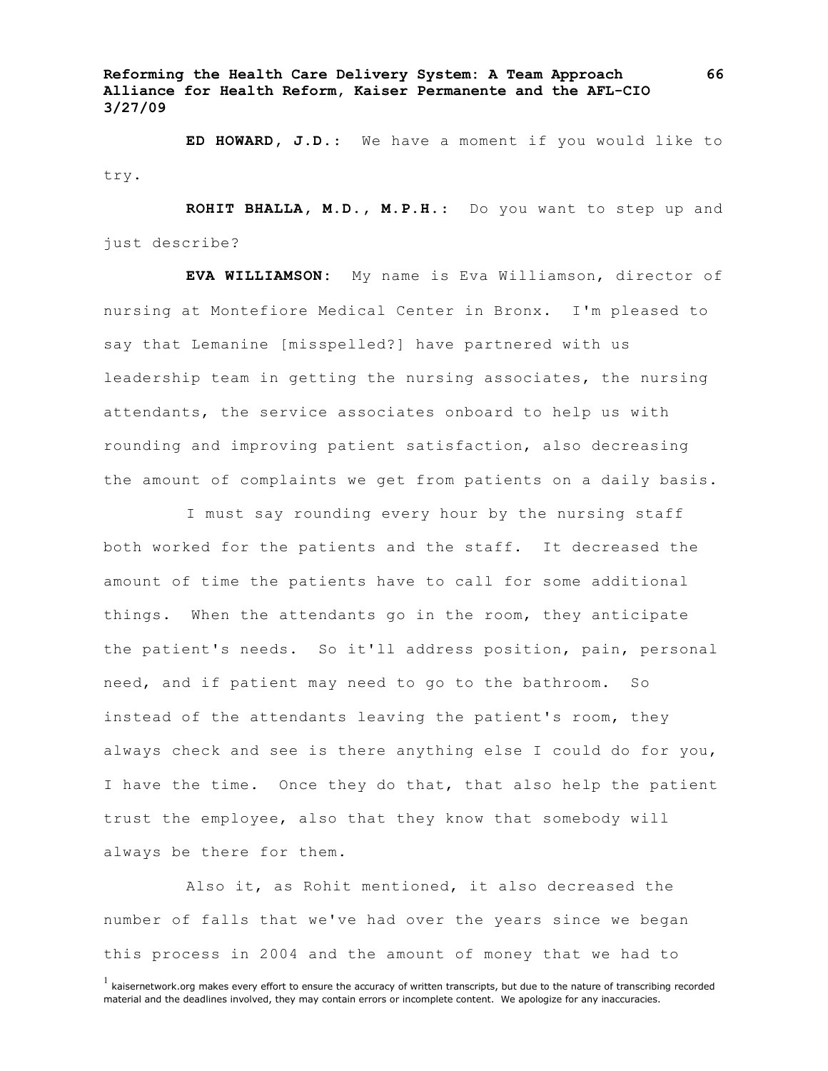**ED HOWARD, J.D.**: We have a moment if you would like to try.

**ROHIT BHALLA, M.D., M.P.H.**: Do you want to step up and just describe?

**EVA WILLIAMSON:** My name is Eva Williamson, director of nursing at Montefiore Medical Center in Bronx. I'm pleased to say that Lemanine [misspelled?] have partnered with us leadership team in getting the nursing associates, the nursing attendants, the service associates onboard to help us with rounding and improving patient satisfaction, also decreasing the amount of complaints we get from patients on a daily basis.

I must say rounding every hour by the nursing staff both worked for the patients and the staff. It decreased the amount of time the patients have to call for some additional things. When the attendants go in the room, they anticipate the patient's needs. So it'll address position, pain, personal need, and if patient may need to go to the bathroom. So instead of the attendants leaving the patient's room, they always check and see is there anything else I could do for you, I have the time. Once they do that, that also help the patient trust the employee, also that they know that somebody will always be there for them.

Also it, as Rohit mentioned, it also decreased the number of falls that we've had over the years since we began this process in 2004 and the amount of money that we had to

 $<sup>1</sup>$  kaisernetwork.org makes every effort to ensure the accuracy of written transcripts, but due to the nature of transcribing recorded</sup> material and the deadlines involved, they may contain errors or incomplete content. We apologize for any inaccuracies.